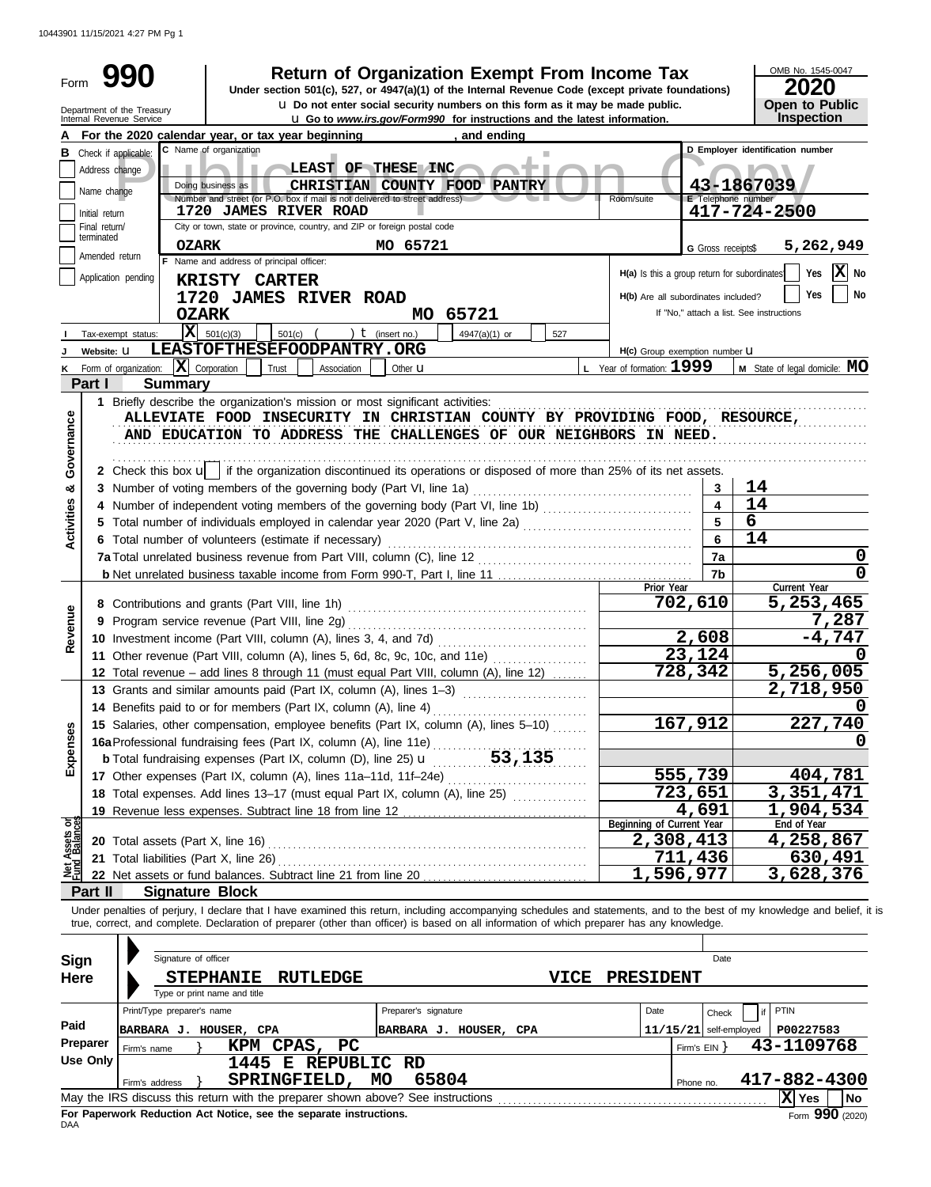10443901 11/15/2021 4:27 PM Pg 1

| Form              |                                 | 990                                                                                                                                        |                                          |                    |                                                                             | <b>Return of Organization Exempt From Income Tax</b><br>Under section 501(c), 527, or 4947(a)(1) of the Internal Revenue Code (except private foundations) |                                              |                           | OMB No. 1545-0047<br>20                                                                                                                                                    |
|-------------------|---------------------------------|--------------------------------------------------------------------------------------------------------------------------------------------|------------------------------------------|--------------------|-----------------------------------------------------------------------------|------------------------------------------------------------------------------------------------------------------------------------------------------------|----------------------------------------------|---------------------------|----------------------------------------------------------------------------------------------------------------------------------------------------------------------------|
|                   |                                 | Department of the Treasury<br>Internal Revenue Service                                                                                     |                                          |                    |                                                                             | u Do not enter social security numbers on this form as it may be made public.                                                                              |                                              |                           | <b>Open to Public</b>                                                                                                                                                      |
|                   |                                 | For the 2020 calendar year, or tax year beginning                                                                                          |                                          |                    |                                                                             | <b>u</b> Go to www.irs.gov/Form990 for instructions and the latest information.<br>and ending                                                              |                                              |                           | Inspection                                                                                                                                                                 |
| в                 |                                 | C Name of organization<br>Check if applicable:                                                                                             |                                          |                    |                                                                             |                                                                                                                                                            |                                              |                           | D Employer identification number                                                                                                                                           |
|                   | Address change                  |                                                                                                                                            |                                          |                    | LEAST OF THESE INC                                                          | ٠                                                                                                                                                          |                                              |                           |                                                                                                                                                                            |
|                   | Name change                     | Doing business as                                                                                                                          |                                          |                    | CHRISTIAN COUNTY FOOD PANTRY                                                |                                                                                                                                                            |                                              |                           | 43-1867039                                                                                                                                                                 |
|                   |                                 |                                                                                                                                            | <b>1720 JAMES RIVER ROAD</b>             |                    | Number and street (or P.O. box if mail is not delivered to street address). |                                                                                                                                                            | Room/suite                                   | <b>E</b> Telephone number | 417-724-2500                                                                                                                                                               |
|                   | Initial return<br>Final return/ |                                                                                                                                            |                                          |                    | City or town, state or province, country, and ZIP or foreign postal code    |                                                                                                                                                            |                                              |                           |                                                                                                                                                                            |
|                   | terminated                      | <b>OZARK</b>                                                                                                                               |                                          |                    | MO 65721                                                                    |                                                                                                                                                            |                                              | G Gross receipts\$        | 5,262,949                                                                                                                                                                  |
|                   | Amended return                  |                                                                                                                                            | F Name and address of principal officer: |                    |                                                                             |                                                                                                                                                            |                                              |                           |                                                                                                                                                                            |
|                   |                                 | Application pending                                                                                                                        | <b>KRISTY CARTER</b>                     |                    |                                                                             |                                                                                                                                                            | H(a) Is this a group return for subordinates |                           | $ \mathbf{X} $ No<br>Yes                                                                                                                                                   |
|                   |                                 |                                                                                                                                            | 1720 JAMES RIVER ROAD                    |                    |                                                                             |                                                                                                                                                            | H(b) Are all subordinates included?          |                           | Yes<br>No                                                                                                                                                                  |
|                   |                                 | <b>OZARK</b>                                                                                                                               |                                          |                    | MO 65721                                                                    |                                                                                                                                                            |                                              |                           | If "No," attach a list. See instructions                                                                                                                                   |
|                   |                                 | $\overline{\mathbf{X}}$ 501(c)(3)<br>Tax-exempt status:                                                                                    | $501(c)$ (                               |                    | ) $t$ (insert no.)                                                          | 4947(a)(1) or<br>527                                                                                                                                       |                                              |                           |                                                                                                                                                                            |
|                   | Website: U                      | LEASTOFTHESEFOODPANTRY.ORG                                                                                                                 |                                          |                    |                                                                             |                                                                                                                                                            | H(c) Group exemption number U                |                           |                                                                                                                                                                            |
| κ                 |                                 | Form of organization: $ \mathbf{X} $ Corporation                                                                                           | Trust                                    | Association        | Other $\mathbf u$                                                           |                                                                                                                                                            | L Year of formation: 1999                    |                           | <b>M</b> State of legal domicile: $MO$                                                                                                                                     |
|                   | Part I                          | <b>Summary</b>                                                                                                                             |                                          |                    |                                                                             |                                                                                                                                                            |                                              |                           |                                                                                                                                                                            |
|                   |                                 | 1 Briefly describe the organization's mission or most significant activities:                                                              |                                          |                    |                                                                             | ALLEVIATE FOOD INSECURITY IN CHRISTIAN COUNTY BY PROVIDING FOOD, RESOURCE,                                                                                 |                                              |                           |                                                                                                                                                                            |
| Governance        |                                 |                                                                                                                                            |                                          |                    |                                                                             | AND EDUCATION TO ADDRESS THE CHALLENGES OF OUR NEIGHBORS IN NEED.                                                                                          |                                              |                           |                                                                                                                                                                            |
|                   |                                 |                                                                                                                                            |                                          |                    |                                                                             |                                                                                                                                                            |                                              |                           |                                                                                                                                                                            |
|                   |                                 | 2 Check this box $\mathbf{u}$   if the organization discontinued its operations or disposed of more than 25% of its net assets.            |                                          |                    |                                                                             |                                                                                                                                                            |                                              |                           |                                                                                                                                                                            |
| න්                |                                 |                                                                                                                                            |                                          |                    |                                                                             |                                                                                                                                                            |                                              | 3                         | 14                                                                                                                                                                         |
|                   |                                 |                                                                                                                                            |                                          |                    |                                                                             |                                                                                                                                                            |                                              | $\overline{4}$            | 14                                                                                                                                                                         |
| <b>Activities</b> |                                 | 5 Total number of individuals employed in calendar year 2020 (Part V, line 2a) [[[[[[[[[[[[[[[[[[[[[[[[[[[[[[[                             |                                          |                    |                                                                             |                                                                                                                                                            |                                              | 5                         | 6                                                                                                                                                                          |
|                   |                                 | 6 Total number of volunteers (estimate if necessary)                                                                                       | 14                                       |                    |                                                                             |                                                                                                                                                            |                                              |                           |                                                                                                                                                                            |
|                   |                                 |                                                                                                                                            | 7a                                       | 0                  |                                                                             |                                                                                                                                                            |                                              |                           |                                                                                                                                                                            |
|                   |                                 |                                                                                                                                            |                                          |                    |                                                                             |                                                                                                                                                            |                                              | 7b                        | 0                                                                                                                                                                          |
|                   |                                 |                                                                                                                                            |                                          |                    |                                                                             |                                                                                                                                                            | Prior Year                                   | 702,610                   | Current Year<br>5,253,465                                                                                                                                                  |
| Revenue           |                                 |                                                                                                                                            |                                          |                    |                                                                             |                                                                                                                                                            |                                              |                           | 7,287                                                                                                                                                                      |
|                   |                                 |                                                                                                                                            |                                          |                    |                                                                             |                                                                                                                                                            |                                              | 2,608                     | $-4,747$                                                                                                                                                                   |
|                   |                                 | 11 Other revenue (Part VIII, column (A), lines 5, 6d, 8c, 9c, 10c, and 11e)                                                                |                                          |                    |                                                                             |                                                                                                                                                            |                                              | 23,124                    |                                                                                                                                                                            |
|                   |                                 | 12 Total revenue - add lines 8 through 11 (must equal Part VIII, column (A), line 12)                                                      |                                          |                    |                                                                             |                                                                                                                                                            |                                              | 728,342                   | 5,256,005                                                                                                                                                                  |
|                   |                                 | 13 Grants and similar amounts paid (Part IX, column (A), lines 1-3)                                                                        |                                          |                    |                                                                             |                                                                                                                                                            |                                              |                           | 2,718,950                                                                                                                                                                  |
|                   |                                 |                                                                                                                                            |                                          |                    |                                                                             |                                                                                                                                                            |                                              |                           | 0                                                                                                                                                                          |
|                   |                                 | 15 Salaries, other compensation, employee benefits (Part IX, column (A), lines 5-10)                                                       |                                          |                    |                                                                             |                                                                                                                                                            |                                              | 167,912                   | 227,740                                                                                                                                                                    |
| Expenses          |                                 |                                                                                                                                            |                                          |                    |                                                                             |                                                                                                                                                            |                                              |                           | O                                                                                                                                                                          |
|                   |                                 |                                                                                                                                            |                                          |                    |                                                                             |                                                                                                                                                            |                                              |                           |                                                                                                                                                                            |
|                   |                                 | 17 Other expenses (Part IX, column (A), lines 11a-11d, 11f-24e)                                                                            |                                          |                    |                                                                             |                                                                                                                                                            |                                              | 555,739                   | 404,781                                                                                                                                                                    |
|                   |                                 | 18 Total expenses. Add lines 13-17 (must equal Part IX, column (A), line 25) [                                                             |                                          |                    |                                                                             |                                                                                                                                                            |                                              | 723,651                   | 3,351,471                                                                                                                                                                  |
|                   |                                 |                                                                                                                                            |                                          |                    |                                                                             |                                                                                                                                                            | Beginning of Current Year                    | 4,691                     | 1,904,534<br>End of Year                                                                                                                                                   |
| Assets or         |                                 | 20 Total assets (Part X, line 16)                                                                                                          |                                          |                    |                                                                             |                                                                                                                                                            | 2,308,413                                    |                           | 4,258,867                                                                                                                                                                  |
|                   |                                 | 21 Total liabilities (Part X, line 26)                                                                                                     |                                          |                    |                                                                             |                                                                                                                                                            |                                              | 711,436                   | 630,491                                                                                                                                                                    |
|                   |                                 |                                                                                                                                            |                                          |                    |                                                                             |                                                                                                                                                            | 1,596,977                                    |                           | 3,628,376                                                                                                                                                                  |
|                   | Part II                         | <b>Signature Block</b>                                                                                                                     |                                          |                    |                                                                             |                                                                                                                                                            |                                              |                           |                                                                                                                                                                            |
|                   |                                 |                                                                                                                                            |                                          |                    |                                                                             |                                                                                                                                                            |                                              |                           | Under penalties of perjury, I declare that I have examined this return, including accompanying schedules and statements, and to the best of my knowledge and belief, it is |
|                   |                                 | true, correct, and complete. Declaration of preparer (other than officer) is based on all information of which preparer has any knowledge. |                                          |                    |                                                                             |                                                                                                                                                            |                                              |                           |                                                                                                                                                                            |
|                   |                                 |                                                                                                                                            |                                          |                    |                                                                             |                                                                                                                                                            |                                              |                           |                                                                                                                                                                            |
| Sign              |                                 | Signature of officer                                                                                                                       |                                          |                    |                                                                             |                                                                                                                                                            |                                              | Date                      |                                                                                                                                                                            |
| Here              |                                 | <b>STEPHANIE</b>                                                                                                                           |                                          | <b>RUTLEDGE</b>    |                                                                             | VICE                                                                                                                                                       | <b>PRESIDENT</b>                             |                           |                                                                                                                                                                            |
|                   |                                 | Type or print name and title                                                                                                               |                                          |                    |                                                                             |                                                                                                                                                            |                                              |                           |                                                                                                                                                                            |
|                   |                                 | Print/Type preparer's name                                                                                                                 |                                          |                    | Preparer's signature                                                        |                                                                                                                                                            | Date                                         | Check                     | PTIN<br>if                                                                                                                                                                 |
| Paid              |                                 | BARBARA J. HOUSER, CPA                                                                                                                     |                                          |                    | BARBARA J. HOUSER, CPA                                                      |                                                                                                                                                            |                                              | $11/15/21$ self-employed  | P00227583                                                                                                                                                                  |
|                   | Preparer<br><b>Use Only</b>     | Firm's name                                                                                                                                | KPM CPAS,                                | $_{\rm PC}$        |                                                                             |                                                                                                                                                            |                                              | Firm's $EIN$ }            | 43-1109768                                                                                                                                                                 |
|                   |                                 |                                                                                                                                            |                                          | 1445 E REPUBLIC RD | 65804                                                                       |                                                                                                                                                            |                                              |                           |                                                                                                                                                                            |
|                   |                                 | Firm's address<br>May the IRS discuss this return with the preparer shown above? See instructions                                          | SPRINGFIELD,                             |                    | MO                                                                          |                                                                                                                                                            |                                              | Phone no.                 | 417-882-4300<br>X Yes<br>No                                                                                                                                                |
|                   |                                 |                                                                                                                                            |                                          |                    |                                                                             |                                                                                                                                                            |                                              |                           |                                                                                                                                                                            |

|          | Print/Type preparer's name |  |                                                                                 | Preparer's signature   |  |  | Date |              | Check                    | l if I | PTIN         |                   |
|----------|----------------------------|--|---------------------------------------------------------------------------------|------------------------|--|--|------|--------------|--------------------------|--------|--------------|-------------------|
| Paid     | BARBARA J.                 |  | HOUSER, CPA                                                                     | BARBARA J. HOUSER, CPA |  |  |      |              | $11/15/21$ self-employed |        | P00227583    |                   |
| Preparer | Firm's name                |  | KPM CPAS, PC                                                                    |                        |  |  |      | Firm's $EIN$ |                          |        | 43-1109768   |                   |
| Use Only | 1445 E REPUBLIC RD         |  |                                                                                 |                        |  |  |      |              |                          |        |              |                   |
|          | Firm's address             |  | SPRINGFIELD,                                                                    | 65804<br>MO            |  |  |      | Phone no.    |                          |        | 417-882-4300 |                   |
|          |                            |  | May the IRS discuss this return with the preparer shown above? See instructions |                        |  |  |      |              |                          |        | Yes          | l No              |
| DAA      |                            |  | For Paperwork Reduction Act Notice, see the separate instructions.              |                        |  |  |      |              |                          |        |              | Form $990$ (2020) |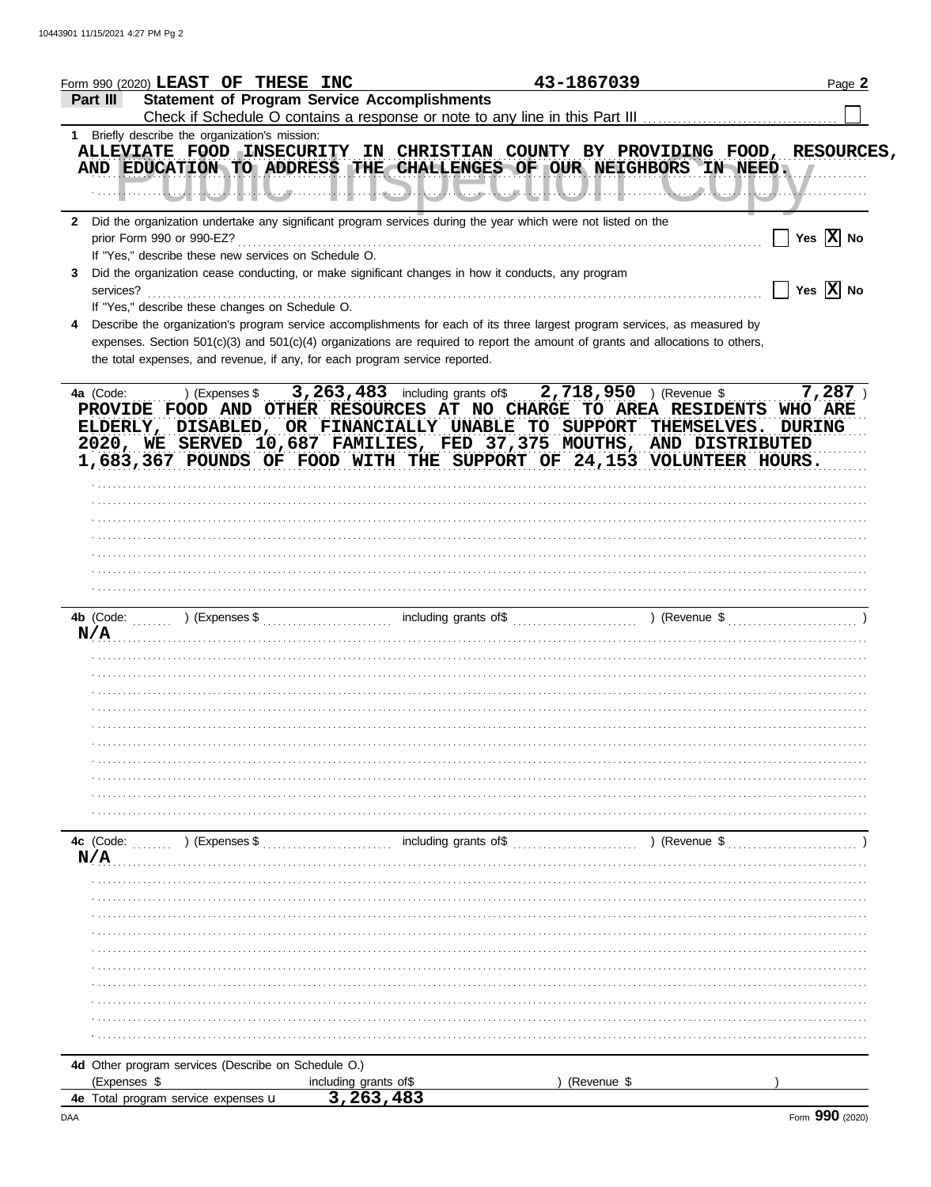| Form 990 (2020) $\bf LEAST$ OF THESE INC                                                                                                                                                                                                                                                                                                                                                           |                                                                                                                                                                                                                                                              | 43-1867039  | Page 2                       |
|----------------------------------------------------------------------------------------------------------------------------------------------------------------------------------------------------------------------------------------------------------------------------------------------------------------------------------------------------------------------------------------------------|--------------------------------------------------------------------------------------------------------------------------------------------------------------------------------------------------------------------------------------------------------------|-------------|------------------------------|
| Part III                                                                                                                                                                                                                                                                                                                                                                                           | <b>Statement of Program Service Accomplishments</b>                                                                                                                                                                                                          |             |                              |
| 1 Briefly describe the organization's mission:<br>ALLEVIATE FOOD INSECURITY IN CHRISTIAN COUNTY BY PROVIDING FOOD, RESOURCES,<br>AND EDUCATION TO ADDRESS THE CHALLENGES OF OUR NEIGHBORS IN NEED.                                                                                                                                                                                                 |                                                                                                                                                                                                                                                              |             |                              |
| $\mathbf{2}$<br>If "Yes," describe these new services on Schedule O.                                                                                                                                                                                                                                                                                                                               | Did the organization undertake any significant program services during the year which were not listed on the                                                                                                                                                 |             | $\Box$ Yes $\overline{X}$ No |
| 3<br>If "Yes," describe these changes on Schedule O.                                                                                                                                                                                                                                                                                                                                               | Did the organization cease conducting, or make significant changes in how it conducts, any program                                                                                                                                                           |             | $\Box$ Yes $\overline{X}$ No |
| 4<br>the total expenses, and revenue, if any, for each program service reported.                                                                                                                                                                                                                                                                                                                   | Describe the organization's program service accomplishments for each of its three largest program services, as measured by<br>expenses. Section 501(c)(3) and 501(c)(4) organizations are required to report the amount of grants and allocations to others, |             |                              |
| 4a (Code: ) (Expenses \$ 3, 263, 483 including grants of \$ 2, 718, 950 ) (Revenue \$ 7, 287 )<br>PROVIDE FOOD AND OTHER RESOURCES AT NO CHARGE TO AREA RESIDENTS WHO ARE<br>ELDERLY, DISABLED, OR FINANCIALLY UNABLE TO SUPPORT THEMSELVES. DURING<br>2020, WE SERVED 10,687 FAMILIES, FED 37,375 MOUTHS, AND DISTRIBUTED<br>1,683,367 POUNDS OF FOOD WITH THE SUPPORT OF 24,153 VOLUNTEER HOURS. |                                                                                                                                                                                                                                                              |             |                              |
|                                                                                                                                                                                                                                                                                                                                                                                                    |                                                                                                                                                                                                                                                              |             |                              |
|                                                                                                                                                                                                                                                                                                                                                                                                    |                                                                                                                                                                                                                                                              |             |                              |
| N/A                                                                                                                                                                                                                                                                                                                                                                                                |                                                                                                                                                                                                                                                              |             |                              |
|                                                                                                                                                                                                                                                                                                                                                                                                    |                                                                                                                                                                                                                                                              |             |                              |
|                                                                                                                                                                                                                                                                                                                                                                                                    |                                                                                                                                                                                                                                                              |             |                              |
| N/A                                                                                                                                                                                                                                                                                                                                                                                                |                                                                                                                                                                                                                                                              |             |                              |
|                                                                                                                                                                                                                                                                                                                                                                                                    |                                                                                                                                                                                                                                                              |             |                              |
|                                                                                                                                                                                                                                                                                                                                                                                                    |                                                                                                                                                                                                                                                              |             |                              |
| 4d Other program services (Describe on Schedule O.)<br>(Expenses \$                                                                                                                                                                                                                                                                                                                                | including grants of\$                                                                                                                                                                                                                                        | (Revenue \$ |                              |
| 4e Total program service expenses u                                                                                                                                                                                                                                                                                                                                                                | 3, 263, 483                                                                                                                                                                                                                                                  |             |                              |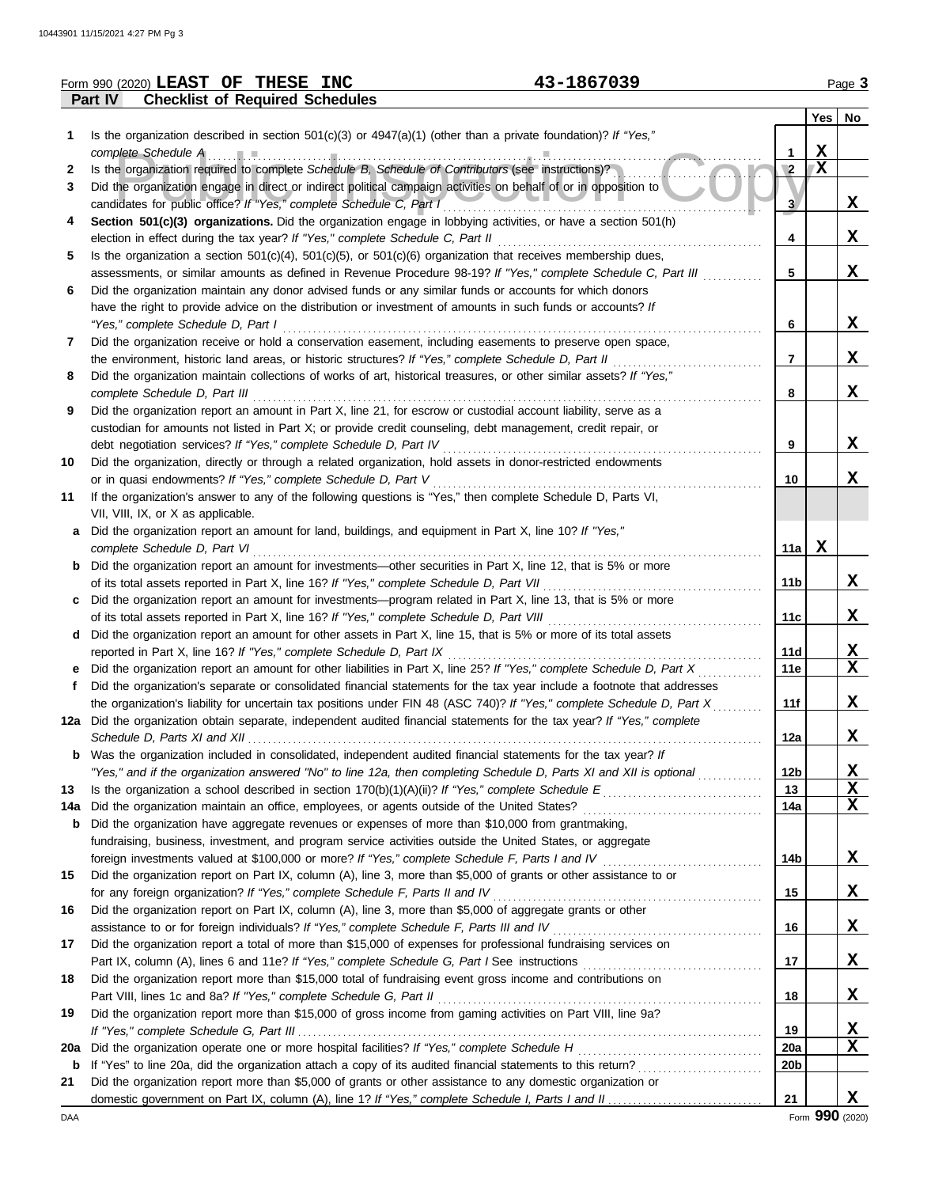|         | 43-1867039<br>Form 990 (2020) LEAST OF THESE INC                                                                                                                              |                        |              | Page 3                      |
|---------|-------------------------------------------------------------------------------------------------------------------------------------------------------------------------------|------------------------|--------------|-----------------------------|
|         | Part IV<br><b>Checklist of Required Schedules</b>                                                                                                                             |                        |              |                             |
|         |                                                                                                                                                                               |                        |              | Yes   No                    |
| 1.      | Is the organization described in section $501(c)(3)$ or $4947(a)(1)$ (other than a private foundation)? If "Yes,"                                                             |                        |              |                             |
|         | complete Schedule A                                                                                                                                                           | 1                      | X            |                             |
| 2       | Is the organization required to complete Schedule B, Schedule of Contributors (see instructions)?                                                                             | $\sqrt{2}$             | $\mathbf{X}$ |                             |
| 3       | Did the organization engage in direct or indirect political campaign activities on behalf of or in opposition to                                                              |                        |              |                             |
|         | candidates for public office? If "Yes," complete Schedule C, Part I                                                                                                           | 3 <sup>1</sup>         |              | X                           |
| 4       | Section 501(c)(3) organizations. Did the organization engage in lobbying activities, or have a section 501(h)                                                                 |                        |              |                             |
|         | election in effect during the tax year? If "Yes," complete Schedule C, Part II                                                                                                | 4                      |              | X                           |
| 5       | Is the organization a section $501(c)(4)$ , $501(c)(5)$ , or $501(c)(6)$ organization that receives membership dues,                                                          |                        |              |                             |
|         | assessments, or similar amounts as defined in Revenue Procedure 98-19? If "Yes," complete Schedule C, Part III                                                                | 5                      |              | X                           |
| 6       | Did the organization maintain any donor advised funds or any similar funds or accounts for which donors                                                                       |                        |              |                             |
|         | have the right to provide advice on the distribution or investment of amounts in such funds or accounts? If                                                                   |                        |              |                             |
|         | "Yes," complete Schedule D, Part I                                                                                                                                            | 6                      |              | X                           |
| 7       | Did the organization receive or hold a conservation easement, including easements to preserve open space,                                                                     |                        |              |                             |
|         | the environment, historic land areas, or historic structures? If "Yes," complete Schedule D, Part II                                                                          | 7                      |              | X                           |
| 8       | Did the organization maintain collections of works of art, historical treasures, or other similar assets? If "Yes,"                                                           |                        |              |                             |
|         | complete Schedule D, Part III                                                                                                                                                 | 8                      |              | X                           |
| 9       | Did the organization report an amount in Part X, line 21, for escrow or custodial account liability, serve as a                                                               |                        |              |                             |
|         | custodian for amounts not listed in Part X; or provide credit counseling, debt management, credit repair, or                                                                  |                        |              |                             |
|         | debt negotiation services? If "Yes," complete Schedule D, Part IV                                                                                                             | 9                      |              | X                           |
| 10      | Did the organization, directly or through a related organization, hold assets in donor-restricted endowments                                                                  |                        |              | X                           |
|         | or in quasi endowments? If "Yes," complete Schedule D, Part V<br>If the organization's answer to any of the following questions is "Yes," then complete Schedule D, Parts VI, | 10                     |              |                             |
| 11      | VII, VIII, IX, or X as applicable.                                                                                                                                            |                        |              |                             |
| а       | Did the organization report an amount for land, buildings, and equipment in Part X, line 10? If "Yes,"                                                                        |                        |              |                             |
|         | complete Schedule D, Part VI                                                                                                                                                  | 11a                    | X            |                             |
| b       | Did the organization report an amount for investments—other securities in Part X, line 12, that is 5% or more                                                                 |                        |              |                             |
|         | of its total assets reported in Part X, line 16? If "Yes," complete Schedule D, Part VII                                                                                      | 11 <sub>b</sub>        |              | X                           |
| c       | Did the organization report an amount for investments—program related in Part X, line 13, that is 5% or more                                                                  |                        |              |                             |
|         | of its total assets reported in Part X, line 16? If "Yes," complete Schedule D, Part VIII                                                                                     | 11c                    |              | $\mathbf x$                 |
| d       | Did the organization report an amount for other assets in Part X, line 15, that is 5% or more of its total assets                                                             |                        |              |                             |
|         | reported in Part X, line 16? If "Yes," complete Schedule D, Part IX                                                                                                           | 11d                    |              | $\mathbf x$                 |
|         | Did the organization report an amount for other liabilities in Part X, line 25? If "Yes," complete Schedule D, Part X                                                         | 11e                    |              | $\mathbf x$                 |
| f       | Did the organization's separate or consolidated financial statements for the tax year include a footnote that addresses                                                       |                        |              |                             |
|         | the organization's liability for uncertain tax positions under FIN 48 (ASC 740)? If "Yes," complete Schedule D, Part X                                                        | 11f                    |              | X                           |
|         | 12a Did the organization obtain separate, independent audited financial statements for the tax year? If "Yes," complete                                                       |                        |              |                             |
|         | Schedule D, Parts XI and XII                                                                                                                                                  | 12a                    |              | X                           |
| b       | Was the organization included in consolidated, independent audited financial statements for the tax year? If                                                                  |                        |              |                             |
|         | "Yes," and if the organization answered "No" to line 12a, then completing Schedule D, Parts XI and XII is optional                                                            | 12 <sub>b</sub>        |              | <u>х</u>                    |
| 13      | Is the organization a school described in section $170(b)(1)(A)(ii)?$ If "Yes," complete Schedule E                                                                           | 13                     |              | X                           |
| 14a     | Did the organization maintain an office, employees, or agents outside of the United States?                                                                                   | 14a                    |              | X                           |
| b       | Did the organization have aggregate revenues or expenses of more than \$10,000 from grantmaking,                                                                              |                        |              |                             |
|         | fundraising, business, investment, and program service activities outside the United States, or aggregate                                                                     |                        |              |                             |
|         |                                                                                                                                                                               | 14b                    |              | X                           |
| 15      | Did the organization report on Part IX, column (A), line 3, more than \$5,000 of grants or other assistance to or                                                             |                        |              |                             |
|         | for any foreign organization? If "Yes," complete Schedule F, Parts II and IV                                                                                                  | 15                     |              | X                           |
| 16      | Did the organization report on Part IX, column (A), line 3, more than \$5,000 of aggregate grants or other                                                                    |                        |              |                             |
|         |                                                                                                                                                                               | 16                     |              | X                           |
| 17      | Did the organization report a total of more than \$15,000 of expenses for professional fundraising services on                                                                |                        |              |                             |
|         |                                                                                                                                                                               | 17                     |              | X                           |
| 18      | Did the organization report more than \$15,000 total of fundraising event gross income and contributions on                                                                   |                        |              |                             |
|         | Part VIII, lines 1c and 8a? If "Yes," complete Schedule G, Part II                                                                                                            | 18                     |              | <u>x</u>                    |
| 19      | Did the organization report more than \$15,000 of gross income from gaming activities on Part VIII, line 9a?                                                                  |                        |              |                             |
|         |                                                                                                                                                                               | 19                     |              | $\mathbf{x}$<br>$\mathbf x$ |
| 20a     |                                                                                                                                                                               | 20a<br>20 <sub>b</sub> |              |                             |
| b<br>21 | Did the organization report more than \$5,000 of grants or other assistance to any domestic organization or                                                                   |                        |              |                             |
|         |                                                                                                                                                                               | 21                     |              | X                           |
| DAA     |                                                                                                                                                                               |                        |              | Form 990 (2020)             |
|         |                                                                                                                                                                               |                        |              |                             |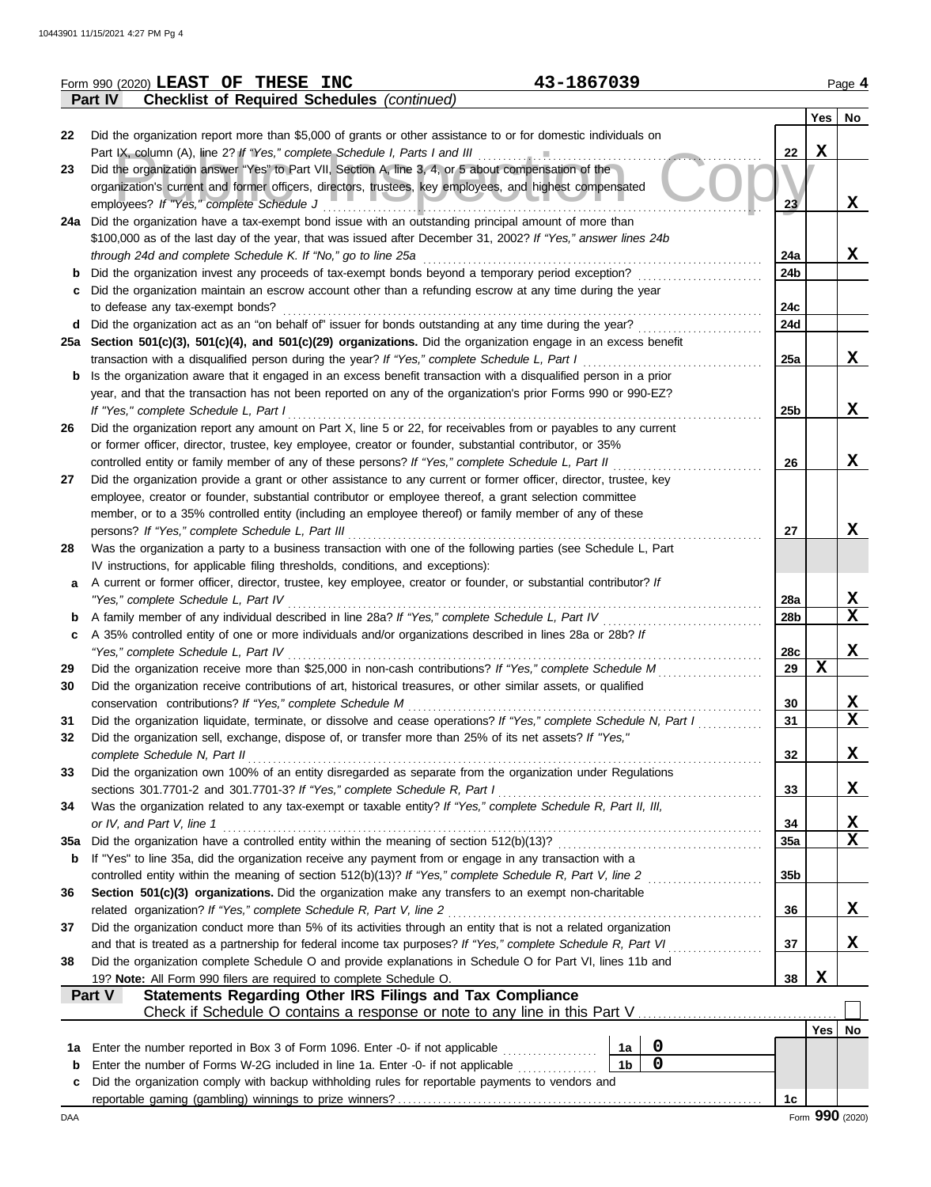|     | 43-1867039<br>Form 990 (2020) LEAST OF THESE INC                                                                                                      |                 |             | Page 4      |
|-----|-------------------------------------------------------------------------------------------------------------------------------------------------------|-----------------|-------------|-------------|
|     | <b>Checklist of Required Schedules (continued)</b><br><b>Part IV</b>                                                                                  |                 |             |             |
|     |                                                                                                                                                       |                 | Yes         | No          |
| 22  | Did the organization report more than \$5,000 of grants or other assistance to or for domestic individuals on                                         |                 |             |             |
|     |                                                                                                                                                       | 22              | $\mathbf X$ |             |
| 23  | Did the organization answer "Yes" to Part VII, Section A, line 3, 4, or 5 about compensation of the                                                   |                 |             |             |
|     | organization's current and former officers, directors, trustees, key employees, and highest compensated                                               |                 |             |             |
|     | employees? If "Yes," complete Schedule J                                                                                                              | 23              |             | x           |
|     | 24a Did the organization have a tax-exempt bond issue with an outstanding principal amount of more than                                               |                 |             |             |
|     | \$100,000 as of the last day of the year, that was issued after December 31, 2002? If "Yes," answer lines 24b                                         |                 |             |             |
|     | through 24d and complete Schedule K. If "No," go to line 25a                                                                                          | 24a             |             | X           |
|     | Did the organization invest any proceeds of tax-exempt bonds beyond a temporary period exception?                                                     | 24b             |             |             |
|     | Did the organization maintain an escrow account other than a refunding escrow at any time during the year                                             |                 |             |             |
|     | to defease any tax-exempt bonds?                                                                                                                      | 24c             |             |             |
| d   | Did the organization act as an "on behalf of" issuer for bonds outstanding at any time during the year?                                               | 24d             |             |             |
|     | 25a Section 501(c)(3), 501(c)(4), and 501(c)(29) organizations. Did the organization engage in an excess benefit                                      |                 |             |             |
|     | transaction with a disqualified person during the year? If "Yes," complete Schedule L, Part I                                                         | 25a             |             | x           |
| b   | Is the organization aware that it engaged in an excess benefit transaction with a disqualified person in a prior                                      |                 |             |             |
|     | year, and that the transaction has not been reported on any of the organization's prior Forms 990 or 990-EZ?<br>If "Yes," complete Schedule L, Part I | 25b             |             | x           |
|     | Did the organization report any amount on Part X, line 5 or 22, for receivables from or payables to any current                                       |                 |             |             |
| 26  | or former officer, director, trustee, key employee, creator or founder, substantial contributor, or 35%                                               |                 |             |             |
|     | controlled entity or family member of any of these persons? If "Yes," complete Schedule L, Part II                                                    | 26              |             | x           |
| 27  | Did the organization provide a grant or other assistance to any current or former officer, director, trustee, key                                     |                 |             |             |
|     | employee, creator or founder, substantial contributor or employee thereof, a grant selection committee                                                |                 |             |             |
|     | member, or to a 35% controlled entity (including an employee thereof) or family member of any of these                                                |                 |             |             |
|     | persons? If "Yes," complete Schedule L, Part III                                                                                                      | 27              |             | X           |
| 28  | Was the organization a party to a business transaction with one of the following parties (see Schedule L, Part                                        |                 |             |             |
|     | IV instructions, for applicable filing thresholds, conditions, and exceptions):                                                                       |                 |             |             |
| a   | A current or former officer, director, trustee, key employee, creator or founder, or substantial contributor? If                                      |                 |             |             |
|     | "Yes," complete Schedule L, Part IV                                                                                                                   | 28a             |             | X           |
| b   | A family member of any individual described in line 28a? If "Yes," complete Schedule L, Part IV                                                       | 28 <sub>b</sub> |             | X           |
| c   | A 35% controlled entity of one or more individuals and/or organizations described in lines 28a or 28b? If                                             |                 |             |             |
|     | "Yes," complete Schedule L, Part IV                                                                                                                   | 28c             |             | x           |
| 29  | Did the organization receive more than \$25,000 in non-cash contributions? If "Yes," complete Schedule M                                              | 29              | $\mathbf X$ |             |
| 30  | Did the organization receive contributions of art, historical treasures, or other similar assets, or qualified                                        |                 |             |             |
|     | conservation contributions? If "Yes," complete Schedule M                                                                                             | 30              |             | X           |
| 31  | Did the organization liquidate, terminate, or dissolve and cease operations? If "Yes," complete Schedule N, Part I                                    | 31              |             | X           |
| 32  | Did the organization sell, exchange, dispose of, or transfer more than 25% of its net assets? If "Yes,"                                               |                 |             |             |
|     | complete Schedule N, Part II                                                                                                                          | 32              |             | X           |
| 33  | Did the organization own 100% of an entity disregarded as separate from the organization under Regulations                                            |                 |             |             |
|     | sections 301.7701-2 and 301.7701-3? If "Yes," complete Schedule R, Part I                                                                             | 33              |             | X           |
| 34  | Was the organization related to any tax-exempt or taxable entity? If "Yes," complete Schedule R, Part II, III,                                        |                 |             |             |
|     | or IV, and Part V, line 1                                                                                                                             | 34              |             | X           |
| 35a | Did the organization have a controlled entity within the meaning of section 512(b)(13)?                                                               | 35a             |             | $\mathbf x$ |
| b   | If "Yes" to line 35a, did the organization receive any payment from or engage in any transaction with a                                               |                 |             |             |
|     | controlled entity within the meaning of section 512(b)(13)? If "Yes," complete Schedule R, Part V, line 2                                             | 35b             |             |             |
| 36  | Section 501(c)(3) organizations. Did the organization make any transfers to an exempt non-charitable                                                  |                 |             |             |
|     | related organization? If "Yes," complete Schedule R, Part V, line 2                                                                                   | 36              |             | X           |
| 37  | Did the organization conduct more than 5% of its activities through an entity that is not a related organization                                      |                 |             |             |
|     | and that is treated as a partnership for federal income tax purposes? If "Yes," complete Schedule R, Part VI                                          | 37              |             | X           |
| 38  | Did the organization complete Schedule O and provide explanations in Schedule O for Part VI, lines 11b and                                            |                 | X           |             |
|     | 19? Note: All Form 990 filers are required to complete Schedule O.<br>Statements Regarding Other IRS Filings and Tax Compliance<br>Part V             | 38              |             |             |
|     |                                                                                                                                                       |                 |             |             |
|     |                                                                                                                                                       |                 | Yes         | No          |
| 1a  | $\mathbf 0$<br>Enter the number reported in Box 3 of Form 1096. Enter -0- if not applicable<br>1a                                                     |                 |             |             |
| b   | $\mathbf 0$<br>1 <sub>b</sub><br>Enter the number of Forms W-2G included in line 1a. Enter -0- if not applicable                                      |                 |             |             |
| c   | Did the organization comply with backup withholding rules for reportable payments to vendors and                                                      |                 |             |             |
|     |                                                                                                                                                       | 1c              |             |             |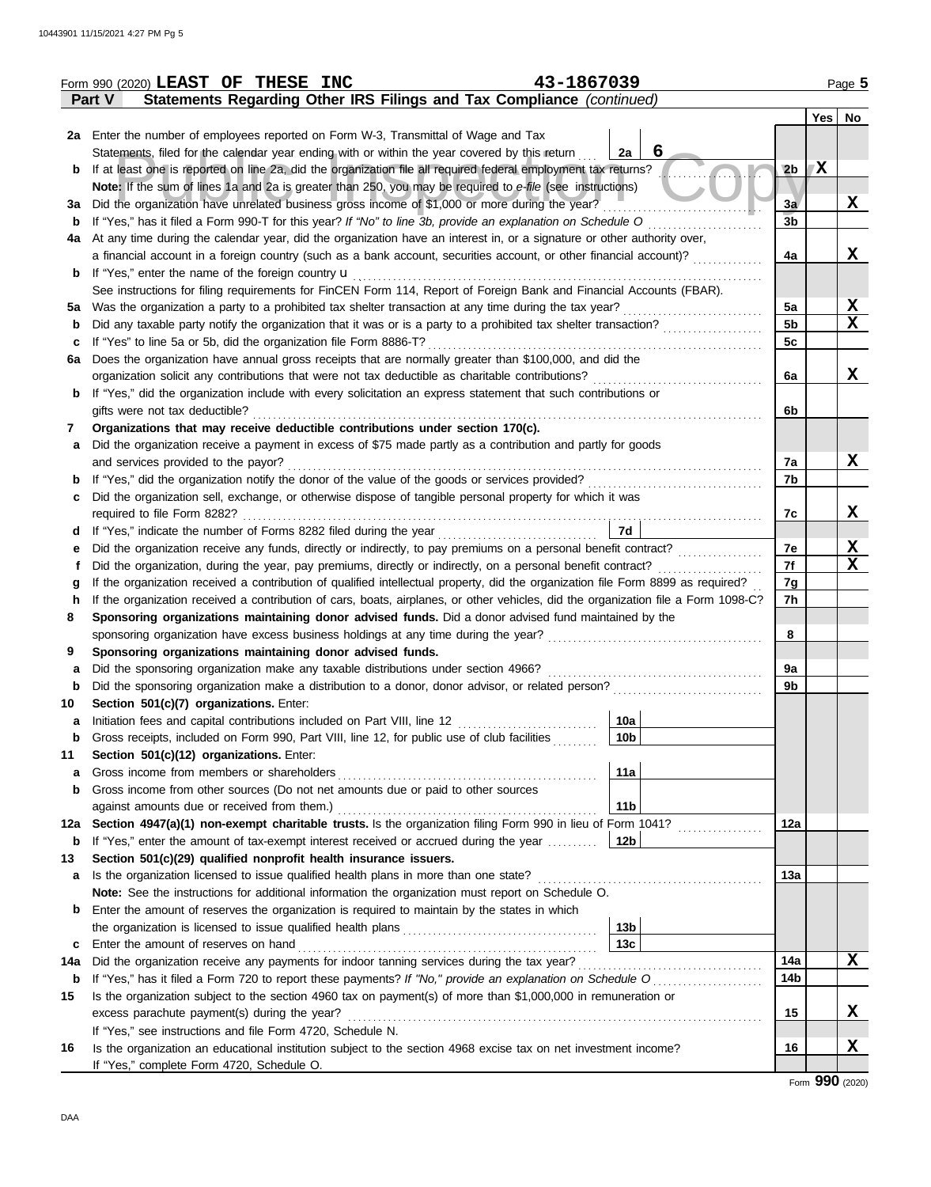|        | 43-1867039<br>Form 990 (2020) LEAST OF THESE INC                                                                                                             |                 |                |   | Page 5        |
|--------|--------------------------------------------------------------------------------------------------------------------------------------------------------------|-----------------|----------------|---|---------------|
|        | Statements Regarding Other IRS Filings and Tax Compliance (continued)<br><b>Part V</b>                                                                       |                 |                |   |               |
|        |                                                                                                                                                              |                 |                |   | $Yes \mid No$ |
|        | 2a Enter the number of employees reported on Form W-3, Transmittal of Wage and Tax                                                                           |                 |                |   |               |
|        | Statements, filed for the calendar year ending with or within the year covered by this return                                                                | 6<br>2a         |                |   |               |
| b      | If at least one is reported on line 2a, did the organization file all required federal employment tax returns?                                               |                 | 2 <sub>b</sub> | X |               |
|        | Note: If the sum of lines 1a and 2a is greater than 250, you may be required to e-file (see instructions)                                                    |                 |                |   |               |
| За     | Did the organization have unrelated business gross income of \$1,000 or more during the year?                                                                |                 | 3a             |   | X             |
| b      |                                                                                                                                                              |                 | 3 <sub>b</sub> |   |               |
| 4a     | At any time during the calendar year, did the organization have an interest in, or a signature or other authority over,                                      |                 |                |   |               |
|        | a financial account in a foreign country (such as a bank account, securities account, or other financial account)?                                           |                 | 4a             |   | x             |
| b      |                                                                                                                                                              |                 |                |   |               |
|        | See instructions for filing requirements for FinCEN Form 114, Report of Foreign Bank and Financial Accounts (FBAR).                                          |                 |                |   |               |
|        | 5a Was the organization a party to a prohibited tax shelter transaction at any time during the tax year?                                                     |                 | 5a             |   | X             |
| b      |                                                                                                                                                              |                 | 5 <sub>b</sub> |   | X             |
| c      | If "Yes" to line 5a or 5b, did the organization file Form 8886-T?                                                                                            |                 | 5c             |   |               |
| 6a     | Does the organization have annual gross receipts that are normally greater than \$100,000, and did the                                                       |                 |                |   |               |
|        |                                                                                                                                                              |                 | 6a             |   | X             |
| b      | If "Yes," did the organization include with every solicitation an express statement that such contributions or                                               |                 |                |   |               |
|        | gifts were not tax deductible?                                                                                                                               |                 | 6b             |   |               |
| 7      | Organizations that may receive deductible contributions under section 170(c).                                                                                |                 |                |   |               |
| a      | Did the organization receive a payment in excess of \$75 made partly as a contribution and partly for goods                                                  |                 |                |   |               |
|        | and services provided to the payor?                                                                                                                          |                 | 7a             |   | X             |
| b      |                                                                                                                                                              |                 | 7b             |   |               |
| c      | Did the organization sell, exchange, or otherwise dispose of tangible personal property for which it was                                                     |                 |                |   |               |
|        |                                                                                                                                                              | 7d              | 7c             |   | X             |
| d      |                                                                                                                                                              |                 | 7e             |   | X             |
| е<br>t |                                                                                                                                                              |                 | 7f             |   | $\mathbf X$   |
| g      | If the organization received a contribution of qualified intellectual property, did the organization file Form 8899 as required?                             |                 | 7g             |   |               |
| h      | If the organization received a contribution of cars, boats, airplanes, or other vehicles, did the organization file a Form 1098-C?                           |                 | 7h             |   |               |
| 8      | Sponsoring organizations maintaining donor advised funds. Did a donor advised fund maintained by the                                                         |                 |                |   |               |
|        |                                                                                                                                                              |                 | 8              |   |               |
| 9      | Sponsoring organizations maintaining donor advised funds.                                                                                                    |                 |                |   |               |
| a      | Did the sponsoring organization make any taxable distributions under section 4966?                                                                           |                 | 9a             |   |               |
| b      | Did the sponsoring organization make a distribution to a donor, donor advisor, or related person?                                                            |                 | 9 <sub>b</sub> |   |               |
| 10     | Section 501(c)(7) organizations. Enter:                                                                                                                      |                 |                |   |               |
| a      |                                                                                                                                                              | 10a             |                |   |               |
| b      | Gross receipts, included on Form 990, Part VIII, line 12, for public use of club facilities                                                                  | 10b             |                |   |               |
| 11     | Section 501(c)(12) organizations. Enter:                                                                                                                     |                 |                |   |               |
| a      | Gross income from members or shareholders                                                                                                                    | 11a             |                |   |               |
| b      | Gross income from other sources (Do not net amounts due or paid to other sources                                                                             |                 |                |   |               |
|        | against amounts due or received from them.)                                                                                                                  | 11 <sub>b</sub> |                |   |               |
| 12a    | Section 4947(a)(1) non-exempt charitable trusts. Is the organization filing Form 990 in lieu of Form 1041?                                                   |                 | 12a            |   |               |
| b      | If "Yes," enter the amount of tax-exempt interest received or accrued during the year                                                                        | 12 <sub>b</sub> |                |   |               |
| 13     | Section 501(c)(29) qualified nonprofit health insurance issuers.                                                                                             |                 |                |   |               |
| а      |                                                                                                                                                              |                 | 13a            |   |               |
|        | Note: See the instructions for additional information the organization must report on Schedule O.                                                            |                 |                |   |               |
| b      | Enter the amount of reserves the organization is required to maintain by the states in which                                                                 |                 |                |   |               |
|        |                                                                                                                                                              | 13 <sub>b</sub> |                |   |               |
| c      |                                                                                                                                                              | 13c             |                |   |               |
| 14a    |                                                                                                                                                              |                 | 14a            |   | X             |
| b      |                                                                                                                                                              |                 | 14b            |   |               |
| 15     | Is the organization subject to the section 4960 tax on payment(s) of more than \$1,000,000 in remuneration or                                                |                 |                |   |               |
|        | excess parachute payment(s) during the year?                                                                                                                 |                 | 15             |   | x             |
|        | If "Yes," see instructions and file Form 4720, Schedule N.                                                                                                   |                 |                |   | X             |
| 16     | Is the organization an educational institution subject to the section 4968 excise tax on net investment income?<br>If "Yes," complete Form 4720, Schedule O. |                 | 16             |   |               |
|        |                                                                                                                                                              |                 |                |   |               |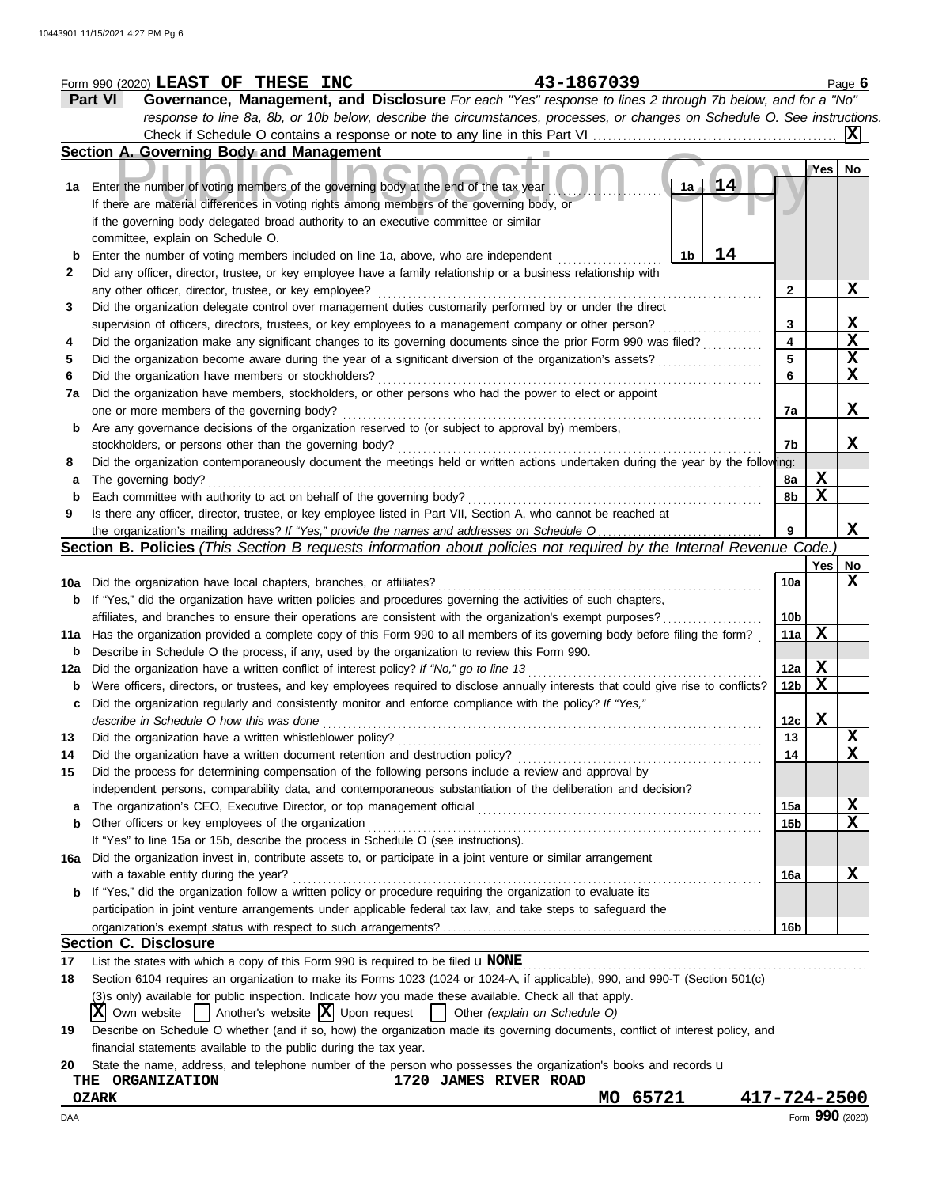|     | 43-1867039<br>Form 990 (2020) LEAST OF THESE INC                                                                                    |                 |                 | Page $6$     |
|-----|-------------------------------------------------------------------------------------------------------------------------------------|-----------------|-----------------|--------------|
|     | Part VI<br>Governance, Management, and Disclosure For each "Yes" response to lines 2 through 7b below, and for a "No"               |                 |                 |              |
|     | response to line 8a, 8b, or 10b below, describe the circumstances, processes, or changes on Schedule O. See instructions.           |                 |                 |              |
|     |                                                                                                                                     |                 |                 | IXI          |
|     | Section A. Governing Body and Management                                                                                            |                 |                 |              |
|     |                                                                                                                                     |                 | Yes             | No.          |
| 1a  | 14<br>1a<br>Enter the number of voting members of the governing body at the end of the tax year                                     |                 |                 |              |
|     | If there are material differences in voting rights among members of the governing body, or                                          |                 |                 |              |
|     | if the governing body delegated broad authority to an executive committee or similar                                                |                 |                 |              |
|     |                                                                                                                                     |                 |                 |              |
|     | committee, explain on Schedule O.                                                                                                   |                 |                 |              |
| b   | 14<br>Enter the number of voting members included on line 1a, above, who are independent<br>1b                                      |                 |                 |              |
| 2   | Did any officer, director, trustee, or key employee have a family relationship or a business relationship with                      |                 |                 |              |
|     | any other officer, director, trustee, or key employee?                                                                              | 2               |                 | <u>x</u>     |
| 3   | Did the organization delegate control over management duties customarily performed by or under the direct                           |                 |                 |              |
|     | supervision of officers, directors, trustees, or key employees to a management company or other person?                             | 3               |                 | $\mathbf{x}$ |
| 4   | Did the organization make any significant changes to its governing documents since the prior Form 990 was filed?                    | 4               |                 | X            |
| 5   | Did the organization become aware during the year of a significant diversion of the organization's assets?                          | 5               |                 | X            |
| 6   | Did the organization have members or stockholders?                                                                                  | 6               |                 | X            |
| 7a  | Did the organization have members, stockholders, or other persons who had the power to elect or appoint                             |                 |                 |              |
|     | one or more members of the governing body?                                                                                          | 7a              |                 | X            |
| b   | Are any governance decisions of the organization reserved to (or subject to approval by) members,                                   |                 |                 |              |
|     | stockholders, or persons other than the governing body?                                                                             | 7b              |                 | X            |
| 8   | Did the organization contemporaneously document the meetings held or written actions undertaken during the year by the following:   |                 |                 |              |
| а   | The governing body?                                                                                                                 | 8a              | X               |              |
| b   | Each committee with authority to act on behalf of the governing body?                                                               | 8b              | X               |              |
|     |                                                                                                                                     |                 |                 |              |
| 9   | Is there any officer, director, trustee, or key employee listed in Part VII, Section A, who cannot be reached at                    |                 |                 |              |
|     |                                                                                                                                     | 9               |                 | X            |
|     | Section B. Policies (This Section B requests information about policies not required by the Internal Revenue Code.)                 |                 |                 |              |
|     |                                                                                                                                     |                 | Yes             | No           |
| 10a | Did the organization have local chapters, branches, or affiliates?                                                                  | 10a             |                 | X            |
| b   | If "Yes," did the organization have written policies and procedures governing the activities of such chapters,                      |                 |                 |              |
|     | affiliates, and branches to ensure their operations are consistent with the organization's exempt purposes?                         | 10 <sub>b</sub> |                 |              |
| 11a | Has the organization provided a complete copy of this Form 990 to all members of its governing body before filing the form?         | 11a             | X               |              |
| b   | Describe in Schedule O the process, if any, used by the organization to review this Form 990.                                       |                 |                 |              |
| 12a | Did the organization have a written conflict of interest policy? If "No," go to line 13                                             | 12a             | X               |              |
| b   | Were officers, directors, or trustees, and key employees required to disclose annually interests that could give rise to conflicts? | 12b             | X               |              |
| с   | Did the organization regularly and consistently monitor and enforce compliance with the policy? If "Yes,"                           |                 |                 |              |
|     | describe in Schedule O how this was done                                                                                            | 12c             | X               |              |
| 13  | Did the organization have a written whistleblower policy?                                                                           | 13              |                 | X            |
| 14  | Did the organization have a written document retention and destruction policy?                                                      | 14              |                 | X            |
| 15  | Did the process for determining compensation of the following persons include a review and approval by                              |                 |                 |              |
|     | independent persons, comparability data, and contemporaneous substantiation of the deliberation and decision?                       |                 |                 |              |
|     |                                                                                                                                     |                 |                 |              |
| a   | The organization's CEO, Executive Director, or top management official                                                              | 15a             |                 | X            |
| b   | Other officers or key employees of the organization                                                                                 | 15b             |                 | $\mathbf X$  |
|     | If "Yes" to line 15a or 15b, describe the process in Schedule O (see instructions).                                                 |                 |                 |              |
| 16а | Did the organization invest in, contribute assets to, or participate in a joint venture or similar arrangement                      |                 |                 |              |
|     | with a taxable entity during the year?                                                                                              | 16a             |                 | X            |
| b   | If "Yes," did the organization follow a written policy or procedure requiring the organization to evaluate its                      |                 |                 |              |
|     | participation in joint venture arrangements under applicable federal tax law, and take steps to safeguard the                       |                 |                 |              |
|     |                                                                                                                                     | 16b             |                 |              |
|     | <b>Section C. Disclosure</b>                                                                                                        |                 |                 |              |
| 17  | List the states with which a copy of this Form 990 is required to be filed $\mathbf u$ NONE                                         |                 |                 |              |
| 18  | Section 6104 requires an organization to make its Forms 1023 (1024 or 1024-A, if applicable), 990, and 990-T (Section 501(c)        |                 |                 |              |
|     | (3)s only) available for public inspection. Indicate how you made these available. Check all that apply.                            |                 |                 |              |
|     | Own website     Another's website  X  Upon request     Other (explain on Schedule O)<br>ΧI                                          |                 |                 |              |
| 19  | Describe on Schedule O whether (and if so, how) the organization made its governing documents, conflict of interest policy, and     |                 |                 |              |
|     | financial statements available to the public during the tax year.                                                                   |                 |                 |              |
|     |                                                                                                                                     |                 |                 |              |
| 20  | State the name, address, and telephone number of the person who possesses the organization's books and records u                    |                 |                 |              |
|     | 1720 JAMES RIVER ROAD<br>THE ORGANIZATION                                                                                           |                 |                 |              |
|     | MO 65721<br>417-724-2500<br><b>OZARK</b>                                                                                            |                 |                 |              |
| DAA |                                                                                                                                     |                 | Form 990 (2020) |              |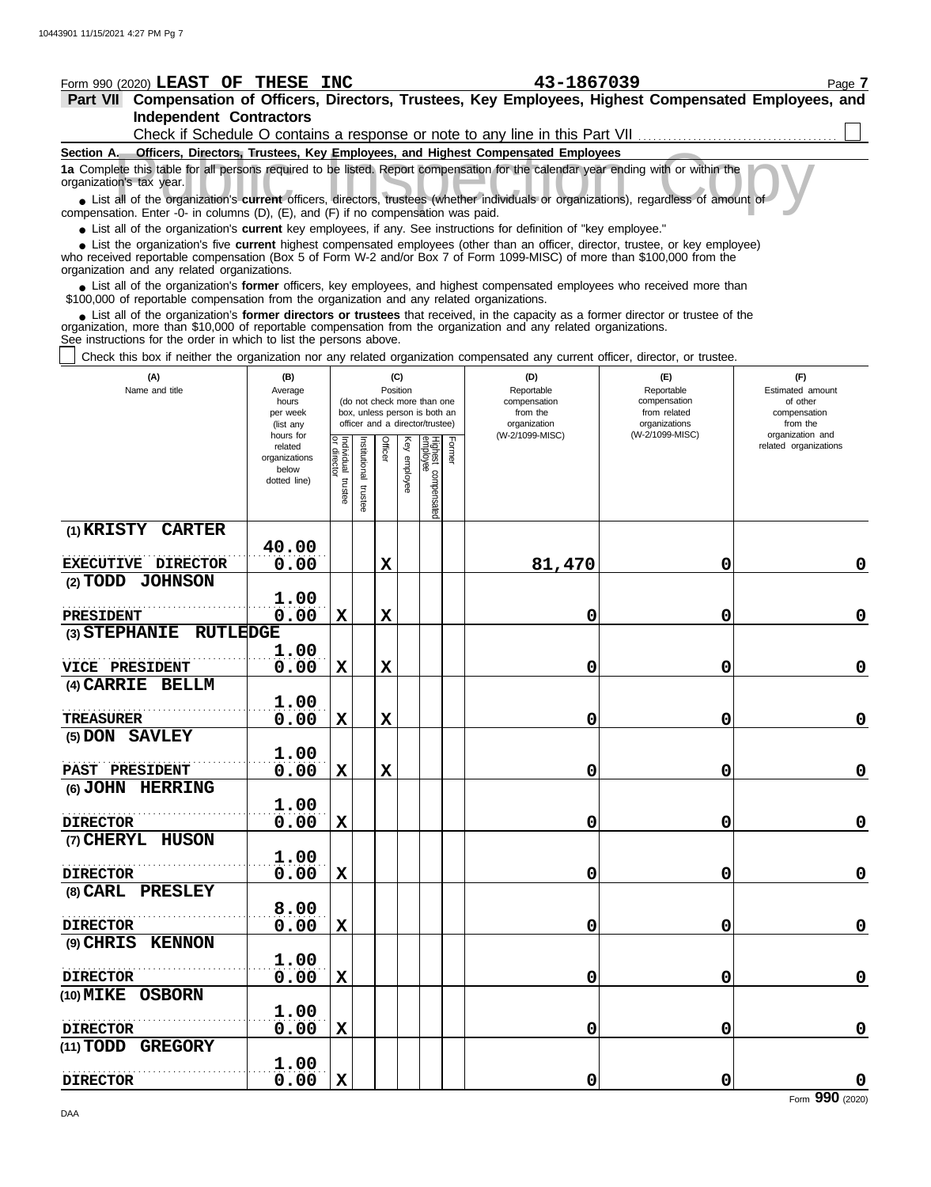| Form 990 (2020) LEAST OF THESE INC                                                                                                                                                                                                                                                                                            |                          |                                   |               |             |              |                                                                  |        | 43-1867039                                                                   |                               | Page 7                                    |
|-------------------------------------------------------------------------------------------------------------------------------------------------------------------------------------------------------------------------------------------------------------------------------------------------------------------------------|--------------------------|-----------------------------------|---------------|-------------|--------------|------------------------------------------------------------------|--------|------------------------------------------------------------------------------|-------------------------------|-------------------------------------------|
| Part VII Compensation of Officers, Directors, Trustees, Key Employees, Highest Compensated Employees, and<br><b>Independent Contractors</b>                                                                                                                                                                                   |                          |                                   |               |             |              |                                                                  |        |                                                                              |                               |                                           |
|                                                                                                                                                                                                                                                                                                                               |                          |                                   |               |             |              |                                                                  |        | Check if Schedule O contains a response or note to any line in this Part VII |                               |                                           |
| Section A. Officers, Directors, Trustees, Key Employees, and Highest Compensated Employees                                                                                                                                                                                                                                    |                          |                                   |               |             |              |                                                                  |        |                                                                              |                               |                                           |
| 1a Complete this table for all persons required to be listed. Report compensation for the calendar year ending with or within the<br>organization's tax year.                                                                                                                                                                 |                          |                                   |               |             |              |                                                                  |        |                                                                              |                               |                                           |
| • List all of the organization's current officers, directors, trustees (whether individuals or organizations), regardless of amount of<br>compensation. Enter -0- in columns (D), (E), and (F) if no compensation was paid.                                                                                                   |                          |                                   |               |             |              |                                                                  |        |                                                                              |                               |                                           |
| • List all of the organization's current key employees, if any. See instructions for definition of "key employee."                                                                                                                                                                                                            |                          |                                   |               |             |              |                                                                  |        |                                                                              |                               |                                           |
| • List the organization's five current highest compensated employees (other than an officer, director, trustee, or key employee)<br>who received reportable compensation (Box 5 of Form W-2 and/or Box 7 of Form 1099-MISC) of more than \$100,000 from the<br>organization and any related organizations.                    |                          |                                   |               |             |              |                                                                  |        |                                                                              |                               |                                           |
| • List all of the organization's former officers, key employees, and highest compensated employees who received more than<br>\$100,000 of reportable compensation from the organization and any related organizations.                                                                                                        |                          |                                   |               |             |              |                                                                  |        |                                                                              |                               |                                           |
| • List all of the organization's former directors or trustees that received, in the capacity as a former director or trustee of the<br>organization, more than \$10,000 of reportable compensation from the organization and any related organizations.<br>See instructions for the order in which to list the persons above. |                          |                                   |               |             |              |                                                                  |        |                                                                              |                               |                                           |
| Check this box if neither the organization nor any related organization compensated any current officer, director, or trustee.                                                                                                                                                                                                |                          |                                   |               |             |              |                                                                  |        |                                                                              |                               |                                           |
| (A)                                                                                                                                                                                                                                                                                                                           | (B)                      |                                   |               | (C)         |              |                                                                  |        | (D)                                                                          | (E)                           | (F)                                       |
| Name and title                                                                                                                                                                                                                                                                                                                | Average<br>hours         |                                   |               | Position    |              | (do not check more than one                                      |        | Reportable<br>compensation                                                   | Reportable<br>compensation    | Estimated amount<br>of other              |
|                                                                                                                                                                                                                                                                                                                               | per week<br>(list any    |                                   |               |             |              | box, unless person is both an<br>officer and a director/trustee) |        | from the<br>organization                                                     | from related<br>organizations | compensation<br>from the                  |
|                                                                                                                                                                                                                                                                                                                               | hours for                |                                   |               |             |              |                                                                  |        | (W-2/1099-MISC)                                                              | (W-2/1099-MISC)               | organization and<br>related organizations |
|                                                                                                                                                                                                                                                                                                                               | related<br>organizations |                                   | Institutional | Officer     | Key employee |                                                                  | Former |                                                                              |                               |                                           |
|                                                                                                                                                                                                                                                                                                                               | below<br>dotted line)    |                                   |               |             |              |                                                                  |        |                                                                              |                               |                                           |
|                                                                                                                                                                                                                                                                                                                               |                          | Individual trustee<br>or director | trustee       |             |              | Highest compensated<br>employee                                  |        |                                                                              |                               |                                           |
| $(1)$ KRISTY<br><b>CARTER</b>                                                                                                                                                                                                                                                                                                 |                          |                                   |               |             |              |                                                                  |        |                                                                              |                               |                                           |
|                                                                                                                                                                                                                                                                                                                               | 40.00                    |                                   |               |             |              |                                                                  |        |                                                                              |                               |                                           |
| EXECUTIVE DIRECTOR                                                                                                                                                                                                                                                                                                            | 0.00                     |                                   |               | $\mathbf x$ |              |                                                                  |        | 81,470                                                                       | 0                             | 0                                         |
| (2) TODD JOHNSON                                                                                                                                                                                                                                                                                                              |                          |                                   |               |             |              |                                                                  |        |                                                                              |                               |                                           |
|                                                                                                                                                                                                                                                                                                                               | 1.00                     |                                   |               |             |              |                                                                  |        |                                                                              |                               |                                           |
| <b>PRESIDENT</b>                                                                                                                                                                                                                                                                                                              | 0.00                     | X                                 |               | $\mathbf x$ |              |                                                                  |        | 0                                                                            | 0                             | 0                                         |
| <b>RUTLEDGE</b><br>(3) STEPHANIE                                                                                                                                                                                                                                                                                              | 1.00                     |                                   |               |             |              |                                                                  |        |                                                                              |                               |                                           |
| <b>VICE PRESIDENT</b>                                                                                                                                                                                                                                                                                                         | 0.00                     | X                                 |               | X           |              |                                                                  |        | 0                                                                            | 0                             | $\mathbf 0$                               |
| $(4)$ CARRIE<br><b>BELLM</b>                                                                                                                                                                                                                                                                                                  |                          |                                   |               |             |              |                                                                  |        |                                                                              |                               |                                           |
|                                                                                                                                                                                                                                                                                                                               | 1.00                     |                                   |               |             |              |                                                                  |        |                                                                              |                               |                                           |
| <b>TREASURER</b>                                                                                                                                                                                                                                                                                                              | 0.00                     | $\mathbf x$                       |               | X           |              |                                                                  |        | 0                                                                            | 0                             | $\mathbf 0$                               |
| (5) DON SAVLEY                                                                                                                                                                                                                                                                                                                |                          |                                   |               |             |              |                                                                  |        |                                                                              |                               |                                           |
|                                                                                                                                                                                                                                                                                                                               | 1.00                     |                                   |               |             |              |                                                                  |        |                                                                              |                               |                                           |
| PAST PRESIDENT                                                                                                                                                                                                                                                                                                                | 0.00                     | X                                 |               | $\mathbf X$ |              |                                                                  |        | 0                                                                            | 0                             | $\mathbf 0$                               |
| (6) JOHN HERRING                                                                                                                                                                                                                                                                                                              | 1.00                     |                                   |               |             |              |                                                                  |        |                                                                              |                               |                                           |
| <b>DIRECTOR</b>                                                                                                                                                                                                                                                                                                               | 0.00                     | $\mathbf X$                       |               |             |              |                                                                  |        | 0                                                                            | 0                             | $\mathbf 0$                               |
| (7) CHERYL HUSON                                                                                                                                                                                                                                                                                                              |                          |                                   |               |             |              |                                                                  |        |                                                                              |                               |                                           |
|                                                                                                                                                                                                                                                                                                                               | 1.00                     |                                   |               |             |              |                                                                  |        |                                                                              |                               |                                           |
| <b>DIRECTOR</b>                                                                                                                                                                                                                                                                                                               | 0.00                     | $\mathbf X$                       |               |             |              |                                                                  |        | 0                                                                            | 0                             | $\mathbf 0$                               |
| (8) CARL PRESLEY                                                                                                                                                                                                                                                                                                              |                          |                                   |               |             |              |                                                                  |        |                                                                              |                               |                                           |
|                                                                                                                                                                                                                                                                                                                               | 8.00                     |                                   |               |             |              |                                                                  |        |                                                                              |                               |                                           |
| <b>DIRECTOR</b>                                                                                                                                                                                                                                                                                                               | 0.00                     | $\mathbf X$                       |               |             |              |                                                                  |        | 0                                                                            | 0                             | $\mathbf 0$                               |
| (9) CHRIS KENNON                                                                                                                                                                                                                                                                                                              | 1.00                     |                                   |               |             |              |                                                                  |        |                                                                              |                               |                                           |
| <b>DIRECTOR</b>                                                                                                                                                                                                                                                                                                               | 0.00                     | $\mathbf X$                       |               |             |              |                                                                  |        | 0                                                                            | 0                             | $\mathbf 0$                               |
| (10) MIKE OSBORN                                                                                                                                                                                                                                                                                                              |                          |                                   |               |             |              |                                                                  |        |                                                                              |                               |                                           |
|                                                                                                                                                                                                                                                                                                                               | 1.00                     |                                   |               |             |              |                                                                  |        |                                                                              |                               |                                           |
| <b>DIRECTOR</b>                                                                                                                                                                                                                                                                                                               | 0.00                     | $\mathbf X$                       |               |             |              |                                                                  |        | 0                                                                            | 0                             | $\mathbf 0$                               |
| (11) TODD GREGORY                                                                                                                                                                                                                                                                                                             |                          |                                   |               |             |              |                                                                  |        |                                                                              |                               |                                           |

**0.00 X 0 0 0**

**DIRECTOR**

. . . . . . . . . . . . . . . . . . . . . . . . . . . . . . . . . . . . . . . . . . . . . . . . . . . . . **1.00**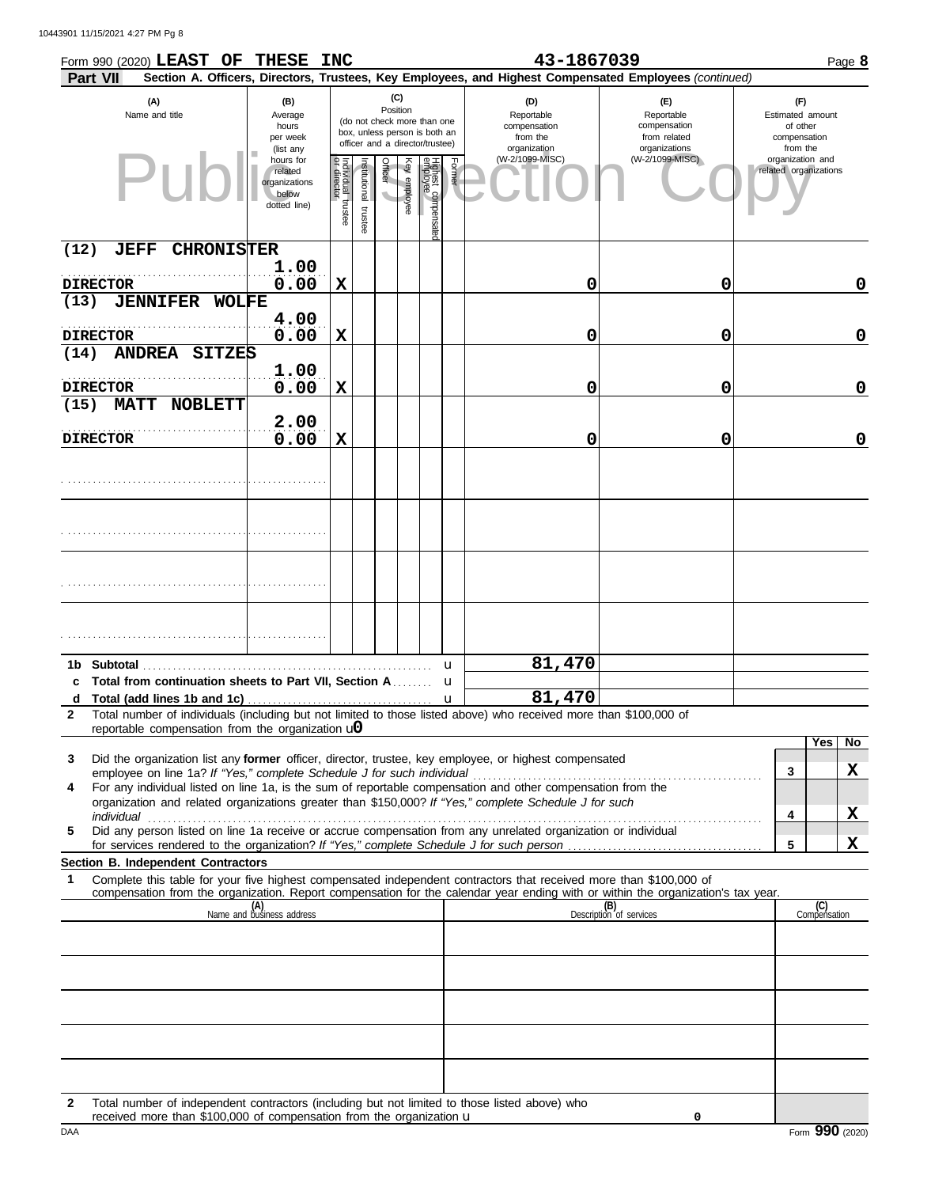| Part VII                               | Form 990 (2020) LEAST OF THESE                                                                                                                                                                  |                                                                | <b>INC</b>                        |                      |         |              |                                 |        | 43-1867039<br>Section A. Officers, Directors, Trustees, Key Employees, and Highest Compensated Employees (continued)                                                                                                                                   |                                                                    |                                                                 | Page 8              |
|----------------------------------------|-------------------------------------------------------------------------------------------------------------------------------------------------------------------------------------------------|----------------------------------------------------------------|-----------------------------------|----------------------|---------|--------------|---------------------------------|--------|--------------------------------------------------------------------------------------------------------------------------------------------------------------------------------------------------------------------------------------------------------|--------------------------------------------------------------------|-----------------------------------------------------------------|---------------------|
|                                        | (C)<br>(A)<br>(B)<br>Position<br>Name and title<br>Average<br>(do not check more than one<br>hours<br>box, unless person is both an<br>per week<br>officer and a director/trustee)<br>(list any |                                                                |                                   |                      |         |              |                                 |        | (D)<br>Reportable<br>compensation<br>from the<br>organization                                                                                                                                                                                          | (E)<br>Reportable<br>compensation<br>from related<br>organizations | (F)<br>Estimated amount<br>of other<br>compensation<br>from the |                     |
|                                        |                                                                                                                                                                                                 | hours for<br>related<br>organizations<br>below<br>dotted line) | Individual trustee<br>or director | nstitutional trustee | Officer | Key employee | Highest compensated<br>employee | Former | (W-2/1099-MISC)                                                                                                                                                                                                                                        | (W-2/1099-MISC)                                                    | organization and<br>related organizations                       |                     |
| (12)<br><b>JEFF</b>                    | <b>CHRONISTER</b>                                                                                                                                                                               |                                                                |                                   |                      |         |              |                                 |        |                                                                                                                                                                                                                                                        |                                                                    |                                                                 |                     |
| <b>DIRECTOR</b>                        |                                                                                                                                                                                                 | 1.00<br>0.00                                                   | $\mathbf x$                       |                      |         |              |                                 |        | 0                                                                                                                                                                                                                                                      | 0                                                                  |                                                                 | 0                   |
| (13)                                   | <b>JENNIFER WOLFE</b>                                                                                                                                                                           |                                                                |                                   |                      |         |              |                                 |        |                                                                                                                                                                                                                                                        |                                                                    |                                                                 |                     |
| <b>DIRECTOR</b>                        |                                                                                                                                                                                                 | 4.00<br>0.00                                                   | $\mathbf X$                       |                      |         |              |                                 |        | 0                                                                                                                                                                                                                                                      | 0                                                                  |                                                                 | $\mathbf 0$         |
| (14)                                   | ANDREA SITZES                                                                                                                                                                                   |                                                                |                                   |                      |         |              |                                 |        |                                                                                                                                                                                                                                                        |                                                                    |                                                                 |                     |
|                                        |                                                                                                                                                                                                 | 1.00                                                           |                                   |                      |         |              |                                 |        |                                                                                                                                                                                                                                                        |                                                                    |                                                                 | $\mathbf 0$         |
| <b>DIRECTOR</b><br>(15)<br><b>MATT</b> | <b>NOBLETT</b>                                                                                                                                                                                  | 0.00                                                           | X                                 |                      |         |              |                                 |        | 0                                                                                                                                                                                                                                                      | 0                                                                  |                                                                 |                     |
|                                        |                                                                                                                                                                                                 | 2.00                                                           |                                   |                      |         |              |                                 |        |                                                                                                                                                                                                                                                        |                                                                    |                                                                 |                     |
| <b>DIRECTOR</b>                        |                                                                                                                                                                                                 | 0.00                                                           | $\mathbf x$                       |                      |         |              |                                 |        | 0                                                                                                                                                                                                                                                      | 0                                                                  |                                                                 | $\mathbf 0$         |
|                                        |                                                                                                                                                                                                 |                                                                |                                   |                      |         |              |                                 |        |                                                                                                                                                                                                                                                        |                                                                    |                                                                 |                     |
|                                        |                                                                                                                                                                                                 |                                                                |                                   |                      |         |              |                                 |        |                                                                                                                                                                                                                                                        |                                                                    |                                                                 |                     |
|                                        |                                                                                                                                                                                                 |                                                                |                                   |                      |         |              |                                 |        |                                                                                                                                                                                                                                                        |                                                                    |                                                                 |                     |
|                                        |                                                                                                                                                                                                 |                                                                |                                   |                      |         |              |                                 |        |                                                                                                                                                                                                                                                        |                                                                    |                                                                 |                     |
|                                        |                                                                                                                                                                                                 |                                                                |                                   |                      |         |              |                                 |        |                                                                                                                                                                                                                                                        |                                                                    |                                                                 |                     |
|                                        |                                                                                                                                                                                                 |                                                                |                                   |                      |         |              |                                 | u      | 81,470                                                                                                                                                                                                                                                 |                                                                    |                                                                 |                     |
|                                        | c Total from continuation sheets to Part VII, Section A                                                                                                                                         |                                                                |                                   |                      |         |              |                                 | u      |                                                                                                                                                                                                                                                        |                                                                    |                                                                 |                     |
| d<br>$\mathbf{2}$                      |                                                                                                                                                                                                 |                                                                |                                   |                      |         |              |                                 | u      | 81,470<br>Total number of individuals (including but not limited to those listed above) who received more than \$100,000 of                                                                                                                            |                                                                    |                                                                 |                     |
|                                        | reportable compensation from the organization $\mathbf{u}$                                                                                                                                      |                                                                |                                   |                      |         |              |                                 |        |                                                                                                                                                                                                                                                        |                                                                    |                                                                 | Yes<br>No           |
| 3                                      |                                                                                                                                                                                                 |                                                                |                                   |                      |         |              |                                 |        | Did the organization list any <b>former</b> officer, director, trustee, key employee, or highest compensated                                                                                                                                           |                                                                    | 3                                                               | X                   |
| 4                                      |                                                                                                                                                                                                 |                                                                |                                   |                      |         |              |                                 |        | For any individual listed on line 1a, is the sum of reportable compensation and other compensation from the                                                                                                                                            |                                                                    |                                                                 |                     |
| individual                             |                                                                                                                                                                                                 |                                                                |                                   |                      |         |              |                                 |        | organization and related organizations greater than \$150,000? If "Yes," complete Schedule J for such                                                                                                                                                  |                                                                    | 4                                                               | x                   |
| 5                                      |                                                                                                                                                                                                 |                                                                |                                   |                      |         |              |                                 |        | Did any person listed on line 1a receive or accrue compensation from any unrelated organization or individual                                                                                                                                          |                                                                    | 5                                                               | X                   |
|                                        | Section B. Independent Contractors                                                                                                                                                              |                                                                |                                   |                      |         |              |                                 |        |                                                                                                                                                                                                                                                        |                                                                    |                                                                 |                     |
| 1                                      |                                                                                                                                                                                                 |                                                                |                                   |                      |         |              |                                 |        | Complete this table for your five highest compensated independent contractors that received more than \$100,000 of<br>compensation from the organization. Report compensation for the calendar year ending with or within the organization's tax year. |                                                                    |                                                                 |                     |
|                                        |                                                                                                                                                                                                 | (A)<br>Name and business address                               |                                   |                      |         |              |                                 |        |                                                                                                                                                                                                                                                        | (B)<br>Description of services                                     |                                                                 | (C)<br>Compensation |
|                                        |                                                                                                                                                                                                 |                                                                |                                   |                      |         |              |                                 |        |                                                                                                                                                                                                                                                        |                                                                    |                                                                 |                     |
|                                        |                                                                                                                                                                                                 |                                                                |                                   |                      |         |              |                                 |        |                                                                                                                                                                                                                                                        |                                                                    |                                                                 |                     |
|                                        |                                                                                                                                                                                                 |                                                                |                                   |                      |         |              |                                 |        |                                                                                                                                                                                                                                                        |                                                                    |                                                                 |                     |
|                                        |                                                                                                                                                                                                 |                                                                |                                   |                      |         |              |                                 |        |                                                                                                                                                                                                                                                        |                                                                    |                                                                 |                     |
|                                        |                                                                                                                                                                                                 |                                                                |                                   |                      |         |              |                                 |        |                                                                                                                                                                                                                                                        |                                                                    |                                                                 |                     |
|                                        |                                                                                                                                                                                                 |                                                                |                                   |                      |         |              |                                 |        |                                                                                                                                                                                                                                                        |                                                                    |                                                                 |                     |
|                                        |                                                                                                                                                                                                 |                                                                |                                   |                      |         |              |                                 |        |                                                                                                                                                                                                                                                        |                                                                    |                                                                 |                     |

**2** Total number of independent contractors (including but not limited to those listed above) who received more than \$100,000 of compensation from the organization u

**0**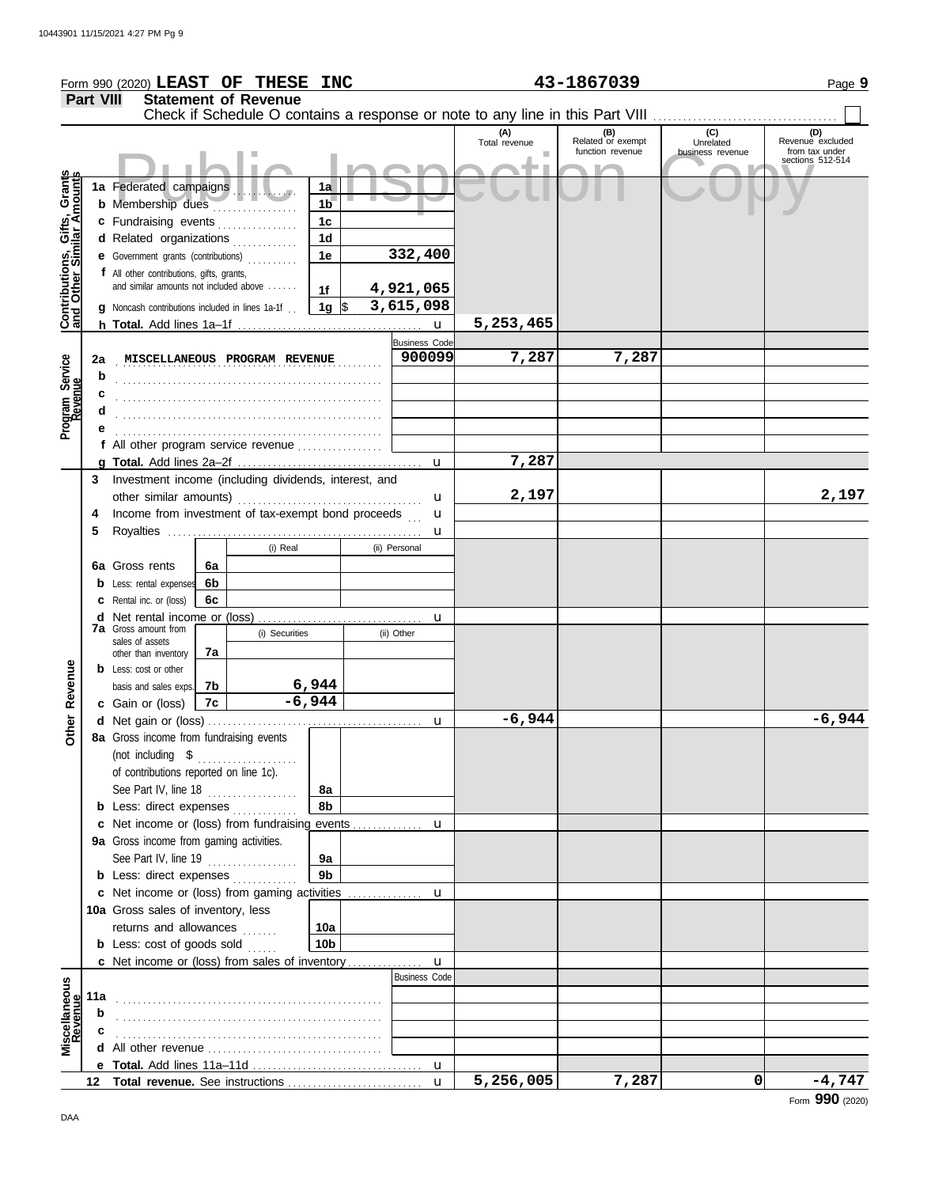|                                                           |                                                         | Form 990 (2020) LEAST OF THESE INC                                                  |    |                               |                   |               |                                     |                      | 43-1867039                                   |                                                 | Page 9                                    |
|-----------------------------------------------------------|---------------------------------------------------------|-------------------------------------------------------------------------------------|----|-------------------------------|-------------------|---------------|-------------------------------------|----------------------|----------------------------------------------|-------------------------------------------------|-------------------------------------------|
|                                                           | <b>Part VIII</b>                                        |                                                                                     |    | <b>Statement of Revenue</b>   |                   |               |                                     |                      |                                              |                                                 |                                           |
|                                                           |                                                         |                                                                                     |    |                               |                   |               |                                     | (A)<br>Total revenue | (B)<br>Related or exempt<br>function revenue | $\overline{C}$<br>Unrelated<br>business revenue | (D)<br>Revenue excluded<br>from tax under |
|                                                           |                                                         |                                                                                     |    |                               |                   |               |                                     |                      |                                              |                                                 | sections 512-514                          |
| Contributions, Gifts, Grants<br>and Other Similar Amounts |                                                         | 1a Federated campaigns                                                              |    |                               | 1a                |               |                                     |                      |                                              |                                                 |                                           |
|                                                           |                                                         | <b>b</b> Membership dues                                                            |    | .                             | 1 <sub>b</sub>    |               |                                     |                      |                                              |                                                 |                                           |
|                                                           |                                                         | c Fundraising events                                                                |    |                               | 1 <sub>c</sub>    |               |                                     |                      |                                              |                                                 |                                           |
|                                                           |                                                         | d Related organizations                                                             |    |                               | 1 <sub>d</sub>    |               |                                     |                      |                                              |                                                 |                                           |
|                                                           |                                                         | <b>e</b> Government grants (contributions)                                          |    |                               | 1e                |               | 332,400                             |                      |                                              |                                                 |                                           |
|                                                           |                                                         | f All other contributions, gifts, grants,<br>and similar amounts not included above |    |                               | 1f                |               | 4,921,065                           |                      |                                              |                                                 |                                           |
|                                                           |                                                         | <b>g</b> Noncash contributions included in lines 1a-1f.                             |    |                               | 1g $\sqrt{ }$     |               | 3,615,098                           |                      |                                              |                                                 |                                           |
|                                                           |                                                         |                                                                                     |    |                               |                   |               | $\mathbf{u}$                        | 5,253,465            |                                              |                                                 |                                           |
|                                                           |                                                         |                                                                                     |    |                               |                   |               | <b>Business Code</b>                |                      |                                              |                                                 |                                           |
|                                                           | 2a                                                      |                                                                                     |    | MISCELLANEOUS PROGRAM REVENUE |                   |               | 900099                              | 7,287                | 7,287                                        |                                                 |                                           |
|                                                           | b                                                       |                                                                                     |    |                               |                   |               |                                     |                      |                                              |                                                 |                                           |
|                                                           | c                                                       |                                                                                     |    |                               |                   |               |                                     |                      |                                              |                                                 |                                           |
| Program Service<br>Revenue                                | d                                                       |                                                                                     |    |                               |                   |               |                                     |                      |                                              |                                                 |                                           |
|                                                           | е                                                       | f All other program service revenue $\ldots$ , $\ldots$                             |    |                               |                   |               |                                     |                      |                                              |                                                 |                                           |
|                                                           |                                                         |                                                                                     |    |                               |                   |               |                                     | 7,287                |                                              |                                                 |                                           |
|                                                           |                                                         | 3 Investment income (including dividends, interest, and                             |    |                               |                   |               |                                     |                      |                                              |                                                 |                                           |
|                                                           |                                                         |                                                                                     |    |                               |                   |               | u                                   | 2,197                |                                              |                                                 | 2,197                                     |
|                                                           | Income from investment of tax-exempt bond proceeds<br>4 |                                                                                     |    | u                             |                   |               |                                     |                      |                                              |                                                 |                                           |
|                                                           | 5                                                       |                                                                                     |    |                               |                   |               | u                                   |                      |                                              |                                                 |                                           |
|                                                           |                                                         | (i) Real<br>6a Gross rents<br>6a                                                    |    |                               |                   | (ii) Personal |                                     |                      |                                              |                                                 |                                           |
|                                                           |                                                         | <b>b</b> Less: rental expenses                                                      | 6b |                               |                   |               |                                     |                      |                                              |                                                 |                                           |
|                                                           |                                                         | <b>c</b> Rental inc. or (loss)                                                      | 6с |                               |                   |               |                                     |                      |                                              |                                                 |                                           |
|                                                           |                                                         |                                                                                     |    | u                             |                   |               |                                     |                      |                                              |                                                 |                                           |
|                                                           |                                                         | <b>7a</b> Gross amount from<br>sales of assets                                      |    | (i) Securities                |                   |               | (ii) Other                          |                      |                                              |                                                 |                                           |
|                                                           |                                                         | other than inventory                                                                | 7a |                               |                   |               |                                     |                      |                                              |                                                 |                                           |
|                                                           |                                                         | <b>b</b> Less: cost or other                                                        |    |                               |                   |               |                                     |                      |                                              |                                                 |                                           |
| Revenue                                                   |                                                         | basis and sales exps.                                                               | 7b |                               | 6,944<br>$-6,944$ |               |                                     |                      |                                              |                                                 |                                           |
|                                                           |                                                         | c Gain or (loss)                                                                    | 7c |                               |                   |               | u                                   | $-6,944$             |                                              |                                                 | $-6,944$                                  |
| Other                                                     |                                                         | 8a Gross income from fundraising events                                             |    |                               |                   |               |                                     |                      |                                              |                                                 |                                           |
|                                                           |                                                         | (not including \$                                                                   |    | .                             |                   |               |                                     |                      |                                              |                                                 |                                           |
|                                                           |                                                         | of contributions reported on line 1c).                                              |    |                               |                   |               |                                     |                      |                                              |                                                 |                                           |
|                                                           |                                                         | See Part IV, line 18 $\ldots$                                                       |    |                               | 8a                |               |                                     |                      |                                              |                                                 |                                           |
|                                                           |                                                         | <b>b</b> Less: direct expenses                                                      |    |                               | 8b                |               |                                     |                      |                                              |                                                 |                                           |
|                                                           |                                                         | 9a Gross income from gaming activities.                                             |    |                               |                   |               |                                     |                      |                                              |                                                 |                                           |
|                                                           |                                                         | See Part IV, line 19                                                                |    | .                             | 9a                |               |                                     |                      |                                              |                                                 |                                           |
|                                                           |                                                         | <b>b</b> Less: direct expenses                                                      |    |                               | 9 <sub>b</sub>    |               |                                     |                      |                                              |                                                 |                                           |
|                                                           |                                                         |                                                                                     |    |                               |                   |               |                                     |                      |                                              |                                                 |                                           |
|                                                           |                                                         | 10a Gross sales of inventory, less                                                  |    |                               |                   |               |                                     |                      |                                              |                                                 |                                           |
|                                                           |                                                         | returns and allowances                                                              |    |                               | 10a               |               |                                     |                      |                                              |                                                 |                                           |
|                                                           |                                                         | <b>b</b> Less: cost of goods sold                                                   |    |                               | 10 <sub>b</sub>   |               |                                     |                      |                                              |                                                 |                                           |
|                                                           |                                                         |                                                                                     |    |                               |                   |               | $\mathbf u$<br><b>Business Code</b> |                      |                                              |                                                 |                                           |
| Miscellaneous<br>Revenue                                  | 11a                                                     |                                                                                     |    |                               |                   |               |                                     |                      |                                              |                                                 |                                           |
|                                                           | b                                                       |                                                                                     |    |                               |                   |               |                                     |                      |                                              |                                                 |                                           |
|                                                           |                                                         |                                                                                     |    |                               |                   |               |                                     |                      |                                              |                                                 |                                           |
|                                                           |                                                         |                                                                                     |    |                               |                   |               |                                     |                      |                                              |                                                 |                                           |
|                                                           |                                                         |                                                                                     |    |                               |                   |               |                                     |                      |                                              |                                                 |                                           |
|                                                           |                                                         |                                                                                     |    |                               |                   |               | $\mathbf{u}$                        | 5,256,005            | 7,287                                        | 0                                               | $-4,747$                                  |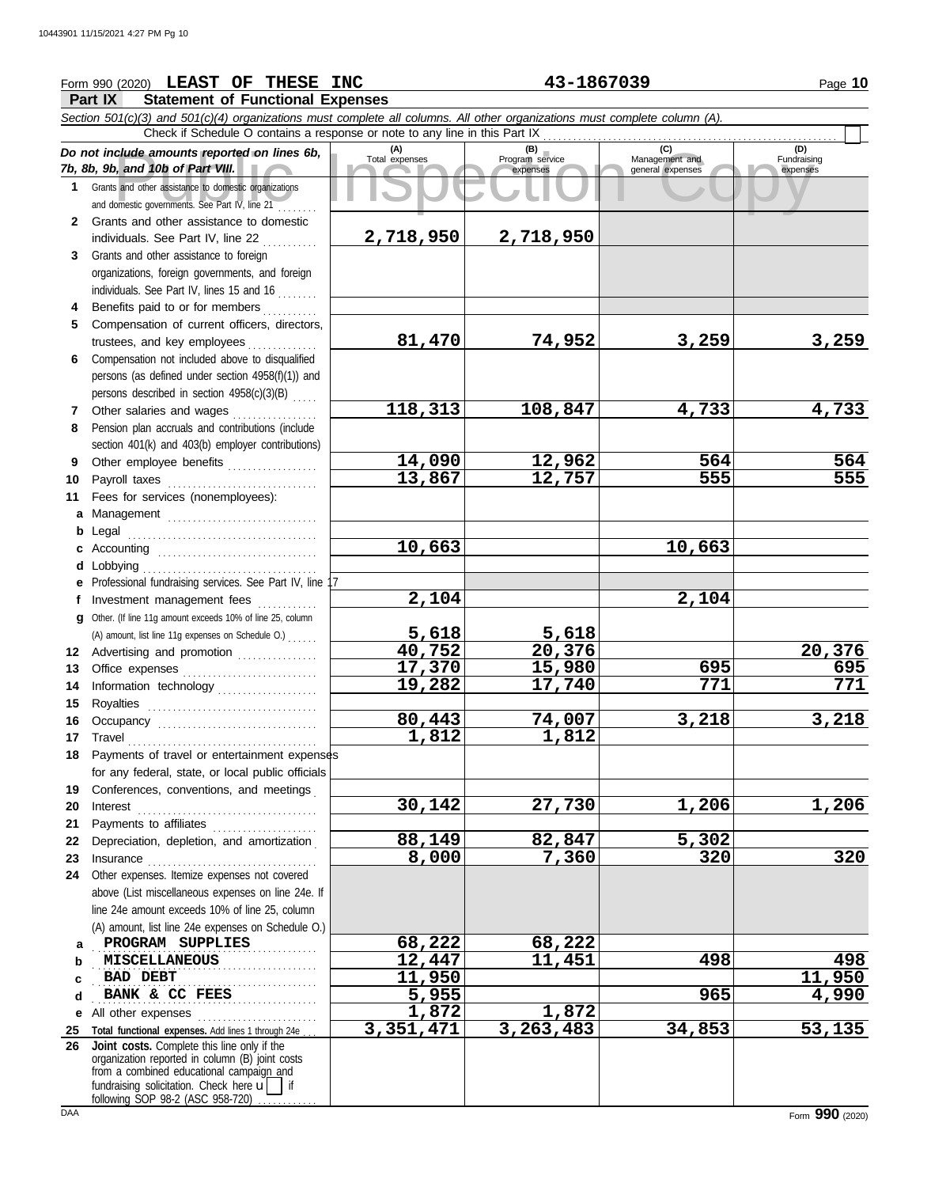## **Form 990 (2020) LEAST OF THESE INC 43-1867039** Page 10

**Part IX Statement of Functional Expenses**

Court and the amounts reported on lines 6b, Total expenses<br>
Program service Management and Total expenses<br>
and other assistance to domestic organizations<br>
Sand other assistance to domestic organizations<br>
Sand other assista *Section 501(c)(3) and 501(c)(4) organizations must complete all columns. All other organizations must complete column (A). Do not include amounts reported on lines 6b, 7b, 8b, 9b, and 10b of Part VIII.* **1 2 3 4** Benefits paid to or for members **........**.. **5 6** Compensation not included above to disqualified **7** Other salaries and wages **. . . . . . . . . . . .** . . **8 9 10 11 a** Management .............................. **b** Legal **c** Accounting . . . . . . . . . . . . . . . . . . . . . . . . . . . . . . . . **d** Lobbying . . . . . . . . . . . . . . . . . . . . . . . . . . . . . . . . . . . **e** Professional fundraising services. See Part IV, line 17 **f g 12** Advertising and promotion ............... **13** Office expenses **.......................**... **14 15 16 17** Travel . . . . . . . . . . . . . . . . . . . . . . . . . . . . . . . . . . . . . . **18** Payments of travel or entertainment expenses **19 20** Interest . . . . . . . . . . . . . . . . . . . . . . . . . . . . . . . . . . . . **21 22** Depreciation, depletion, and amortization . **23** Insurance . . . . . . . . . . . . . . . . . . . . . . . . . . . . . . . . . . **24** Other expenses. Itemize expenses not covered **a** PROGRAM SUPPLIES **68,222** 68,222 **b** . . . . . . . . . . . . . . . . . . . . . . . . . . . . . . . . . . . . . . . . . . . . . **MISCELLANEOUS 12,447 11,451 498 498 c d e** All other expenses . . . . . . . . . . . . . . . . . . . . . . . . **25 Total functional expenses.** Add lines 1 through 24e . . . **26** Grants and other assistance to domestic organizations and domestic governments. See Part IV, line 21 . . . . . . . . Grants and other assistance to domestic individuals. See Part IV, line 22 Grants and other assistance to foreign organizations, foreign governments, and foreign individuals. See Part IV, lines 15 and 16 Compensation of current officers, directors, trustees, and key employees ............... persons (as defined under section 4958(f)(1)) and persons described in section 4958(c)(3)(B) . . . . . Pension plan accruals and contributions (include section 401(k) and 403(b) employer contributions) Other employee benefits .................. Payroll taxes . . . . . . . . . . . . . . . . . . . . . . . . . . . . . . Fees for services (nonemployees): . . . . . . . . . . . . . . . . . . . . . . . . . . . . . . . . . . . . . . Investment management fees Other. (If line 11g amount exceeds 10% of line 25, column Information technology . . . . . . . . . . . . . . . . . . . . Royalties . . . . . . . . . . . . . . . . . . . . . . . . . . . . . . . . . . Occupancy . . . . . . . . . . . . . . . . . . . . . . . . . . . . . . . . for any federal, state, or local public officials Conferences, conventions, and meetings Payments to affiliates . . . . . . . . . . . . . . . . . . . . . above (List miscellaneous expenses on line 24e. If line 24e amount exceeds 10% of line 25, column (A) amount, list line 24e expenses on Schedule O.) fundraising solicitation. Check here  $\mathbf{u}$  | if organization reported in column (B) joint costs from a combined educational campaign and **(A) (B) (C) (D)** Total expenses Program service Management and expenses (B)<br>
Program service Management and<br>
expenses general expenses Fundraising expenses BAD DEBT **BANK & CC FEES 1,990** Check if Schedule O contains a response or note to any line in this Part IX . . . . . . . . . . . . . . . . . . . . . . . . . . . . . . . . . . . . . . . . . . . . . . . . . . . . . . . . . . . **Joint costs.** Complete this line only if the (A) amount, list line 11g expenses on Schedule O.) . . . . . . **2,718,950 2,718,950 81,470 74,952 3,259 3,259 118,313 108,847 4,733 4,733 14,090 12,962 564 564 13,867 12,757 555 555 10,663 10,663 2,104 2,104 5,618 5,618 40,752 20,376 20,376 17,370 15,980 695 695 19,282 17,740 771 771 80,443 74,007 3,218 3,218 1,812 1,812 30,142 27,730 1,206 1,206 88,149 82,847 5,302 8,000 7,360 320 320 BAD DEBT 11,950 11,950 1,872 1,872 3,351,471 3,263,483 34,853 53,135**

following SOP 98-2 (ASC 958-720)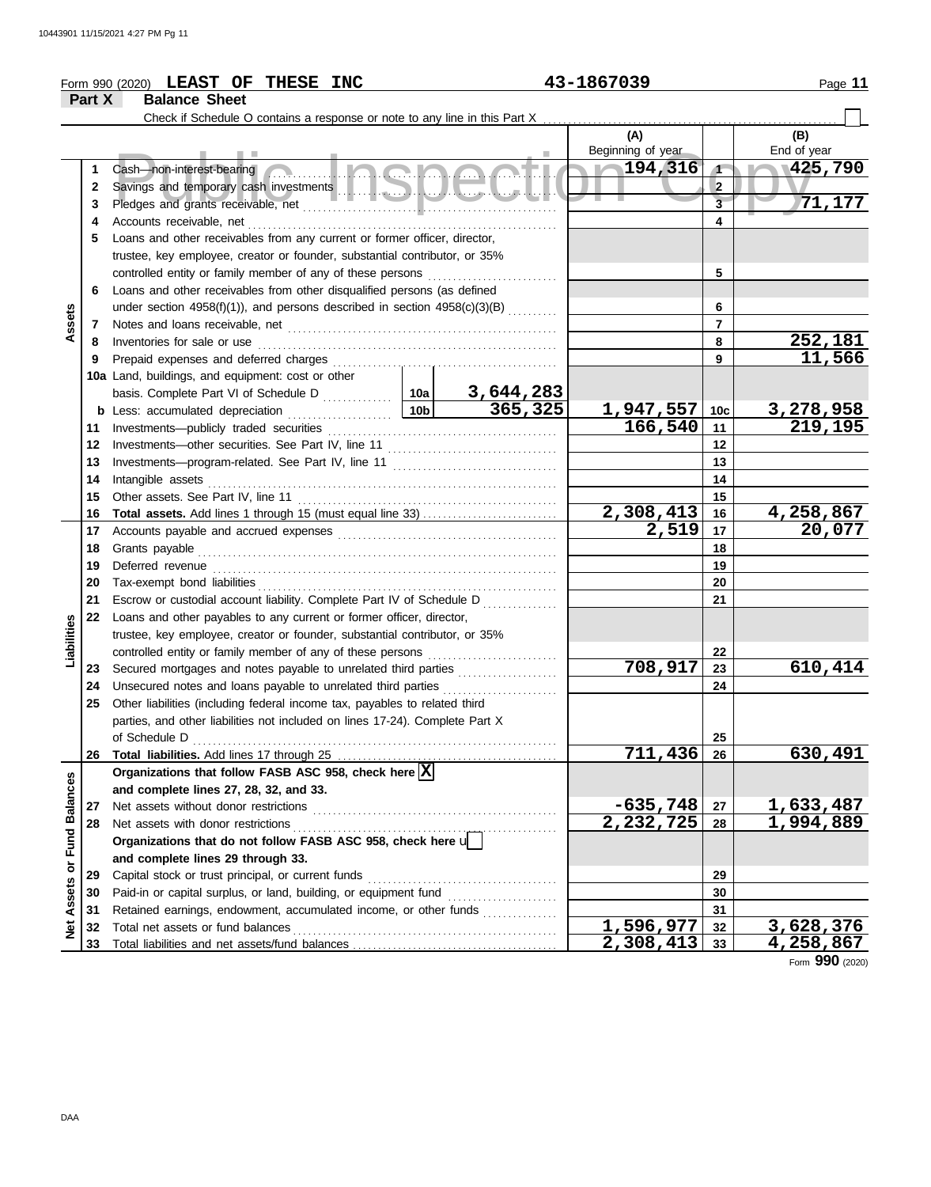|                                |        | Form 990 (2020) LEAST OF THESE INC                                                                                             |  |           | 43-1867039        |                      | Page 11                             |
|--------------------------------|--------|--------------------------------------------------------------------------------------------------------------------------------|--|-----------|-------------------|----------------------|-------------------------------------|
|                                | Part X | <b>Balance Sheet</b>                                                                                                           |  |           |                   |                      |                                     |
|                                |        |                                                                                                                                |  |           |                   |                      |                                     |
|                                |        |                                                                                                                                |  |           | (A)               |                      | (B)                                 |
|                                |        |                                                                                                                                |  |           | Beginning of year |                      | End of year                         |
|                                | 1      | Cash—non-interest-bearing <b>Contains and Containing Containing the Containing Containing Containing Containing Containing</b> |  |           | $\sim 194,316$    | $\blacktriangleleft$ | 425,790                             |
|                                | 2      |                                                                                                                                |  |           |                   | $\overline{2}$       |                                     |
|                                | 3      |                                                                                                                                |  |           |                   | $\overline{3}$       | 71,177                              |
|                                | 4      |                                                                                                                                |  |           |                   | 4                    |                                     |
|                                | 5      | Loans and other receivables from any current or former officer, director,                                                      |  |           |                   |                      |                                     |
|                                |        | trustee, key employee, creator or founder, substantial contributor, or 35%                                                     |  |           |                   |                      |                                     |
|                                |        |                                                                                                                                |  |           |                   | 5                    |                                     |
|                                | 6      | Loans and other receivables from other disqualified persons (as defined                                                        |  |           |                   |                      |                                     |
| Assets                         |        | under section $4958(f)(1)$ , and persons described in section $4958(c)(3)(B)$                                                  |  | 6         |                   |                      |                                     |
|                                | 7      | Notes and loans receivable, net manufactured and contact and loans receivable, net                                             |  |           |                   | $\overline{7}$       | 252,181                             |
|                                | 8      | Inventories for sale or use                                                                                                    |  |           |                   | 8<br>9               | 11,566                              |
|                                | 9      |                                                                                                                                |  |           |                   |                      |                                     |
|                                |        | 10a Land, buildings, and equipment: cost or other                                                                              |  |           |                   |                      |                                     |
|                                |        | basis. Complete Part VI of Schedule D<br><b>10a</b> 3, 644, 283<br><b>10b</b> 365, 325                                         |  |           | 1,947,557         | 10c                  | 3,278,958                           |
|                                | 11     |                                                                                                                                |  |           | 166,540           | 11                   | 219,195                             |
|                                | 12     |                                                                                                                                |  |           |                   | 12                   |                                     |
|                                | 13     |                                                                                                                                |  |           |                   | 13                   |                                     |
|                                | 14     |                                                                                                                                |  |           |                   | 14                   |                                     |
|                                | 15     |                                                                                                                                |  | 15        |                   |                      |                                     |
|                                | 16     |                                                                                                                                |  |           | 2,308,413         | 16                   | 4,258,867                           |
|                                | 17     |                                                                                                                                |  |           | 2,519             | 17                   | 20,077                              |
|                                | 18     | Grants payable                                                                                                                 |  | 18        |                   |                      |                                     |
|                                | 19     |                                                                                                                                |  |           | 19                |                      |                                     |
|                                | 20     |                                                                                                                                |  |           | 20                |                      |                                     |
|                                | 21     | Escrow or custodial account liability. Complete Part IV of Schedule D                                                          |  |           |                   | 21                   |                                     |
|                                | 22     | Loans and other payables to any current or former officer, director,                                                           |  |           |                   |                      |                                     |
|                                |        | trustee, key employee, creator or founder, substantial contributor, or 35%                                                     |  |           |                   |                      |                                     |
| Liabilities                    |        |                                                                                                                                |  |           |                   | 22                   |                                     |
|                                | 23     | Secured mortgages and notes payable to unrelated third parties                                                                 |  |           | 708,917           | 23                   | 610,414                             |
|                                | 24     | Unsecured notes and loans payable to unrelated third parties                                                                   |  |           |                   | 24                   |                                     |
|                                | 25     | Other liabilities (including federal income tax, payables to related third                                                     |  |           |                   |                      |                                     |
|                                |        | parties, and other liabilities not included on lines 17-24). Complete Part X                                                   |  |           |                   |                      |                                     |
|                                |        | of Schedule D                                                                                                                  |  |           |                   | 25                   |                                     |
|                                | 26     |                                                                                                                                |  |           | 711,436           | 26                   | 630,491                             |
|                                |        | Organizations that follow FASB ASC 958, check here $\vert X \vert$                                                             |  |           |                   |                      |                                     |
|                                |        | and complete lines 27, 28, 32, and 33.                                                                                         |  |           |                   |                      |                                     |
|                                | 27     | Net assets without donor restrictions                                                                                          |  |           | $-635,748$        | 27                   | 1,633,487                           |
|                                | 28     | Net assets with donor restrictions                                                                                             |  |           | 2,232,725         | 28                   | 1,994,889                           |
|                                |        | Organizations that do not follow FASB ASC 958, check here u                                                                    |  |           |                   |                      |                                     |
|                                |        | and complete lines 29 through 33.                                                                                              |  |           |                   |                      |                                     |
| <b>Assets or Fund Balances</b> | 29     | Capital stock or trust principal, or current funds                                                                             |  |           | 29                |                      |                                     |
|                                | 30     |                                                                                                                                |  |           |                   | 30                   |                                     |
|                                | 31     | Retained earnings, endowment, accumulated income, or other funds                                                               |  |           |                   | 31                   |                                     |
| <b>b</b><br>2                  | 32     | Total net assets or fund balances                                                                                              |  | 1,596,977 | 32                | 3,628,376            |                                     |
|                                | 33     |                                                                                                                                |  |           | 2,308,413         | 33                   | <u>4,258,867</u><br>Form 990 (2020) |

DAA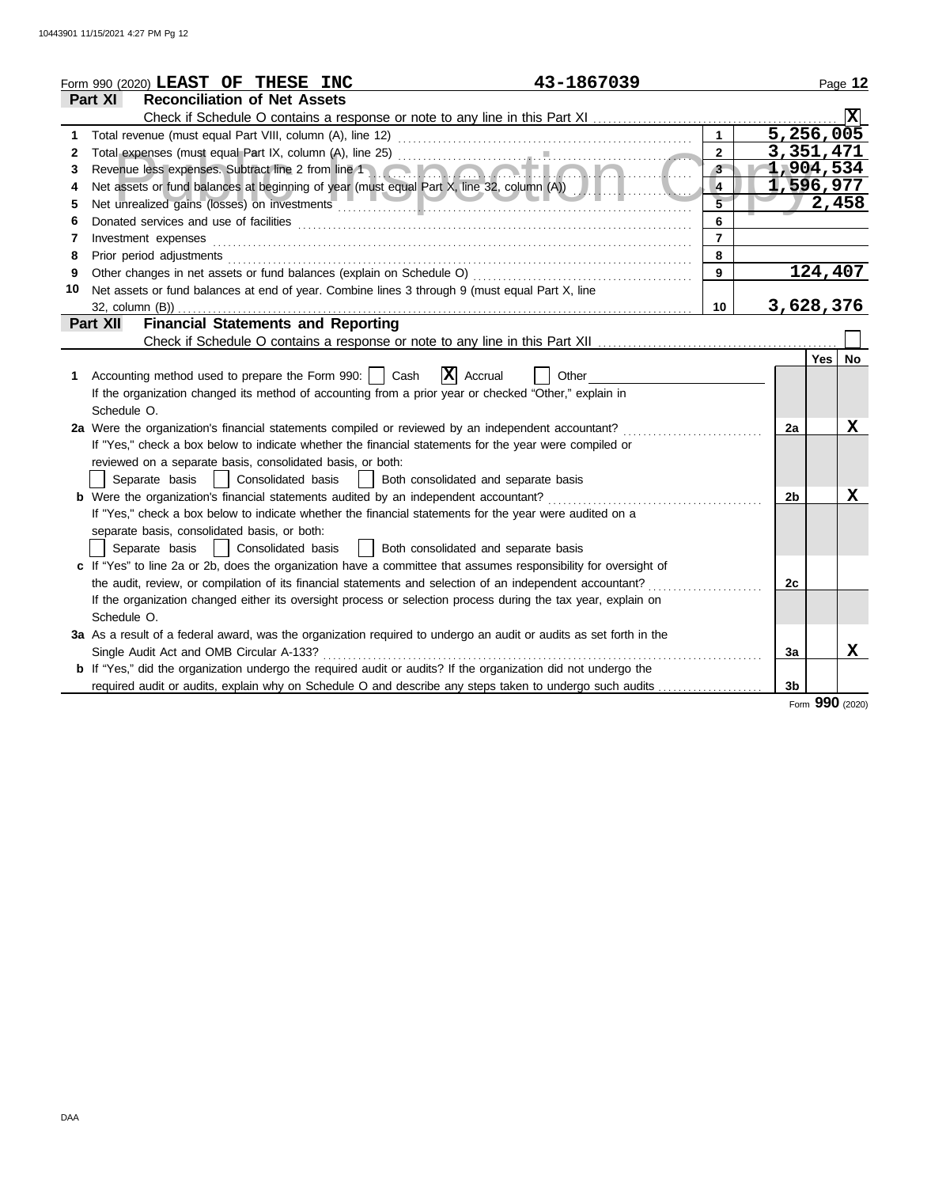|    | 43-1867039<br>Form 990 (2020) LEAST OF THESE INC                                                                                                                                                                               |                |                | Page 12          |           |
|----|--------------------------------------------------------------------------------------------------------------------------------------------------------------------------------------------------------------------------------|----------------|----------------|------------------|-----------|
|    | <b>Reconciliation of Net Assets</b><br>Part XI                                                                                                                                                                                 |                |                |                  |           |
|    | Check if Schedule O contains a response or note to any line in this Part XI                                                                                                                                                    |                |                |                  |           |
| 1  |                                                                                                                                                                                                                                | $\mathbf{1}$   |                | 5,256,005        |           |
| 2  |                                                                                                                                                                                                                                | $\overline{2}$ |                | 3,351,471        |           |
| 3  | Revenue less expenses. Subtract line 2 from line 1                                                                                                                                                                             | 3 <sup>2</sup> |                | 1,904,534        |           |
| 4  |                                                                                                                                                                                                                                | $\overline{4}$ |                | 1,596,977        |           |
| 5  |                                                                                                                                                                                                                                | 5              |                | 2,458            |           |
| 6  |                                                                                                                                                                                                                                | 6              |                |                  |           |
| 7  | Investment expenses                                                                                                                                                                                                            | $\overline{7}$ |                |                  |           |
| 8  | Prior period adjustments [11, 12] and the contract of the contract of the contract of the contract of the contract of the contract of the contract of the contract of the contract of the contract of the contract of the cont | 8              |                |                  |           |
| 9  | Other changes in net assets or fund balances (explain on Schedule O)                                                                                                                                                           | 9              |                | 124,407          |           |
| 10 | Net assets or fund balances at end of year. Combine lines 3 through 9 (must equal Part X, line                                                                                                                                 |                |                |                  |           |
|    | 32, column (B))                                                                                                                                                                                                                | 10             |                | 3,628,376        |           |
|    | <b>Financial Statements and Reporting</b><br><b>Part XII</b>                                                                                                                                                                   |                |                |                  |           |
|    |                                                                                                                                                                                                                                |                |                |                  |           |
|    |                                                                                                                                                                                                                                |                |                | Yes <sup>1</sup> | <b>No</b> |
| 1. | $ \mathbf{X} $ Accrual<br>Accounting method used to prepare the Form 990:     Cash<br>Other                                                                                                                                    |                |                |                  |           |
|    | If the organization changed its method of accounting from a prior year or checked "Other," explain in                                                                                                                          |                |                |                  |           |
|    | Schedule O.                                                                                                                                                                                                                    |                |                |                  |           |
|    | 2a Were the organization's financial statements compiled or reviewed by an independent accountant?                                                                                                                             |                | 2a             |                  | X         |
|    | If "Yes," check a box below to indicate whether the financial statements for the year were compiled or                                                                                                                         |                |                |                  |           |
|    | reviewed on a separate basis, consolidated basis, or both:                                                                                                                                                                     |                |                |                  |           |
|    | Separate basis<br>Consolidated basis<br>Both consolidated and separate basis                                                                                                                                                   |                |                |                  |           |
|    | <b>b</b> Were the organization's financial statements audited by an independent accountant?                                                                                                                                    |                | 2 <sub>b</sub> |                  | X         |
|    | If "Yes," check a box below to indicate whether the financial statements for the year were audited on a                                                                                                                        |                |                |                  |           |
|    | separate basis, consolidated basis, or both:                                                                                                                                                                                   |                |                |                  |           |
|    | Separate basis<br>Both consolidated and separate basis<br>Consolidated basis                                                                                                                                                   |                |                |                  |           |
|    | c If "Yes" to line 2a or 2b, does the organization have a committee that assumes responsibility for oversight of                                                                                                               |                |                |                  |           |
|    | the audit, review, or compilation of its financial statements and selection of an independent accountant?                                                                                                                      |                | 2c             |                  |           |
|    | If the organization changed either its oversight process or selection process during the tax year, explain on                                                                                                                  |                |                |                  |           |
|    | Schedule O.                                                                                                                                                                                                                    |                |                |                  |           |
|    | 3a As a result of a federal award, was the organization required to undergo an audit or audits as set forth in the                                                                                                             |                |                |                  |           |
|    | Single Audit Act and OMB Circular A-133?                                                                                                                                                                                       |                | 3a             |                  | x         |
|    | <b>b</b> If "Yes," did the organization undergo the required audit or audits? If the organization did not undergo the                                                                                                          |                |                |                  |           |
|    | required audit or audits, explain why on Schedule O and describe any steps taken to undergo such audits                                                                                                                        |                | 3 <sub>b</sub> |                  |           |
|    |                                                                                                                                                                                                                                |                |                | Form 990 (2020)  |           |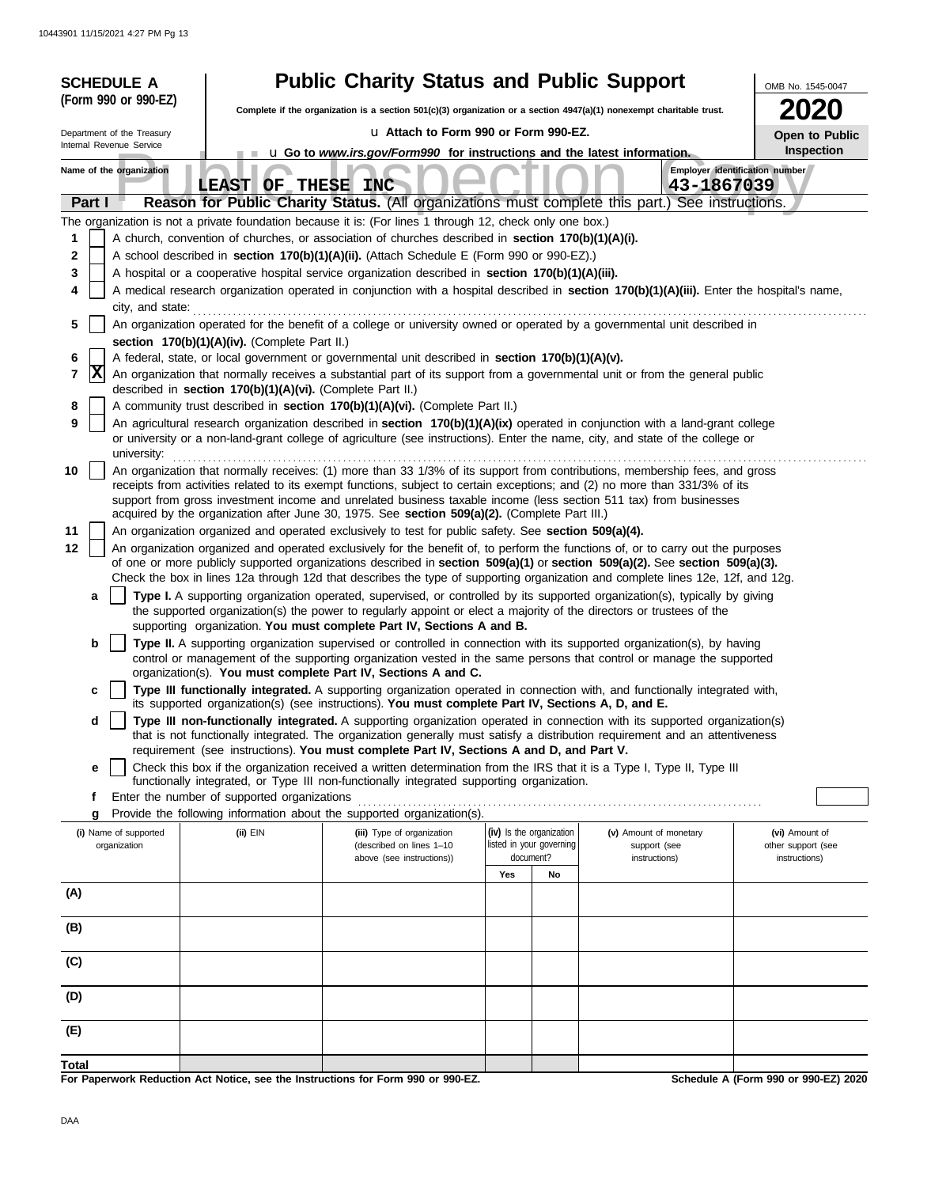| <b>SCHEDULE A</b>                                                                                                                              |                                                            | <b>Public Charity Status and Public Support</b>                                                                                                                                                                                                                 |                                                      |    |                                        | OMB No. 1545-0047                    |
|------------------------------------------------------------------------------------------------------------------------------------------------|------------------------------------------------------------|-----------------------------------------------------------------------------------------------------------------------------------------------------------------------------------------------------------------------------------------------------------------|------------------------------------------------------|----|----------------------------------------|--------------------------------------|
| (Form 990 or 990-EZ)<br>Complete if the organization is a section 501(c)(3) organization or a section $4947(a)(1)$ nonexempt charitable trust. |                                                            |                                                                                                                                                                                                                                                                 |                                                      |    |                                        |                                      |
| Department of the Treasury                                                                                                                     | u Attach to Form 990 or Form 990-EZ.                       |                                                                                                                                                                                                                                                                 |                                                      |    |                                        |                                      |
| Internal Revenue Service                                                                                                                       |                                                            | <b>u</b> Go to <i>www.irs.gov/Form990</i> for instructions and the latest information.                                                                                                                                                                          |                                                      |    |                                        | Open to Public<br>Inspection         |
| Name of the organization                                                                                                                       | LEAST OF THESE INC                                         |                                                                                                                                                                                                                                                                 |                                                      |    | 43-1867039                             | Employer identification number       |
| Part I                                                                                                                                         |                                                            | Reason for Public Charity Status. (All organizations must complete this part.) See instructions.                                                                                                                                                                |                                                      |    |                                        |                                      |
|                                                                                                                                                |                                                            | The organization is not a private foundation because it is: (For lines 1 through 12, check only one box.)                                                                                                                                                       |                                                      |    |                                        |                                      |
| 1                                                                                                                                              |                                                            | A church, convention of churches, or association of churches described in section 170(b)(1)(A)(i).                                                                                                                                                              |                                                      |    |                                        |                                      |
| 2                                                                                                                                              |                                                            | A school described in section 170(b)(1)(A)(ii). (Attach Schedule E (Form 990 or 990-EZ).)                                                                                                                                                                       |                                                      |    |                                        |                                      |
| 3                                                                                                                                              |                                                            | A hospital or a cooperative hospital service organization described in section 170(b)(1)(A)(iii).                                                                                                                                                               |                                                      |    |                                        |                                      |
| 4<br>city, and state:                                                                                                                          |                                                            | A medical research organization operated in conjunction with a hospital described in section 170(b)(1)(A)(iii). Enter the hospital's name,                                                                                                                      |                                                      |    |                                        |                                      |
| 5                                                                                                                                              |                                                            | An organization operated for the benefit of a college or university owned or operated by a governmental unit described in                                                                                                                                       |                                                      |    |                                        |                                      |
| 6                                                                                                                                              | section 170(b)(1)(A)(iv). (Complete Part II.)              | A federal, state, or local government or governmental unit described in section 170(b)(1)(A)(v).                                                                                                                                                                |                                                      |    |                                        |                                      |
| $ {\bf X} $<br>7                                                                                                                               |                                                            | An organization that normally receives a substantial part of its support from a governmental unit or from the general public                                                                                                                                    |                                                      |    |                                        |                                      |
|                                                                                                                                                | described in section 170(b)(1)(A)(vi). (Complete Part II.) |                                                                                                                                                                                                                                                                 |                                                      |    |                                        |                                      |
| 8                                                                                                                                              |                                                            | A community trust described in section 170(b)(1)(A)(vi). (Complete Part II.)                                                                                                                                                                                    |                                                      |    |                                        |                                      |
| 9<br>university:                                                                                                                               |                                                            | An agricultural research organization described in section 170(b)(1)(A)(ix) operated in conjunction with a land-grant college<br>or university or a non-land-grant college of agriculture (see instructions). Enter the name, city, and state of the college or |                                                      |    |                                        |                                      |
| 10                                                                                                                                             |                                                            | An organization that normally receives: (1) more than 33 1/3% of its support from contributions, membership fees, and gross                                                                                                                                     |                                                      |    |                                        |                                      |
|                                                                                                                                                |                                                            | receipts from activities related to its exempt functions, subject to certain exceptions; and (2) no more than 331/3% of its                                                                                                                                     |                                                      |    |                                        |                                      |
|                                                                                                                                                |                                                            | support from gross investment income and unrelated business taxable income (less section 511 tax) from businesses<br>acquired by the organization after June 30, 1975. See section 509(a)(2). (Complete Part III.)                                              |                                                      |    |                                        |                                      |
| 11                                                                                                                                             |                                                            | An organization organized and operated exclusively to test for public safety. See section 509(a)(4).                                                                                                                                                            |                                                      |    |                                        |                                      |
| 12                                                                                                                                             |                                                            | An organization organized and operated exclusively for the benefit of, to perform the functions of, or to carry out the purposes                                                                                                                                |                                                      |    |                                        |                                      |
|                                                                                                                                                |                                                            | of one or more publicly supported organizations described in section $509(a)(1)$ or section $509(a)(2)$ . See section $509(a)(3)$ .                                                                                                                             |                                                      |    |                                        |                                      |
| a                                                                                                                                              |                                                            | Check the box in lines 12a through 12d that describes the type of supporting organization and complete lines 12e, 12f, and 12g.<br>Type I. A supporting organization operated, supervised, or controlled by its supported organization(s), typically by giving  |                                                      |    |                                        |                                      |
|                                                                                                                                                |                                                            | the supported organization(s) the power to regularly appoint or elect a majority of the directors or trustees of the                                                                                                                                            |                                                      |    |                                        |                                      |
|                                                                                                                                                |                                                            | supporting organization. You must complete Part IV, Sections A and B.                                                                                                                                                                                           |                                                      |    |                                        |                                      |
| b                                                                                                                                              |                                                            | Type II. A supporting organization supervised or controlled in connection with its supported organization(s), by having                                                                                                                                         |                                                      |    |                                        |                                      |
|                                                                                                                                                |                                                            | control or management of the supporting organization vested in the same persons that control or manage the supported<br>organization(s). You must complete Part IV, Sections A and C.                                                                           |                                                      |    |                                        |                                      |
| c                                                                                                                                              |                                                            | Type III functionally integrated. A supporting organization operated in connection with, and functionally integrated with,                                                                                                                                      |                                                      |    |                                        |                                      |
| d                                                                                                                                              |                                                            | its supported organization(s) (see instructions). You must complete Part IV, Sections A, D, and E.<br>Type III non-functionally integrated. A supporting organization operated in connection with its supported organization(s)                                 |                                                      |    |                                        |                                      |
|                                                                                                                                                |                                                            | that is not functionally integrated. The organization generally must satisfy a distribution requirement and an attentiveness                                                                                                                                    |                                                      |    |                                        |                                      |
|                                                                                                                                                |                                                            | requirement (see instructions). You must complete Part IV, Sections A and D, and Part V.                                                                                                                                                                        |                                                      |    |                                        |                                      |
| e                                                                                                                                              |                                                            | Check this box if the organization received a written determination from the IRS that it is a Type I, Type II, Type III<br>functionally integrated, or Type III non-functionally integrated supporting organization.                                            |                                                      |    |                                        |                                      |
| f                                                                                                                                              | Enter the number of supported organizations                |                                                                                                                                                                                                                                                                 |                                                      |    |                                        |                                      |
| g                                                                                                                                              |                                                            | Provide the following information about the supported organization(s).                                                                                                                                                                                          |                                                      |    |                                        |                                      |
| (i) Name of supported<br>organization                                                                                                          | (ii) EIN                                                   | (iii) Type of organization<br>(described on lines 1-10                                                                                                                                                                                                          | (iv) Is the organization<br>listed in your governing |    | (v) Amount of monetary<br>support (see | (vi) Amount of<br>other support (see |
|                                                                                                                                                |                                                            | above (see instructions))                                                                                                                                                                                                                                       | document?                                            |    | instructions)                          | instructions)                        |
|                                                                                                                                                |                                                            |                                                                                                                                                                                                                                                                 | Yes                                                  | No |                                        |                                      |
| (A)                                                                                                                                            |                                                            |                                                                                                                                                                                                                                                                 |                                                      |    |                                        |                                      |
| (B)                                                                                                                                            |                                                            |                                                                                                                                                                                                                                                                 |                                                      |    |                                        |                                      |
| (C)                                                                                                                                            |                                                            |                                                                                                                                                                                                                                                                 |                                                      |    |                                        |                                      |
| (D)                                                                                                                                            |                                                            |                                                                                                                                                                                                                                                                 |                                                      |    |                                        |                                      |
| (E)                                                                                                                                            |                                                            |                                                                                                                                                                                                                                                                 |                                                      |    |                                        |                                      |
|                                                                                                                                                |                                                            |                                                                                                                                                                                                                                                                 |                                                      |    |                                        |                                      |
| Total                                                                                                                                          |                                                            |                                                                                                                                                                                                                                                                 |                                                      |    |                                        |                                      |

**For Paperwork Reduction Act Notice, see the Instructions for Form 990 or 990-EZ.**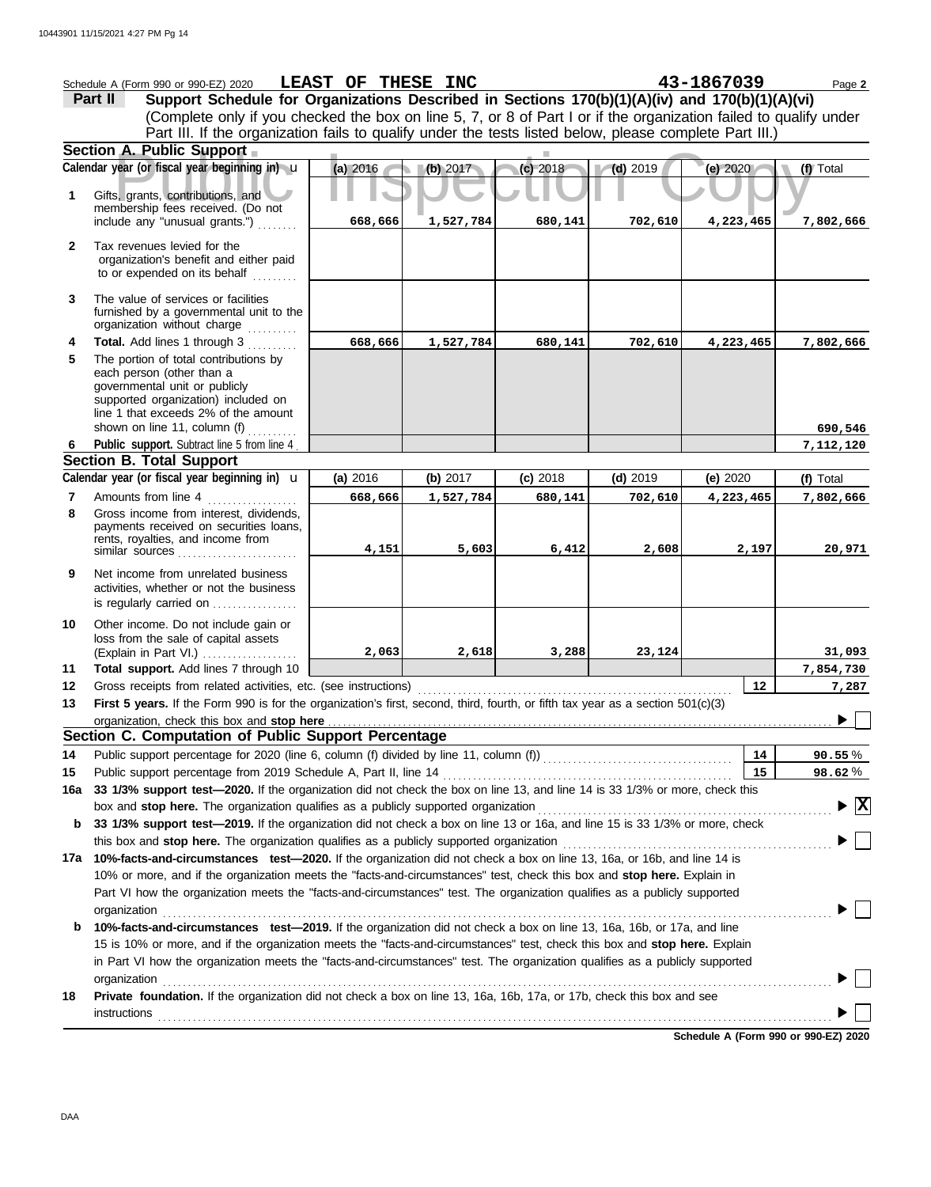|                | Schedule A (Form 990 or 990-EZ) 2020                                                                                                                                                                              | LEAST OF THESE INC |           |            |            | 43-1867039 | Page 2                               |
|----------------|-------------------------------------------------------------------------------------------------------------------------------------------------------------------------------------------------------------------|--------------------|-----------|------------|------------|------------|--------------------------------------|
|                | Support Schedule for Organizations Described in Sections 170(b)(1)(A)(iv) and 170(b)(1)(A)(vi)<br>Part II                                                                                                         |                    |           |            |            |            |                                      |
|                | (Complete only if you checked the box on line 5, 7, or 8 of Part I or if the organization failed to qualify under                                                                                                 |                    |           |            |            |            |                                      |
|                | Part III. If the organization fails to qualify under the tests listed below, please complete Part III.)                                                                                                           |                    |           |            |            |            |                                      |
|                | Section A. Public Support                                                                                                                                                                                         |                    |           |            |            |            |                                      |
|                | Calendar year (or fiscal year beginning in) u                                                                                                                                                                     | (a) 2016           | (b) 2017  | (c) 2018   | $(d)$ 2019 | (e) 2020   | (f) Total                            |
| 1              | Gifts, grants, contributions, and                                                                                                                                                                                 |                    |           |            |            |            |                                      |
|                | membership fees received. (Do not<br>include any "unusual grants.")                                                                                                                                               |                    | 1,527,784 |            |            |            | 7,802,666                            |
|                |                                                                                                                                                                                                                   | 668,666            |           | 680,141    | 702,610    | 4,223,465  |                                      |
| $\mathbf{2}$   | Tax revenues levied for the                                                                                                                                                                                       |                    |           |            |            |            |                                      |
|                | organization's benefit and either paid<br>to or expended on its behalf                                                                                                                                            |                    |           |            |            |            |                                      |
|                |                                                                                                                                                                                                                   |                    |           |            |            |            |                                      |
| 3              | The value of services or facilities<br>furnished by a governmental unit to the                                                                                                                                    |                    |           |            |            |            |                                      |
|                | organization without charge                                                                                                                                                                                       |                    |           |            |            |            |                                      |
| 4              | Total. Add lines 1 through 3                                                                                                                                                                                      | 668,666            | 1,527,784 | 680,141    | 702,610    | 4,223,465  | 7,802,666                            |
| 5              | The portion of total contributions by                                                                                                                                                                             |                    |           |            |            |            |                                      |
|                | each person (other than a<br>governmental unit or publicly                                                                                                                                                        |                    |           |            |            |            |                                      |
|                | supported organization) included on                                                                                                                                                                               |                    |           |            |            |            |                                      |
|                | line 1 that exceeds 2% of the amount                                                                                                                                                                              |                    |           |            |            |            |                                      |
| 6              | shown on line 11, column (f)<br>Public support. Subtract line 5 from line 4                                                                                                                                       |                    |           |            |            |            | 690,546<br>7,112,120                 |
|                | <b>Section B. Total Support</b>                                                                                                                                                                                   |                    |           |            |            |            |                                      |
|                | Calendar year (or fiscal year beginning in) $\mathbf u$                                                                                                                                                           | (a) 2016           | (b) 2017  | $(c)$ 2018 | $(d)$ 2019 | (e) 2020   | (f) Total                            |
| $\overline{7}$ | Amounts from line 4                                                                                                                                                                                               | 668,666            | 1,527,784 | 680,141    | 702,610    | 4,223,465  | 7,802,666                            |
| 8              | Gross income from interest, dividends,                                                                                                                                                                            |                    |           |            |            |            |                                      |
|                | payments received on securities loans,<br>rents, royalties, and income from                                                                                                                                       |                    |           |            |            |            |                                      |
|                | similar sources                                                                                                                                                                                                   | 4,151              | 5,603     | 6,412      | 2,608      | 2,197      | 20,971                               |
| 9              | Net income from unrelated business                                                                                                                                                                                |                    |           |            |            |            |                                      |
|                | activities, whether or not the business                                                                                                                                                                           |                    |           |            |            |            |                                      |
|                | is regularly carried on                                                                                                                                                                                           |                    |           |            |            |            |                                      |
| 10             | Other income. Do not include gain or                                                                                                                                                                              |                    |           |            |            |            |                                      |
|                | loss from the sale of capital assets<br>(Explain in Part VI.)                                                                                                                                                     | 2,063              | 2,618     | 3,288      | 23,124     |            | 31,093                               |
| 11             | Total support. Add lines 7 through 10                                                                                                                                                                             |                    |           |            |            |            | 7,854,730                            |
| 12             | Gross receipts from related activities, etc. (see instructions)                                                                                                                                                   |                    |           |            |            | 12         | 7,287                                |
| 13             | First 5 years. If the Form 990 is for the organization's first, second, third, fourth, or fifth tax year as a section 501(c)(3)                                                                                   |                    |           |            |            |            |                                      |
|                |                                                                                                                                                                                                                   |                    |           |            |            |            |                                      |
|                | Section C. Computation of Public Support Percentage                                                                                                                                                               |                    |           |            |            |            |                                      |
| 14             |                                                                                                                                                                                                                   |                    |           |            |            | 14         | $90.55\%$                            |
| 15             | Public support percentage from 2019 Schedule A, Part II, line 14                                                                                                                                                  |                    |           |            |            | 15         | 98.62%                               |
| 16a            | 33 1/3% support test-2020. If the organization did not check the box on line 13, and line 14 is 33 1/3% or more, check this                                                                                       |                    |           |            |            |            |                                      |
| b              | box and stop here. The organization qualifies as a publicly supported organization<br>33 1/3% support test-2019. If the organization did not check a box on line 13 or 16a, and line 15 is 33 1/3% or more, check |                    |           |            |            |            | $\blacktriangleright$ $ \mathrm{X} $ |
|                | this box and stop here. The organization qualifies as a publicly supported organization                                                                                                                           |                    |           |            |            |            |                                      |
| 17а            | 10%-facts-and-circumstances test-2020. If the organization did not check a box on line 13, 16a, or 16b, and line 14 is                                                                                            |                    |           |            |            |            |                                      |
|                | 10% or more, and if the organization meets the "facts-and-circumstances" test, check this box and stop here. Explain in                                                                                           |                    |           |            |            |            |                                      |
|                | Part VI how the organization meets the "facts-and-circumstances" test. The organization qualifies as a publicly supported                                                                                         |                    |           |            |            |            |                                      |
|                | organization                                                                                                                                                                                                      |                    |           |            |            |            |                                      |
| b              | 10%-facts-and-circumstances test-2019. If the organization did not check a box on line 13, 16a, 16b, or 17a, and line                                                                                             |                    |           |            |            |            |                                      |
|                | 15 is 10% or more, and if the organization meets the "facts-and-circumstances" test, check this box and stop here. Explain                                                                                        |                    |           |            |            |            |                                      |
|                | in Part VI how the organization meets the "facts-and-circumstances" test. The organization qualifies as a publicly supported                                                                                      |                    |           |            |            |            |                                      |
|                | organization                                                                                                                                                                                                      |                    |           |            |            |            |                                      |
| 18             | Private foundation. If the organization did not check a box on line 13, 16a, 16b, 17a, or 17b, check this box and see                                                                                             |                    |           |            |            |            |                                      |
|                | <b>instructions</b>                                                                                                                                                                                               |                    |           |            |            |            |                                      |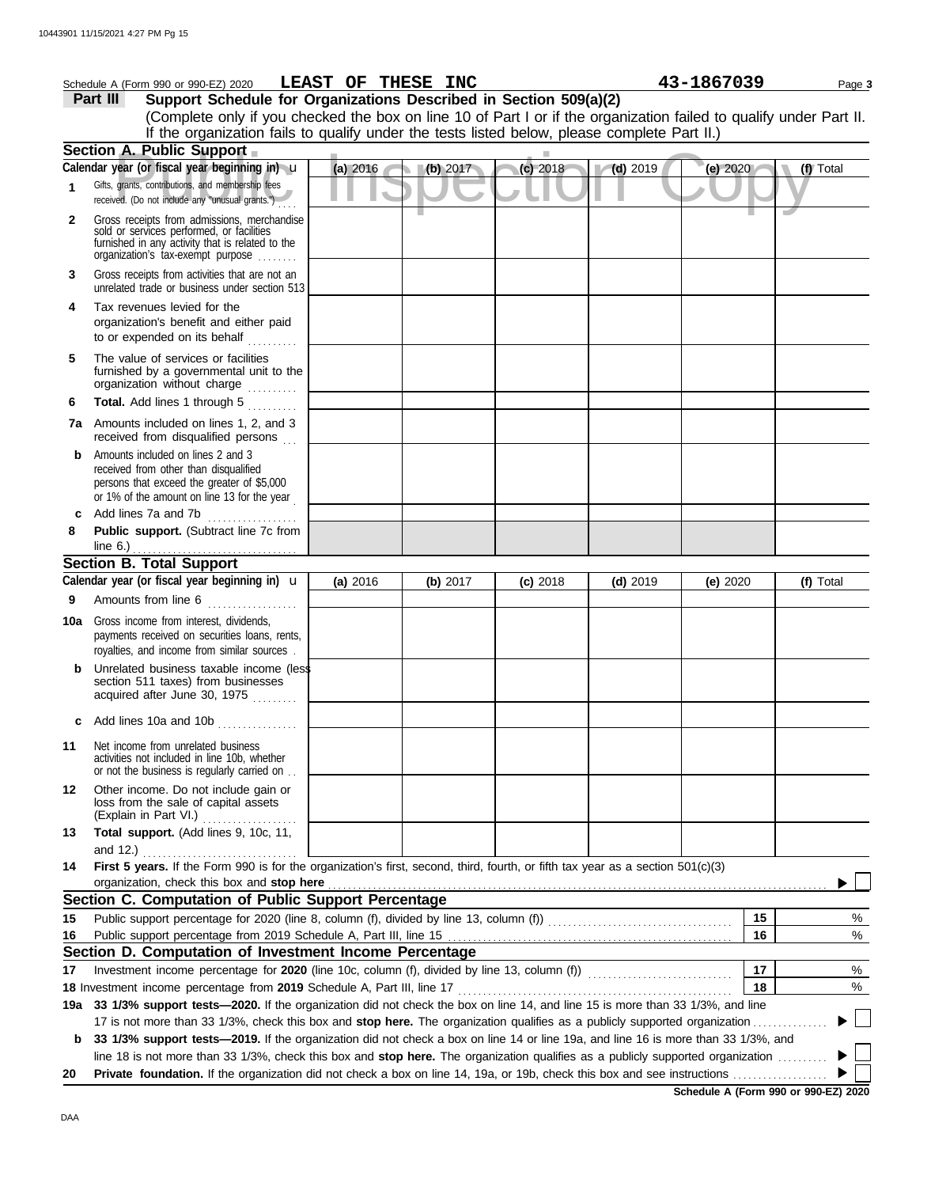|              | Schedule A (Form 990 or 990-EZ) 2020                                                                                                                                                                                          | LEAST OF THESE INC |  |          |            |            | 43-1867039 | Page 3    |
|--------------|-------------------------------------------------------------------------------------------------------------------------------------------------------------------------------------------------------------------------------|--------------------|--|----------|------------|------------|------------|-----------|
|              | Support Schedule for Organizations Described in Section 509(a)(2)<br>Part III                                                                                                                                                 |                    |  |          |            |            |            |           |
|              | (Complete only if you checked the box on line 10 of Part I or if the organization failed to qualify under Part II.                                                                                                            |                    |  |          |            |            |            |           |
|              | If the organization fails to qualify under the tests listed below, please complete Part II.)                                                                                                                                  |                    |  |          |            |            |            |           |
|              | Section A. Public Support                                                                                                                                                                                                     |                    |  |          |            |            |            |           |
|              | Calendar year (or fiscal year beginning in) u                                                                                                                                                                                 | (a) 2016           |  | (b) 2017 | $(c)$ 2018 | $(d)$ 2019 | (e) $2020$ | (f) Total |
| 1            | Gifts, grants, contributions, and membership fees<br>received. (Do not include any "unusual grants.")                                                                                                                         |                    |  |          |            |            |            |           |
| $\mathbf{2}$ | Gross receipts from admissions, merchandise<br>sold or services performed, or facilities<br>furnished in any activity that is related to the<br>organization's tax-exempt purpose                                             |                    |  |          |            |            |            |           |
| 3            | Gross receipts from activities that are not an<br>unrelated trade or business under section 513                                                                                                                               |                    |  |          |            |            |            |           |
| 4            | Tax revenues levied for the<br>organization's benefit and either paid<br>to or expended on its behalf                                                                                                                         |                    |  |          |            |            |            |           |
| 5            | The value of services or facilities<br>furnished by a governmental unit to the<br>organization without charge                                                                                                                 |                    |  |          |            |            |            |           |
| 6            | Total. Add lines 1 through 5                                                                                                                                                                                                  |                    |  |          |            |            |            |           |
|              | 7a Amounts included on lines 1, 2, and 3<br>received from disqualified persons                                                                                                                                                |                    |  |          |            |            |            |           |
| b            | Amounts included on lines 2 and 3<br>received from other than disqualified<br>persons that exceed the greater of \$5,000<br>or 1% of the amount on line 13 for the year                                                       |                    |  |          |            |            |            |           |
| c            | Add lines 7a and 7b                                                                                                                                                                                                           |                    |  |          |            |            |            |           |
| 8            | Public support. (Subtract line 7c from                                                                                                                                                                                        |                    |  |          |            |            |            |           |
|              | line $6.$ )                                                                                                                                                                                                                   |                    |  |          |            |            |            |           |
|              | <b>Section B. Total Support</b><br>Calendar year (or fiscal year beginning in) <b>u</b>                                                                                                                                       |                    |  |          |            |            |            |           |
| 9            | Amounts from line 6                                                                                                                                                                                                           | (a) 2016           |  | (b) 2017 | $(c)$ 2018 | $(d)$ 2019 | (e) 2020   | (f) Total |
|              | <b>10a</b> Gross income from interest, dividends,<br>payments received on securities loans, rents,<br>royalties, and income from similar sources.                                                                             |                    |  |          |            |            |            |           |
|              | Unrelated business taxable income (less<br>section 511 taxes) from businesses<br>acquired after June 30, 1975                                                                                                                 |                    |  |          |            |            |            |           |
| c            | Add lines 10a and 10b<br>.                                                                                                                                                                                                    |                    |  |          |            |            |            |           |
| 11           | Net income from unrelated business<br>activities not included in line 10b, whether<br>or not the business is regularly carried on                                                                                             |                    |  |          |            |            |            |           |
| 12           | Other income. Do not include gain or<br>loss from the sale of capital assets<br>(Explain in Part VI.)                                                                                                                         |                    |  |          |            |            |            |           |
| 13           | Total support. (Add lines 9, 10c, 11,                                                                                                                                                                                         |                    |  |          |            |            |            |           |
| 14           | and 12.)<br>First 5 years. If the Form 990 is for the organization's first, second, third, fourth, or fifth tax year as a section 501(c)(3)<br>organization, check this box and stop here                                     |                    |  |          |            |            |            |           |
|              | Section C. Computation of Public Support Percentage                                                                                                                                                                           |                    |  |          |            |            |            |           |
| 15           |                                                                                                                                                                                                                               |                    |  |          |            |            | 15         | %         |
| 16           |                                                                                                                                                                                                                               |                    |  |          |            |            | 16         | $\%$      |
|              | Section D. Computation of Investment Income Percentage                                                                                                                                                                        |                    |  |          |            |            |            |           |
| 17           |                                                                                                                                                                                                                               |                    |  |          |            |            | 17         | %         |
|              | 18 Investment income percentage from 2019 Schedule A, Part III, line 17 [11] content in the set of the percentage from 2019 Schedule A, Part III, line 17 [11] content in the set of the set of the set of the set of the set |                    |  |          |            |            | 18         | %         |
|              | 19a 33 1/3% support tests-2020. If the organization did not check the box on line 14, and line 15 is more than 33 1/3%, and line                                                                                              |                    |  |          |            |            |            |           |
|              | 17 is not more than 33 1/3%, check this box and stop here. The organization qualifies as a publicly supported organization                                                                                                    |                    |  |          |            |            |            |           |
| b            | 33 1/3% support tests-2019. If the organization did not check a box on line 14 or line 19a, and line 16 is more than 33 1/3%, and                                                                                             |                    |  |          |            |            |            |           |
|              | line 18 is not more than 33 1/3%, check this box and stop here. The organization qualifies as a publicly supported organization                                                                                               |                    |  |          |            |            |            |           |

**20 Private foundation.** If the organization did not check a box on line 14, 19a, or 19b, check this box and see instructions . . . . . . . . . . . . . . . . . . .

**Schedule A (Form 990 or 990-EZ) 2020**

 $\blacktriangleright$ П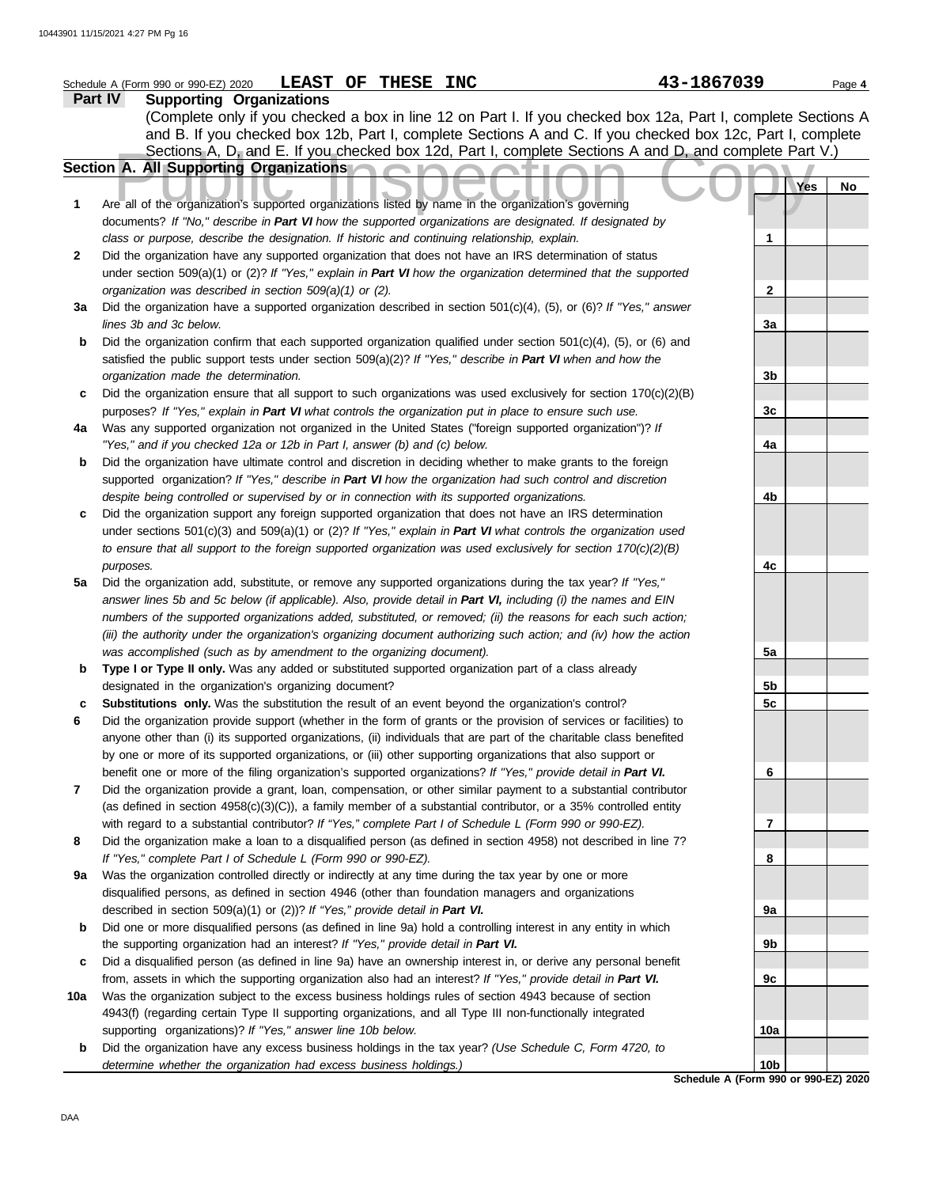|     | LEAST OF THESE INC<br>Schedule A (Form 990 or 990-EZ) 2020                                                                                                                                      | 43-1867039 | Page 4      |
|-----|-------------------------------------------------------------------------------------------------------------------------------------------------------------------------------------------------|------------|-------------|
|     | Part IV<br><b>Supporting Organizations</b>                                                                                                                                                      |            |             |
|     | (Complete only if you checked a box in line 12 on Part I. If you checked box 12a, Part I, complete Sections A                                                                                   |            |             |
|     | and B. If you checked box 12b, Part I, complete Sections A and C. If you checked box 12c, Part I, complete                                                                                      |            |             |
|     | Sections A, D, and E. If you checked box 12d, Part I, complete Sections A and D, and complete Part V.)                                                                                          |            |             |
|     | Section A. All Supporting Organizations                                                                                                                                                         |            |             |
|     |                                                                                                                                                                                                 | Yes        | No          |
| 1   | Are all of the organization's supported organizations listed by name in the organization's governing                                                                                            |            |             |
|     | documents? If "No," describe in Part VI how the supported organizations are designated. If designated by                                                                                        |            |             |
|     | class or purpose, describe the designation. If historic and continuing relationship, explain.                                                                                                   | 1          |             |
| 2   | Did the organization have any supported organization that does not have an IRS determination of status                                                                                          |            |             |
|     | under section 509(a)(1) or (2)? If "Yes," explain in Part VI how the organization determined that the supported                                                                                 |            |             |
|     | organization was described in section 509(a)(1) or (2).                                                                                                                                         | 2          |             |
| Зa  | Did the organization have a supported organization described in section $501(c)(4)$ , (5), or (6)? If "Yes," answer                                                                             |            |             |
|     | lines 3b and 3c below.                                                                                                                                                                          | За         |             |
| b   | Did the organization confirm that each supported organization qualified under section $501(c)(4)$ , (5), or (6) and                                                                             |            |             |
|     | satisfied the public support tests under section 509(a)(2)? If "Yes," describe in Part VI when and how the                                                                                      |            |             |
|     | organization made the determination.                                                                                                                                                            | 3b         |             |
| c   | Did the organization ensure that all support to such organizations was used exclusively for section $170(c)(2)(B)$                                                                              |            |             |
|     | purposes? If "Yes," explain in Part VI what controls the organization put in place to ensure such use.                                                                                          | 3c         |             |
| 4a  | Was any supported organization not organized in the United States ("foreign supported organization")? If                                                                                        |            |             |
|     | "Yes," and if you checked 12a or 12b in Part I, answer (b) and (c) below.                                                                                                                       | 4a         |             |
| b   | Did the organization have ultimate control and discretion in deciding whether to make grants to the foreign                                                                                     |            |             |
|     | supported organization? If "Yes," describe in Part VI how the organization had such control and discretion                                                                                      |            |             |
|     | despite being controlled or supervised by or in connection with its supported organizations.                                                                                                    | 4b         |             |
| c   | Did the organization support any foreign supported organization that does not have an IRS determination                                                                                         |            |             |
|     | under sections $501(c)(3)$ and $509(a)(1)$ or $(2)$ ? If "Yes," explain in Part VI what controls the organization used                                                                          |            |             |
|     | to ensure that all support to the foreign supported organization was used exclusively for section $170(c)(2)(B)$                                                                                |            |             |
|     | purposes.                                                                                                                                                                                       | 4c         |             |
| 5a  | Did the organization add, substitute, or remove any supported organizations during the tax year? If "Yes,"                                                                                      |            |             |
|     | answer lines 5b and 5c below (if applicable). Also, provide detail in Part VI, including (i) the names and EIN                                                                                  |            |             |
|     | numbers of the supported organizations added, substituted, or removed; (ii) the reasons for each such action;                                                                                   |            |             |
|     | (iii) the authority under the organization's organizing document authorizing such action; and (iv) how the action                                                                               |            |             |
|     | was accomplished (such as by amendment to the organizing document).                                                                                                                             | 5a         |             |
| b   | Type I or Type II only. Was any added or substituted supported organization part of a class already                                                                                             |            |             |
|     | designated in the organization's organizing document?                                                                                                                                           | 5b         |             |
|     | Substitutions only. Was the substitution the result of an event beyond the organization's control?                                                                                              | 5c         |             |
|     | Did the organization provide support (whether in the form of grants or the provision of services or facilities) to                                                                              |            |             |
|     | anyone other than (i) its supported organizations, (ii) individuals that are part of the charitable class benefited                                                                             |            |             |
|     | by one or more of its supported organizations, or (iii) other supporting organizations that also support or                                                                                     |            |             |
|     | benefit one or more of the filing organization's supported organizations? If "Yes," provide detail in Part VI.                                                                                  | 6          |             |
| 7   | Did the organization provide a grant, loan, compensation, or other similar payment to a substantial contributor                                                                                 |            |             |
|     | (as defined in section $4958(c)(3)(C)$ ), a family member of a substantial contributor, or a 35% controlled entity                                                                              |            |             |
|     | with regard to a substantial contributor? If "Yes," complete Part I of Schedule L (Form 990 or 990-EZ).                                                                                         | 7          |             |
| 8   | Did the organization make a loan to a disqualified person (as defined in section 4958) not described in line 7?<br>If "Yes," complete Part I of Schedule L (Form 990 or 990-EZ).                | 8          |             |
| 9a  | Was the organization controlled directly or indirectly at any time during the tax year by one or more                                                                                           |            |             |
|     | disqualified persons, as defined in section 4946 (other than foundation managers and organizations                                                                                              |            |             |
|     |                                                                                                                                                                                                 |            |             |
| b   | described in section 509(a)(1) or (2))? If "Yes," provide detail in Part VI.<br>Did one or more disqualified persons (as defined in line 9a) hold a controlling interest in any entity in which | 9а         |             |
|     | the supporting organization had an interest? If "Yes," provide detail in Part VI.                                                                                                               | 9b         |             |
| c   | Did a disqualified person (as defined in line 9a) have an ownership interest in, or derive any personal benefit                                                                                 |            |             |
|     | from, assets in which the supporting organization also had an interest? If "Yes," provide detail in Part VI.                                                                                    | 9c         |             |
| 10a | Was the organization subject to the excess business holdings rules of section 4943 because of section                                                                                           |            |             |
|     | 4943(f) (regarding certain Type II supporting organizations, and all Type III non-functionally integrated                                                                                       |            |             |
|     | supporting organizations)? If "Yes," answer line 10b below.                                                                                                                                     | 10a        |             |
| b   | Did the organization have any excess business holdings in the tax year? (Use Schedule C, Form 4720, to                                                                                          |            |             |
|     | determine whether the organization had excess business holdings.)                                                                                                                               | 10b        |             |
|     |                                                                                                                                                                                                 |            | 000 EZ) 202 |

DAA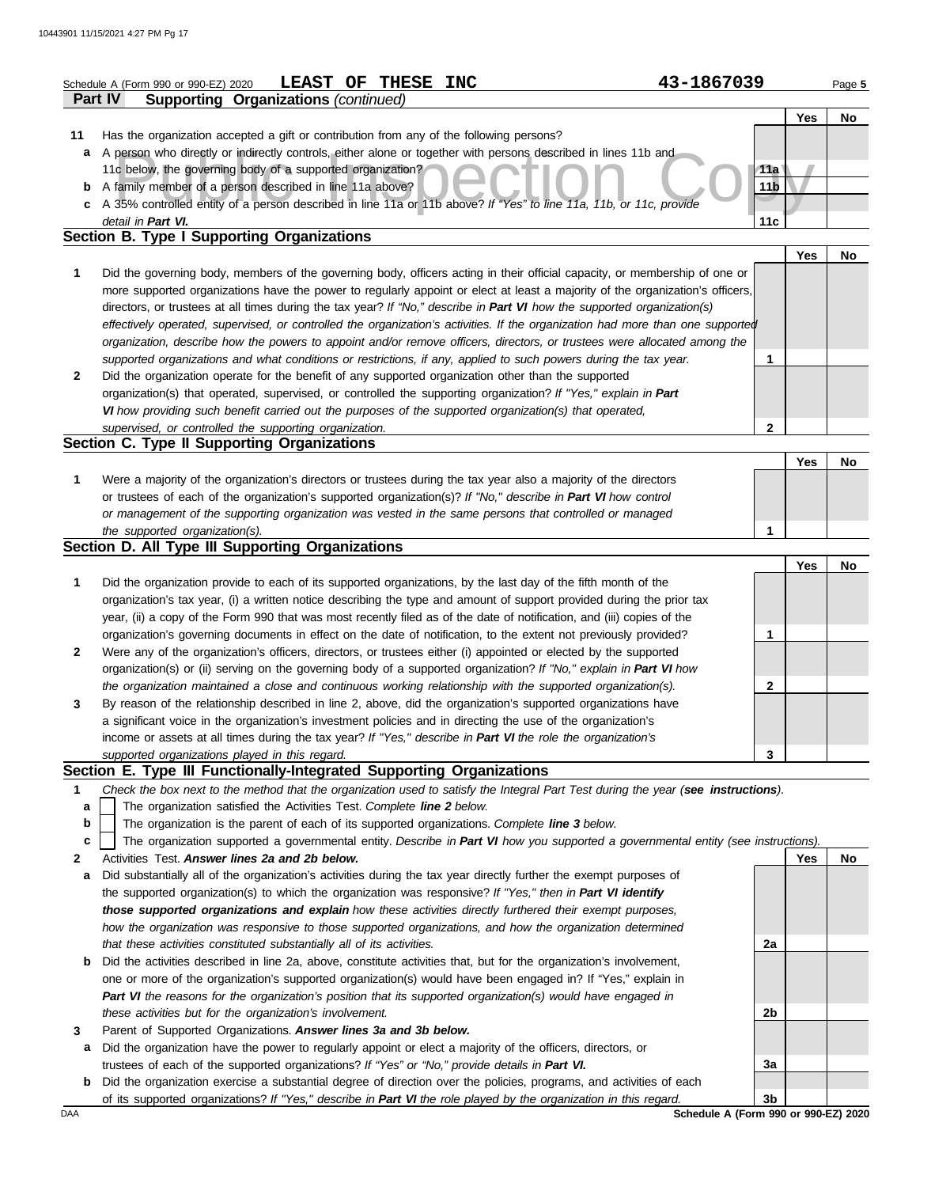|        | <b>LEAST</b><br>OF<br><b>THESE</b><br><b>INC</b><br>Schedule A (Form 990 or 990-EZ) 2020                                                                                                                                                        | 43-1867039      |     | Page 5    |
|--------|-------------------------------------------------------------------------------------------------------------------------------------------------------------------------------------------------------------------------------------------------|-----------------|-----|-----------|
|        | Part IV<br><b>Supporting Organizations (continued)</b>                                                                                                                                                                                          |                 |     |           |
| 11     | Has the organization accepted a gift or contribution from any of the following persons?                                                                                                                                                         |                 | Yes | <b>No</b> |
| а      | A person who directly or indirectly controls, either alone or together with persons described in lines 11b and                                                                                                                                  |                 |     |           |
|        | 11c below, the governing body of a supported organization?                                                                                                                                                                                      | 11a             |     |           |
| b      | A family member of a person described in line 11a above?                                                                                                                                                                                        | 11 <sub>b</sub> |     |           |
|        | c A 35% controlled entity of a person described in line 11a or 11b above? If "Yes" to line 11a, 11b, or 11c, provide                                                                                                                            |                 |     |           |
|        | detail in Part VI.<br>Section B. Type I Supporting Organizations                                                                                                                                                                                | 11c             |     |           |
|        |                                                                                                                                                                                                                                                 |                 | Yes | No        |
| 1      | Did the governing body, members of the governing body, officers acting in their official capacity, or membership of one or                                                                                                                      |                 |     |           |
|        | more supported organizations have the power to regularly appoint or elect at least a majority of the organization's officers,                                                                                                                   |                 |     |           |
|        | directors, or trustees at all times during the tax year? If "No," describe in Part VI how the supported organization(s)                                                                                                                         |                 |     |           |
|        | effectively operated, supervised, or controlled the organization's activities. If the organization had more than one supported                                                                                                                  |                 |     |           |
|        | organization, describe how the powers to appoint and/or remove officers, directors, or trustees were allocated among the                                                                                                                        |                 |     |           |
|        | supported organizations and what conditions or restrictions, if any, applied to such powers during the tax year.                                                                                                                                | 1               |     |           |
| 2      | Did the organization operate for the benefit of any supported organization other than the supported                                                                                                                                             |                 |     |           |
|        | organization(s) that operated, supervised, or controlled the supporting organization? If "Yes," explain in Part                                                                                                                                 |                 |     |           |
|        | VI how providing such benefit carried out the purposes of the supported organization(s) that operated,<br>supervised, or controlled the supporting organization.                                                                                | 2               |     |           |
|        | Section C. Type II Supporting Organizations                                                                                                                                                                                                     |                 |     |           |
|        |                                                                                                                                                                                                                                                 |                 | Yes | No        |
| 1      | Were a majority of the organization's directors or trustees during the tax year also a majority of the directors                                                                                                                                |                 |     |           |
|        | or trustees of each of the organization's supported organization(s)? If "No," describe in Part VI how control                                                                                                                                   |                 |     |           |
|        | or management of the supporting organization was vested in the same persons that controlled or managed                                                                                                                                          |                 |     |           |
|        | the supported organization(s).                                                                                                                                                                                                                  | 1               |     |           |
|        | Section D. All Type III Supporting Organizations                                                                                                                                                                                                |                 |     |           |
|        |                                                                                                                                                                                                                                                 |                 | Yes | No        |
| 1      | Did the organization provide to each of its supported organizations, by the last day of the fifth month of the                                                                                                                                  |                 |     |           |
|        | organization's tax year, (i) a written notice describing the type and amount of support provided during the prior tax<br>year, (ii) a copy of the Form 990 that was most recently filed as of the date of notification, and (iii) copies of the |                 |     |           |
|        | organization's governing documents in effect on the date of notification, to the extent not previously provided?                                                                                                                                | 1               |     |           |
| 2      | Were any of the organization's officers, directors, or trustees either (i) appointed or elected by the supported                                                                                                                                |                 |     |           |
|        | organization(s) or (ii) serving on the governing body of a supported organization? If "No," explain in Part VI how                                                                                                                              |                 |     |           |
|        | the organization maintained a close and continuous working relationship with the supported organization(s).                                                                                                                                     | 2               |     |           |
|        | By reason of the relationship described in line 2, above, did the organization's supported organizations have                                                                                                                                   |                 |     |           |
|        | a significant voice in the organization's investment policies and in directing the use of the organization's                                                                                                                                    |                 |     |           |
|        | income or assets at all times during the tax year? If "Yes," describe in Part VI the role the organization's                                                                                                                                    |                 |     |           |
|        | supported organizations played in this regard.                                                                                                                                                                                                  | 3               |     |           |
|        | Section E. Type III Functionally-Integrated Supporting Organizations<br>Check the box next to the method that the organization used to satisfy the Integral Part Test during the year (see instructions).                                       |                 |     |           |
| 1<br>а | The organization satisfied the Activities Test. Complete line 2 below.                                                                                                                                                                          |                 |     |           |
| b      | The organization is the parent of each of its supported organizations. Complete line 3 below.                                                                                                                                                   |                 |     |           |
| с      | The organization supported a governmental entity. Describe in Part VI how you supported a governmental entity (see instructions).                                                                                                               |                 |     |           |
| 2      | Activities Test. Answer lines 2a and 2b below.                                                                                                                                                                                                  |                 | Yes | No        |
| a      | Did substantially all of the organization's activities during the tax year directly further the exempt purposes of                                                                                                                              |                 |     |           |
|        | the supported organization(s) to which the organization was responsive? If "Yes," then in Part VI identify                                                                                                                                      |                 |     |           |
|        | those supported organizations and explain how these activities directly furthered their exempt purposes,                                                                                                                                        |                 |     |           |
|        | how the organization was responsive to those supported organizations, and how the organization determined                                                                                                                                       |                 |     |           |
|        | that these activities constituted substantially all of its activities.                                                                                                                                                                          | 2a              |     |           |
| b      | Did the activities described in line 2a, above, constitute activities that, but for the organization's involvement,                                                                                                                             |                 |     |           |
|        | one or more of the organization's supported organization(s) would have been engaged in? If "Yes," explain in<br>Part VI the reasons for the organization's position that its supported organization(s) would have engaged in                    |                 |     |           |
|        | these activities but for the organization's involvement.                                                                                                                                                                                        | 2b              |     |           |
| 3      | Parent of Supported Organizations. Answer lines 3a and 3b below.                                                                                                                                                                                |                 |     |           |
| а      | Did the organization have the power to regularly appoint or elect a majority of the officers, directors, or                                                                                                                                     |                 |     |           |
|        | trustees of each of the supported organizations? If "Yes" or "No," provide details in Part VI.                                                                                                                                                  | 3a              |     |           |

**b** Did the organization exercise a substantial degree of direction over the policies, programs, and activities of each of its supported organizations? *If "Yes," describe in Part VI the role played by the organization in this regard.* **3b**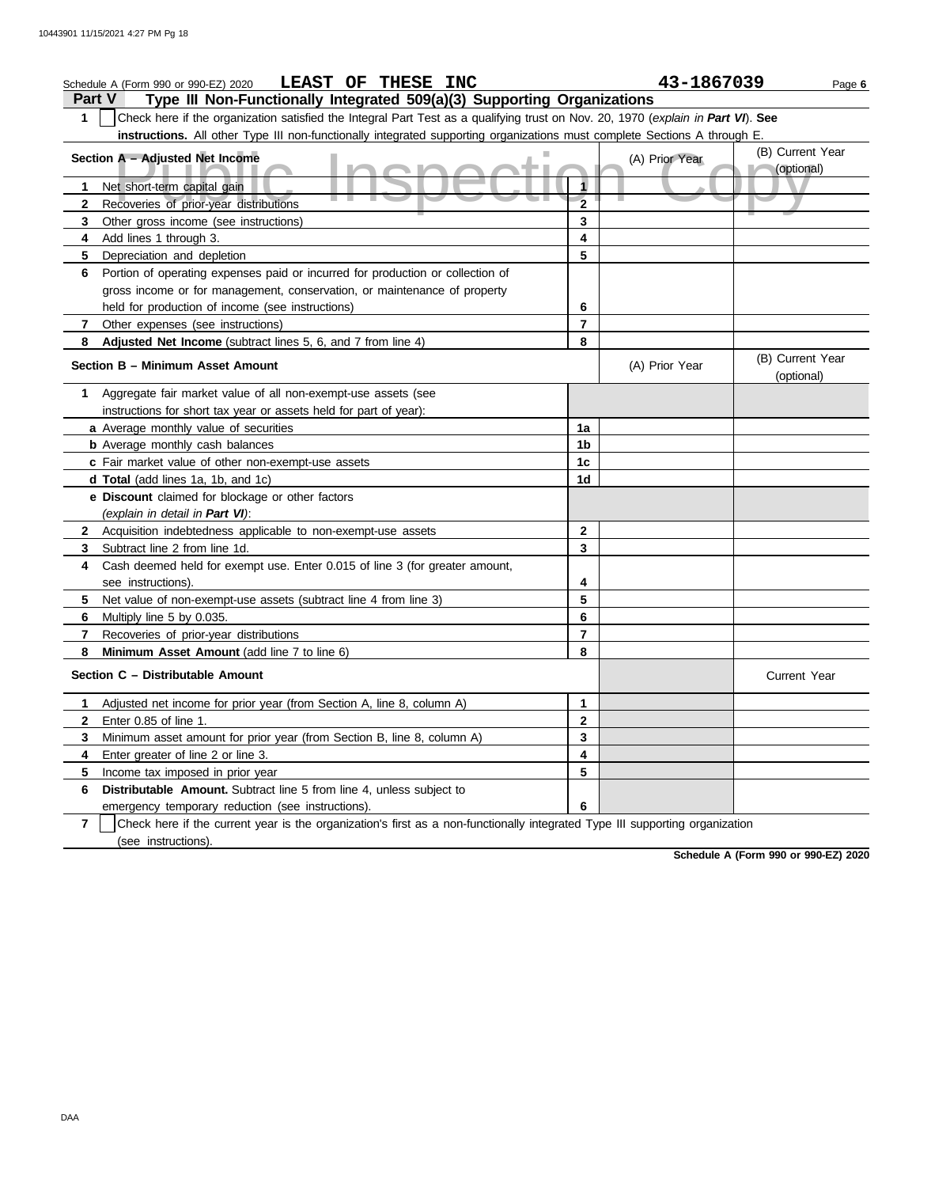|                | LEAST OF<br><b>THESE INC</b><br>Schedule A (Form 990 or 990-EZ) 2020                                                             |                | 43-1867039     | Page 6                         |
|----------------|----------------------------------------------------------------------------------------------------------------------------------|----------------|----------------|--------------------------------|
| <b>Part V</b>  | Type III Non-Functionally Integrated 509(a)(3) Supporting Organizations                                                          |                |                |                                |
| 1              | Check here if the organization satisfied the Integral Part Test as a qualifying trust on Nov. 20, 1970 (explain in Part VI). See |                |                |                                |
|                | instructions. All other Type III non-functionally integrated supporting organizations must complete Sections A through E         |                |                |                                |
|                | Section A - Adjusted Net Income                                                                                                  |                | (A) Prior Year | (B) Current Year<br>(optional) |
| 1              | Net short-term capital gain                                                                                                      | 1              |                |                                |
| $\mathbf{2}$   | Recoveries of prior-year distributions                                                                                           | $\overline{2}$ |                |                                |
| 3              | Other gross income (see instructions)                                                                                            | 3              |                |                                |
| 4              | Add lines 1 through 3.                                                                                                           | 4              |                |                                |
| 5              | Depreciation and depletion                                                                                                       | 5              |                |                                |
| 6              | Portion of operating expenses paid or incurred for production or collection of                                                   |                |                |                                |
|                | gross income or for management, conservation, or maintenance of property                                                         |                |                |                                |
|                | held for production of income (see instructions)                                                                                 | 6              |                |                                |
| $\mathbf{7}$   | Other expenses (see instructions)                                                                                                | $\overline{7}$ |                |                                |
| 8              | Adjusted Net Income (subtract lines 5, 6, and 7 from line 4)                                                                     | 8              |                |                                |
|                | Section B - Minimum Asset Amount                                                                                                 |                | (A) Prior Year | (B) Current Year<br>(optional) |
| 1              | Aggregate fair market value of all non-exempt-use assets (see                                                                    |                |                |                                |
|                | instructions for short tax year or assets held for part of year):                                                                |                |                |                                |
|                | a Average monthly value of securities                                                                                            | 1a             |                |                                |
|                | <b>b</b> Average monthly cash balances                                                                                           | 1b             |                |                                |
|                | c Fair market value of other non-exempt-use assets                                                                               | 1 <sub>c</sub> |                |                                |
|                | d Total (add lines 1a, 1b, and 1c)                                                                                               | 1d             |                |                                |
|                | e Discount claimed for blockage or other factors                                                                                 |                |                |                                |
|                | (explain in detail in Part VI):                                                                                                  |                |                |                                |
| $\mathbf{2}$   | Acquisition indebtedness applicable to non-exempt-use assets                                                                     | $\mathbf{2}$   |                |                                |
| 3              | Subtract line 2 from line 1d.                                                                                                    | 3              |                |                                |
| 4              | Cash deemed held for exempt use. Enter 0.015 of line 3 (for greater amount,<br>see instructions).                                | 4              |                |                                |
| 5              | Net value of non-exempt-use assets (subtract line 4 from line 3)                                                                 | 5              |                |                                |
| 6              | Multiply line 5 by 0.035.                                                                                                        | 6              |                |                                |
| 7              | Recoveries of prior-year distributions                                                                                           | $\overline{7}$ |                |                                |
| 8              | Minimum Asset Amount (add line 7 to line 6)                                                                                      | 8              |                |                                |
|                | Section C - Distributable Amount                                                                                                 |                |                | <b>Current Year</b>            |
| 1.             | Adjusted net income for prior year (from Section A, line 8, column A)                                                            | 1              |                |                                |
| 2              | Enter 0.85 of line 1.                                                                                                            | 2              |                |                                |
| 3              | Minimum asset amount for prior year (from Section B, line 8, column A)                                                           | 3              |                |                                |
| 4              | Enter greater of line 2 or line 3.                                                                                               | 4              |                |                                |
| 5              | Income tax imposed in prior year                                                                                                 | 5              |                |                                |
| 6              | Distributable Amount. Subtract line 5 from line 4, unless subject to                                                             |                |                |                                |
|                | emergency temporary reduction (see instructions).                                                                                | 6              |                |                                |
| $\overline{7}$ | Check here if the current year is the organization's first as a non-functionally integrated Type III supporting organization     |                |                |                                |
|                | (see instructions).                                                                                                              |                |                |                                |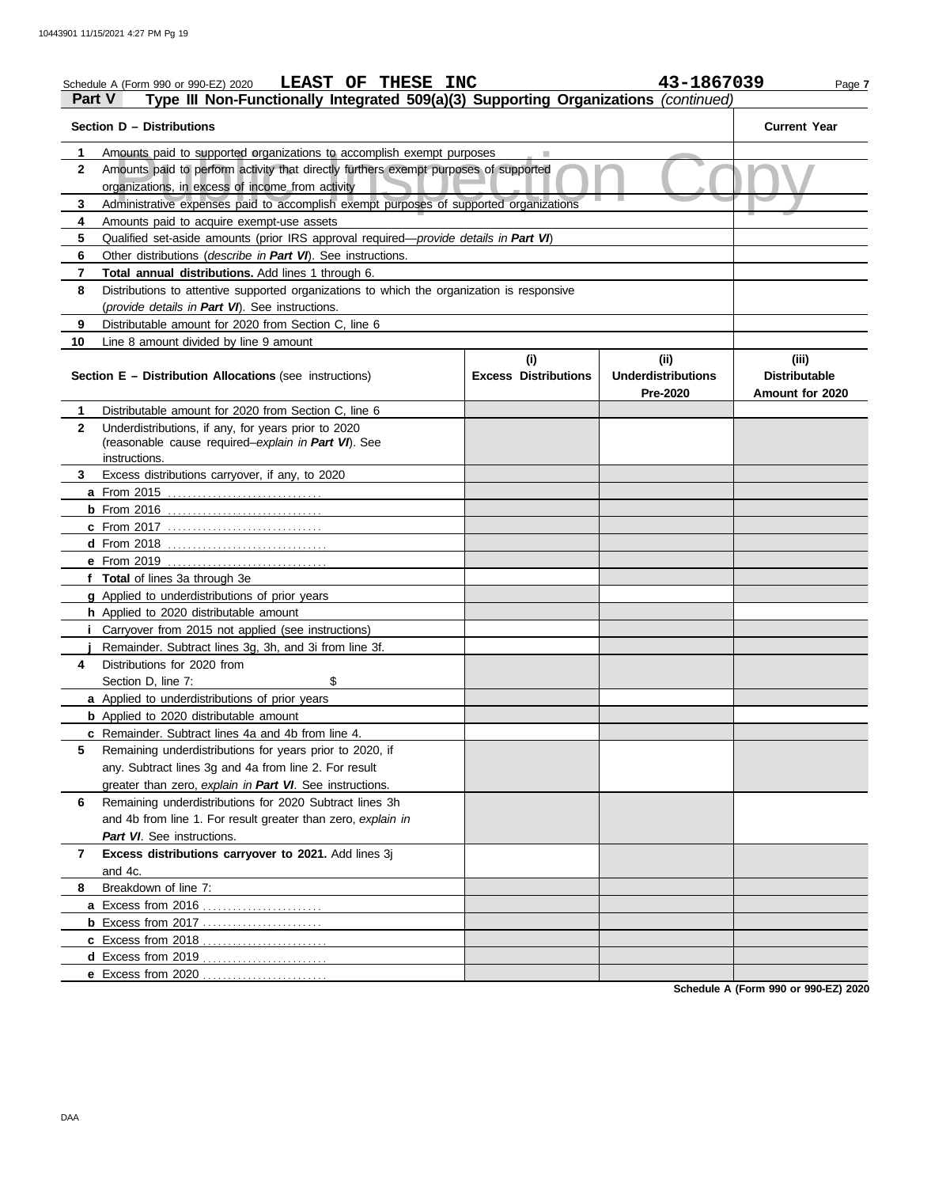|               | LEAST OF THESE INC<br>Schedule A (Form 990 or 990-EZ) 2020                                                                               |                                    | 43-1867039                        | Page 7                        |
|---------------|------------------------------------------------------------------------------------------------------------------------------------------|------------------------------------|-----------------------------------|-------------------------------|
| <b>Part V</b> | Type III Non-Functionally Integrated 509(a)(3) Supporting Organizations (continued)                                                      |                                    |                                   |                               |
|               | Section D - Distributions                                                                                                                |                                    |                                   | <b>Current Year</b>           |
| 1             | Amounts paid to supported organizations to accomplish exempt purposes                                                                    |                                    |                                   |                               |
| $\mathbf{2}$  | Amounts paid to perform activity that directly furthers exempt purposes of supported<br>organizations, in excess of income from activity |                                    |                                   |                               |
| 3             | Administrative expenses paid to accomplish exempt purposes of supported organizations                                                    |                                    |                                   |                               |
| 4             | Amounts paid to acquire exempt-use assets                                                                                                |                                    |                                   |                               |
| 5             | Qualified set-aside amounts (prior IRS approval required-provide details in Part VI)                                                     |                                    |                                   |                               |
| 6             | Other distributions (describe in Part VI). See instructions.                                                                             |                                    |                                   |                               |
| 7             | Total annual distributions. Add lines 1 through 6.                                                                                       |                                    |                                   |                               |
| 8             | Distributions to attentive supported organizations to which the organization is responsive                                               |                                    |                                   |                               |
|               | (provide details in Part VI). See instructions.                                                                                          |                                    |                                   |                               |
| 9             | Distributable amount for 2020 from Section C, line 6                                                                                     |                                    |                                   |                               |
| 10            | Line 8 amount divided by line 9 amount                                                                                                   |                                    |                                   |                               |
|               | <b>Section E - Distribution Allocations (see instructions)</b>                                                                           | (i)<br><b>Excess Distributions</b> | (ii)<br><b>Underdistributions</b> | (iii)<br><b>Distributable</b> |
|               |                                                                                                                                          |                                    | Pre-2020                          | Amount for 2020               |
| 1             | Distributable amount for 2020 from Section C, line 6                                                                                     |                                    |                                   |                               |
| $\mathbf{2}$  | Underdistributions, if any, for years prior to 2020                                                                                      |                                    |                                   |                               |
|               | (reasonable cause required-explain in Part VI). See                                                                                      |                                    |                                   |                               |
|               | instructions.                                                                                                                            |                                    |                                   |                               |
| 3             | Excess distributions carryover, if any, to 2020                                                                                          |                                    |                                   |                               |
|               |                                                                                                                                          |                                    |                                   |                               |
|               |                                                                                                                                          |                                    |                                   |                               |
|               |                                                                                                                                          |                                    |                                   |                               |
|               |                                                                                                                                          |                                    |                                   |                               |
|               | e From 2019                                                                                                                              |                                    |                                   |                               |
|               | f Total of lines 3a through 3e                                                                                                           |                                    |                                   |                               |
|               | g Applied to underdistributions of prior years                                                                                           |                                    |                                   |                               |
|               | h Applied to 2020 distributable amount                                                                                                   |                                    |                                   |                               |
|               | <i>i</i> Carryover from 2015 not applied (see instructions)                                                                              |                                    |                                   |                               |
|               | Remainder. Subtract lines 3g, 3h, and 3i from line 3f.<br>Distributions for 2020 from                                                    |                                    |                                   |                               |
| 4             | \$                                                                                                                                       |                                    |                                   |                               |
|               | Section D, line 7:                                                                                                                       |                                    |                                   |                               |
|               | a Applied to underdistributions of prior years<br><b>b</b> Applied to 2020 distributable amount                                          |                                    |                                   |                               |
|               | <b>c</b> Remainder. Subtract lines 4a and 4b from line 4.                                                                                |                                    |                                   |                               |
| 5             | Remaining underdistributions for years prior to 2020, if                                                                                 |                                    |                                   |                               |
|               | any. Subtract lines 3g and 4a from line 2. For result                                                                                    |                                    |                                   |                               |
|               | greater than zero, explain in Part VI. See instructions.                                                                                 |                                    |                                   |                               |
| 6             | Remaining underdistributions for 2020 Subtract lines 3h                                                                                  |                                    |                                   |                               |
|               | and 4b from line 1. For result greater than zero, explain in                                                                             |                                    |                                   |                               |
|               | Part VI. See instructions.                                                                                                               |                                    |                                   |                               |
| 7             | Excess distributions carryover to 2021. Add lines 3j                                                                                     |                                    |                                   |                               |
|               | and 4c.                                                                                                                                  |                                    |                                   |                               |
| 8             | Breakdown of line 7:                                                                                                                     |                                    |                                   |                               |
|               |                                                                                                                                          |                                    |                                   |                               |
|               | <b>b</b> Excess from 2017                                                                                                                |                                    |                                   |                               |
|               |                                                                                                                                          |                                    |                                   |                               |
|               |                                                                                                                                          |                                    |                                   |                               |
|               |                                                                                                                                          |                                    |                                   |                               |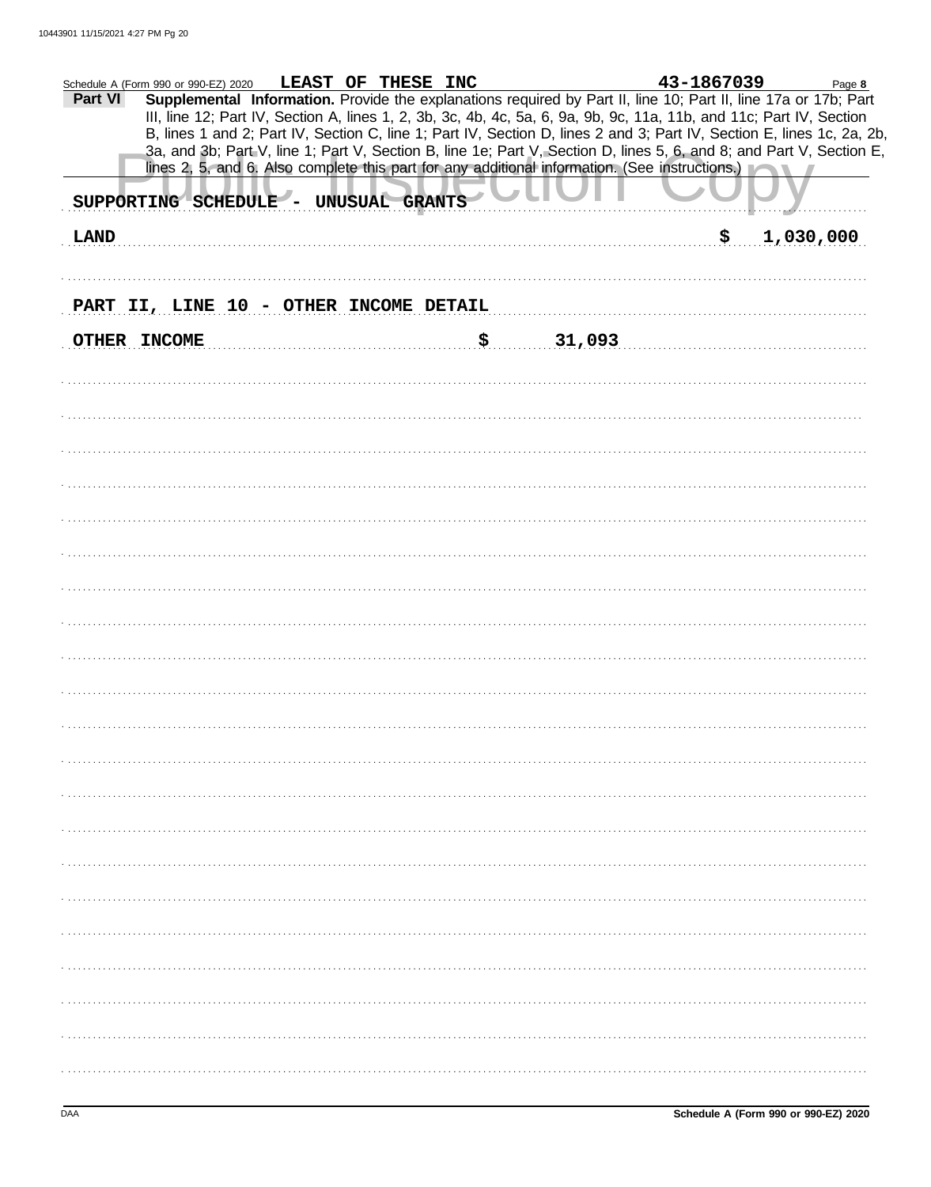| Part VI     | Schedule A (Form 990 or 990-EZ) 2020<br>SUPPORTING SCHEDULE - UNUSUAL GRANTS | LEAST OF THESE INC |              | 43-1867039<br>Supplemental Information. Provide the explanations required by Part II, line 10; Part II, line 17a or 17b; Part<br>III, line 12; Part IV, Section A, lines 1, 2, 3b, 3c, 4b, 4c, 5a, 6, 9a, 9b, 9c, 11a, 11b, and 11c; Part IV, Section<br>B, lines 1 and 2; Part IV, Section C, line 1; Part IV, Section D, lines 2 and 3; Part IV, Section E, lines 1c, 2a, 2b,<br>3a, and 3b; Part V, line 1; Part V, Section B, line 1e; Part V, Section D, lines 5, 6, and 8; and Part V, Section E,<br>lines 2, 5, and 6. Also complete this part for any additional information. (See instructions.) | Page 8    |
|-------------|------------------------------------------------------------------------------|--------------------|--------------|-----------------------------------------------------------------------------------------------------------------------------------------------------------------------------------------------------------------------------------------------------------------------------------------------------------------------------------------------------------------------------------------------------------------------------------------------------------------------------------------------------------------------------------------------------------------------------------------------------------|-----------|
| <b>LAND</b> |                                                                              |                    |              | \$.                                                                                                                                                                                                                                                                                                                                                                                                                                                                                                                                                                                                       | 1,030,000 |
|             |                                                                              |                    |              |                                                                                                                                                                                                                                                                                                                                                                                                                                                                                                                                                                                                           |           |
|             | PART II, LINE 10 - OTHER INCOME DETAIL                                       |                    |              |                                                                                                                                                                                                                                                                                                                                                                                                                                                                                                                                                                                                           |           |
|             | OTHER INCOME                                                                 |                    | \$<br>31,093 |                                                                                                                                                                                                                                                                                                                                                                                                                                                                                                                                                                                                           |           |
|             |                                                                              |                    |              |                                                                                                                                                                                                                                                                                                                                                                                                                                                                                                                                                                                                           |           |
|             |                                                                              |                    |              |                                                                                                                                                                                                                                                                                                                                                                                                                                                                                                                                                                                                           |           |
|             |                                                                              |                    |              |                                                                                                                                                                                                                                                                                                                                                                                                                                                                                                                                                                                                           |           |
|             |                                                                              |                    |              |                                                                                                                                                                                                                                                                                                                                                                                                                                                                                                                                                                                                           |           |
|             |                                                                              |                    |              |                                                                                                                                                                                                                                                                                                                                                                                                                                                                                                                                                                                                           |           |
|             |                                                                              |                    |              |                                                                                                                                                                                                                                                                                                                                                                                                                                                                                                                                                                                                           |           |
|             |                                                                              |                    |              |                                                                                                                                                                                                                                                                                                                                                                                                                                                                                                                                                                                                           |           |
|             |                                                                              |                    |              |                                                                                                                                                                                                                                                                                                                                                                                                                                                                                                                                                                                                           |           |
|             |                                                                              |                    |              |                                                                                                                                                                                                                                                                                                                                                                                                                                                                                                                                                                                                           |           |
|             |                                                                              |                    |              |                                                                                                                                                                                                                                                                                                                                                                                                                                                                                                                                                                                                           |           |
|             |                                                                              |                    |              |                                                                                                                                                                                                                                                                                                                                                                                                                                                                                                                                                                                                           |           |
|             |                                                                              |                    |              |                                                                                                                                                                                                                                                                                                                                                                                                                                                                                                                                                                                                           |           |
|             |                                                                              |                    |              |                                                                                                                                                                                                                                                                                                                                                                                                                                                                                                                                                                                                           |           |
|             |                                                                              |                    |              |                                                                                                                                                                                                                                                                                                                                                                                                                                                                                                                                                                                                           |           |
|             |                                                                              |                    |              |                                                                                                                                                                                                                                                                                                                                                                                                                                                                                                                                                                                                           |           |
|             |                                                                              |                    |              |                                                                                                                                                                                                                                                                                                                                                                                                                                                                                                                                                                                                           |           |
|             |                                                                              |                    |              |                                                                                                                                                                                                                                                                                                                                                                                                                                                                                                                                                                                                           |           |
|             |                                                                              |                    |              |                                                                                                                                                                                                                                                                                                                                                                                                                                                                                                                                                                                                           |           |
|             |                                                                              |                    |              |                                                                                                                                                                                                                                                                                                                                                                                                                                                                                                                                                                                                           |           |
|             |                                                                              |                    |              |                                                                                                                                                                                                                                                                                                                                                                                                                                                                                                                                                                                                           |           |
|             |                                                                              |                    |              |                                                                                                                                                                                                                                                                                                                                                                                                                                                                                                                                                                                                           |           |
|             |                                                                              |                    |              |                                                                                                                                                                                                                                                                                                                                                                                                                                                                                                                                                                                                           |           |
|             |                                                                              |                    |              |                                                                                                                                                                                                                                                                                                                                                                                                                                                                                                                                                                                                           |           |
|             |                                                                              |                    |              |                                                                                                                                                                                                                                                                                                                                                                                                                                                                                                                                                                                                           |           |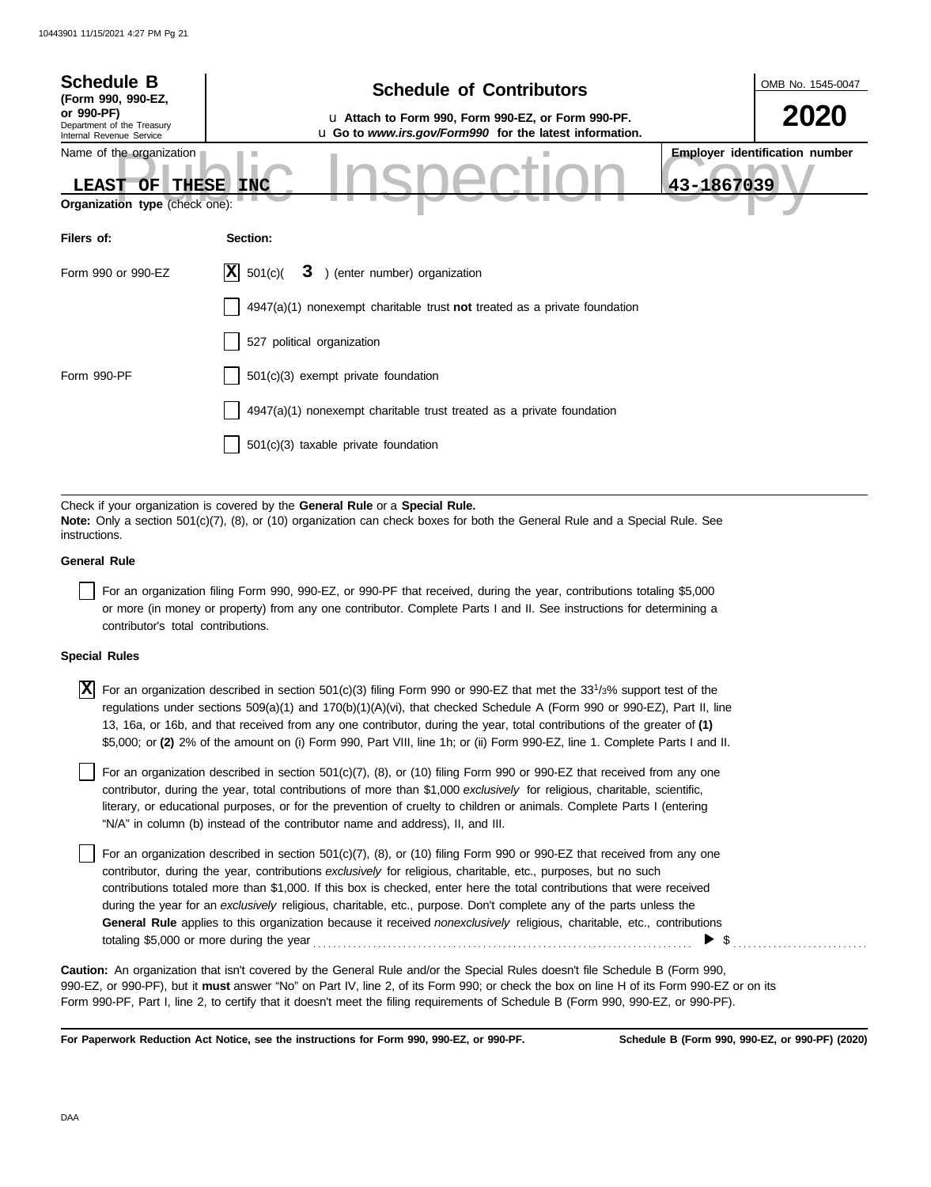| <b>Schedule B</b><br>(Form 990, 990-EZ,                                                                 | <b>Schedule of Contributors</b>                                                                                                                                                                             | OMB No. 1545-0047                                   |  |  |  |  |
|---------------------------------------------------------------------------------------------------------|-------------------------------------------------------------------------------------------------------------------------------------------------------------------------------------------------------------|-----------------------------------------------------|--|--|--|--|
| or 990-PF)<br>Department of the Treasury<br>Internal Revenue Service                                    | u Attach to Form 990, Form 990-EZ, or Form 990-PF.<br>u Go to www.irs.gov/Form990 for the latest information.                                                                                               |                                                     |  |  |  |  |
| Name of the organization<br><b>THESE</b><br><b>LEAST</b><br>OF<br><b>Organization type (check one):</b> | <b>INC</b>                                                                                                                                                                                                  | <b>Employer identification number</b><br>43-1867039 |  |  |  |  |
| Filers of:                                                                                              | Section:                                                                                                                                                                                                    |                                                     |  |  |  |  |
| Form 990 or 990-EZ                                                                                      | 3 ) (enter number) organization<br>$ \mathbf{X} $ 501(c)(                                                                                                                                                   |                                                     |  |  |  |  |
|                                                                                                         | $4947(a)(1)$ nonexempt charitable trust <b>not</b> treated as a private foundation                                                                                                                          |                                                     |  |  |  |  |
|                                                                                                         | 527 political organization                                                                                                                                                                                  |                                                     |  |  |  |  |
| Form 990-PF                                                                                             | 501(c)(3) exempt private foundation                                                                                                                                                                         |                                                     |  |  |  |  |
|                                                                                                         | $4947(a)(1)$ nonexempt charitable trust treated as a private foundation                                                                                                                                     |                                                     |  |  |  |  |
|                                                                                                         | 501(c)(3) taxable private foundation                                                                                                                                                                        |                                                     |  |  |  |  |
|                                                                                                         |                                                                                                                                                                                                             |                                                     |  |  |  |  |
|                                                                                                         | Check if your organization is covered by the General Rule or a Special Rule.<br>Note: Only a section 501(c)(7), (8), or (10) organization can check boxes for both the General Rule and a Special Rule. See |                                                     |  |  |  |  |

**instructions** 

## **General Rule**

For an organization filing Form 990, 990-EZ, or 990-PF that received, during the year, contributions totaling \$5,000 or more (in money or property) from any one contributor. Complete Parts I and II. See instructions for determining a contributor's total contributions.

## **Special Rules**

 $\overline{X}$  For an organization described in section 501(c)(3) filing Form 990 or 990-EZ that met the 33<sup>1</sup>/3% support test of the regulations under sections 509(a)(1) and 170(b)(1)(A)(vi), that checked Schedule A (Form 990 or 990-EZ), Part II, line 13, 16a, or 16b, and that received from any one contributor, during the year, total contributions of the greater of **(1)** \$5,000; or **(2)** 2% of the amount on (i) Form 990, Part VIII, line 1h; or (ii) Form 990-EZ, line 1. Complete Parts I and II.

literary, or educational purposes, or for the prevention of cruelty to children or animals. Complete Parts I (entering For an organization described in section 501(c)(7), (8), or (10) filing Form 990 or 990-EZ that received from any one contributor, during the year, total contributions of more than \$1,000 *exclusively* for religious, charitable, scientific, "N/A" in column (b) instead of the contributor name and address), II, and III.

For an organization described in section 501(c)(7), (8), or (10) filing Form 990 or 990-EZ that received from any one contributor, during the year, contributions *exclusively* for religious, charitable, etc., purposes, but no such contributions totaled more than \$1,000. If this box is checked, enter here the total contributions that were received during the year for an *exclusively* religious, charitable, etc., purpose. Don't complete any of the parts unless the **General Rule** applies to this organization because it received *nonexclusively* religious, charitable, etc., contributions totaling \$5,000 or more during the year . . . . . . . . . . . . . . . . . . . . . . . . . . . . . . . . . . . . . . . . . . . . . . . . . . . . . . . . . . . . . . . . . . . . . . . . . . . .  $\blacktriangleright$  \$

990-EZ, or 990-PF), but it **must** answer "No" on Part IV, line 2, of its Form 990; or check the box on line H of its Form 990-EZ or on its Form 990-PF, Part I, line 2, to certify that it doesn't meet the filing requirements of Schedule B (Form 990, 990-EZ, or 990-PF). **Caution:** An organization that isn't covered by the General Rule and/or the Special Rules doesn't file Schedule B (Form 990,

**For Paperwork Reduction Act Notice, see the instructions for Form 990, 990-EZ, or 990-PF.**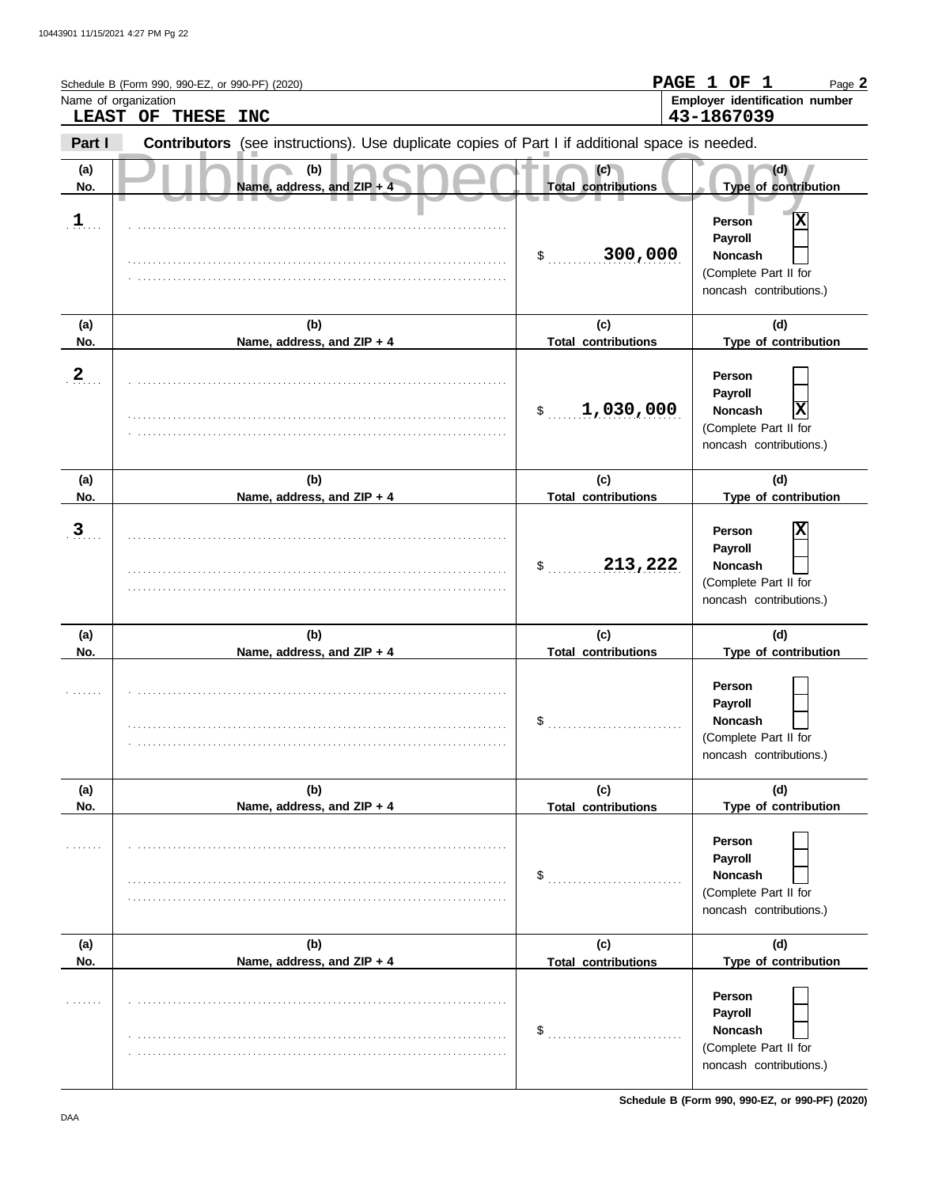|                      | Schedule B (Form 990, 990-EZ, or 990-PF) (2020)                                                |                                   | PAGE 1 OF 1<br>Page 2                                                                                       |
|----------------------|------------------------------------------------------------------------------------------------|-----------------------------------|-------------------------------------------------------------------------------------------------------------|
| Name of organization | LEAST OF THESE INC                                                                             |                                   | Employer identification number<br>43-1867039                                                                |
| Part I               | Contributors (see instructions). Use duplicate copies of Part I if additional space is needed. |                                   |                                                                                                             |
| (a)<br>No.           | (b)<br>Name, address, and ZIP + 4                                                              | (c)<br><b>Total contributions</b> | (d)<br>Type of contribution                                                                                 |
| $\mathbf{1}$         |                                                                                                | 300,000<br>$\frac{1}{2}$          | X<br>Person<br>Payroll<br><b>Noncash</b><br>(Complete Part II for<br>noncash contributions.)                |
| (a)<br>No.           | (b)<br>Name, address, and ZIP + 4                                                              | (c)<br><b>Total contributions</b> | (d)<br>Type of contribution                                                                                 |
| $\overline{2}$       |                                                                                                | 1,030,000<br>$\mathbb{S}$         | Person<br>Payroll<br>$\overline{\mathbf{x}}$<br>Noncash<br>(Complete Part II for<br>noncash contributions.) |
| (a)<br>No.           | (b)<br>Name, address, and ZIP + 4                                                              | (c)<br><b>Total contributions</b> | (d)<br>Type of contribution                                                                                 |
| $\overline{3}$       |                                                                                                | 213,222<br>$\frac{1}{2}$          | X<br>Person<br>Payroll<br><b>Noncash</b><br>(Complete Part II for<br>noncash contributions.)                |
| (a)<br>No.           | (b)<br>Name, address, and ZIP + 4                                                              | (c)<br><b>Total contributions</b> | (d)<br>Type of contribution                                                                                 |
|                      |                                                                                                | \$                                | Person<br>Payroll<br>Noncash<br>(Complete Part II for<br>noncash contributions.)                            |
| (a)                  | (b)                                                                                            | (c)                               | (d)                                                                                                         |
| No.                  | Name, address, and ZIP + 4                                                                     | <b>Total contributions</b><br>\$  | Type of contribution<br>Person<br>Payroll<br>Noncash<br>(Complete Part II for<br>noncash contributions.)    |
| (a)<br>No.           | (b)<br>Name, address, and ZIP + 4                                                              | (c)<br><b>Total contributions</b> | (d)<br>Type of contribution                                                                                 |
|                      |                                                                                                | \$                                | Person<br>Payroll<br>Noncash<br>(Complete Part II for<br>noncash contributions.)                            |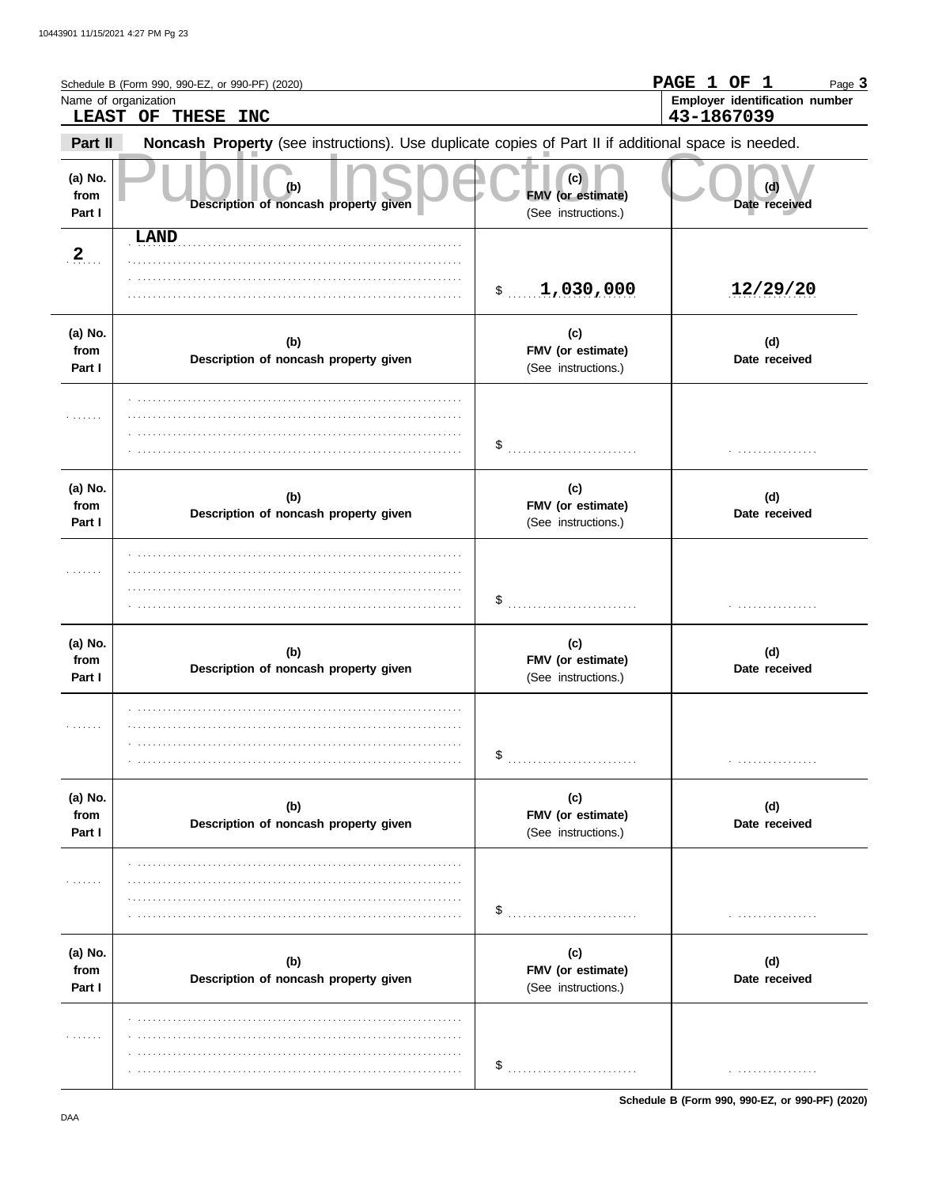|                           | Schedule B (Form 990, 990-EZ, or 990-PF) (2020)<br>Name of organization<br>LEAST OF THESE INC       |                                                 | PAGE 1 OF 1<br>Page 3<br>Employer identification number<br>43-1867039 |
|---------------------------|-----------------------------------------------------------------------------------------------------|-------------------------------------------------|-----------------------------------------------------------------------|
| Part II                   | Noncash Property (see instructions). Use duplicate copies of Part II if additional space is needed. |                                                 |                                                                       |
| (a) No.<br>from<br>Part I | (b)<br>Description of noncash property given                                                        | (c)<br>FMV (or estimate)<br>(See instructions.) | (d)<br>Date received                                                  |
| 2                         | LAND                                                                                                | \$1,030,000                                     | 12/29/20                                                              |
| (a) No.<br>from<br>Part I | (b)<br>Description of noncash property given                                                        | (c)<br>FMV (or estimate)<br>(See instructions.) | (d)<br>Date received                                                  |
| .                         |                                                                                                     | \$                                              |                                                                       |
| (a) No.<br>from<br>Part I | (b)<br>Description of noncash property given                                                        | (c)<br>FMV (or estimate)<br>(See instructions.) | (d)<br>Date received                                                  |
| 1.1.1.1.1.1               |                                                                                                     |                                                 |                                                                       |
| (a) No.<br>from<br>Part I | (b)<br>Description of noncash property given                                                        | (c)<br>FMV (or estimate)<br>(See instructions.) | (d)<br>Date received                                                  |
| .                         |                                                                                                     |                                                 | .                                                                     |
| (a) No.<br>from<br>Part I | (b)<br>Description of noncash property given                                                        | (c)<br>FMV (or estimate)<br>(See instructions.) | (d)<br>Date received                                                  |
| .                         |                                                                                                     | \$                                              | .                                                                     |
| (a) No.<br>from<br>Part I | (b)<br>Description of noncash property given                                                        | (c)<br>FMV (or estimate)<br>(See instructions.) | (d)<br>Date received                                                  |
| .                         |                                                                                                     | \$<br>.                                         | .                                                                     |

Schedule B (Form 990, 990-EZ, or 990-PF) (2020)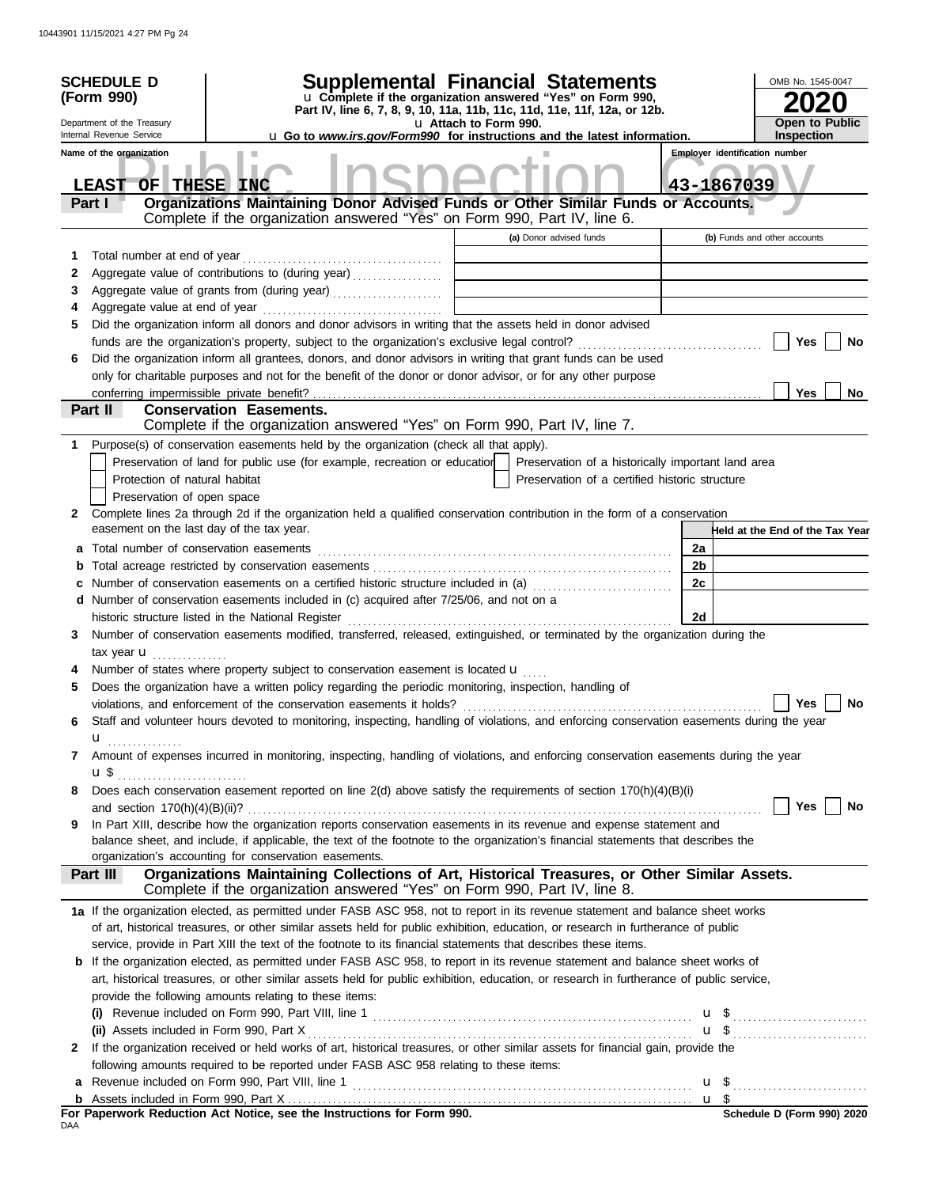|              | <b>SCHEDULE D</b>                                                                                                               |                                                                                                                                                                                            |                                                                                        |                | OMB No. 1545-0047                          |  |
|--------------|---------------------------------------------------------------------------------------------------------------------------------|--------------------------------------------------------------------------------------------------------------------------------------------------------------------------------------------|----------------------------------------------------------------------------------------|----------------|--------------------------------------------|--|
|              | Supplemental Financial Statements<br>u Complete if the organization answered "Yes" on Form 990,<br>(Form 990)                   |                                                                                                                                                                                            |                                                                                        |                |                                            |  |
|              | Part IV, line 6, 7, 8, 9, 10, 11a, 11b, 11c, 11d, 11e, 11f, 12a, or 12b.<br>Department of the Treasury<br>u Attach to Form 990. |                                                                                                                                                                                            |                                                                                        |                |                                            |  |
|              | Internal Revenue Service                                                                                                        |                                                                                                                                                                                            | <b>u</b> Go to <i>www.irs.gov/Form990</i> for instructions and the latest information. |                | <b>Open to Public</b><br><b>Inspection</b> |  |
|              | Name of the organization                                                                                                        |                                                                                                                                                                                            |                                                                                        |                | <b>Employer identification number</b>      |  |
|              |                                                                                                                                 |                                                                                                                                                                                            |                                                                                        |                | 43-1867039                                 |  |
|              | OF THESE INC<br><b>LEAST</b><br>Part I                                                                                          | Organizations Maintaining Donor Advised Funds or Other Similar Funds or Accounts.                                                                                                          |                                                                                        |                |                                            |  |
|              |                                                                                                                                 | Complete if the organization answered "Yes" on Form 990, Part IV, line 6.                                                                                                                  |                                                                                        |                |                                            |  |
|              |                                                                                                                                 |                                                                                                                                                                                            | (a) Donor advised funds                                                                |                | (b) Funds and other accounts               |  |
| 1            | Total number at end of year                                                                                                     |                                                                                                                                                                                            |                                                                                        |                |                                            |  |
| 2            |                                                                                                                                 | Aggregate value of contributions to (during year)                                                                                                                                          |                                                                                        |                |                                            |  |
| 3            |                                                                                                                                 |                                                                                                                                                                                            |                                                                                        |                |                                            |  |
| 4            |                                                                                                                                 |                                                                                                                                                                                            |                                                                                        |                |                                            |  |
| 5            |                                                                                                                                 | Did the organization inform all donors and donor advisors in writing that the assets held in donor advised                                                                                 |                                                                                        |                |                                            |  |
|              |                                                                                                                                 |                                                                                                                                                                                            |                                                                                        |                | Yes<br><b>No</b>                           |  |
| 6            |                                                                                                                                 | Did the organization inform all grantees, donors, and donor advisors in writing that grant funds can be used                                                                               |                                                                                        |                |                                            |  |
|              |                                                                                                                                 | only for charitable purposes and not for the benefit of the donor or donor advisor, or for any other purpose                                                                               |                                                                                        |                |                                            |  |
|              |                                                                                                                                 |                                                                                                                                                                                            |                                                                                        |                | <b>Yes</b><br><b>No</b>                    |  |
|              | Part II                                                                                                                         | <b>Conservation Easements.</b>                                                                                                                                                             |                                                                                        |                |                                            |  |
|              |                                                                                                                                 | Complete if the organization answered "Yes" on Form 990, Part IV, line 7.                                                                                                                  |                                                                                        |                |                                            |  |
| 1            |                                                                                                                                 | Purpose(s) of conservation easements held by the organization (check all that apply).                                                                                                      |                                                                                        |                |                                            |  |
|              |                                                                                                                                 | Preservation of land for public use (for example, recreation or education                                                                                                                  | Preservation of a historically important land area                                     |                |                                            |  |
|              | Protection of natural habitat                                                                                                   |                                                                                                                                                                                            | Preservation of a certified historic structure                                         |                |                                            |  |
|              | Preservation of open space                                                                                                      |                                                                                                                                                                                            |                                                                                        |                |                                            |  |
| $\mathbf{2}$ | easement on the last day of the tax year.                                                                                       | Complete lines 2a through 2d if the organization held a qualified conservation contribution in the form of a conservation                                                                  |                                                                                        |                | Held at the End of the Tax Year            |  |
|              |                                                                                                                                 |                                                                                                                                                                                            |                                                                                        | 2a             |                                            |  |
| b            |                                                                                                                                 |                                                                                                                                                                                            |                                                                                        | 2 <sub>b</sub> |                                            |  |
| c            |                                                                                                                                 | Number of conservation easements on a certified historic structure included in (a)                                                                                                         |                                                                                        | 2c             |                                            |  |
| d            |                                                                                                                                 | Number of conservation easements included in (c) acquired after 7/25/06, and not on a                                                                                                      |                                                                                        |                |                                            |  |
|              |                                                                                                                                 | historic structure listed in the National Register                                                                                                                                         |                                                                                        | 2d             |                                            |  |
| 3            |                                                                                                                                 | Number of conservation easements modified, transferred, released, extinguished, or terminated by the organization during the                                                               |                                                                                        |                |                                            |  |
|              | tax year <b>u</b>                                                                                                               |                                                                                                                                                                                            |                                                                                        |                |                                            |  |
|              |                                                                                                                                 | Number of states where property subject to conservation easement is located u                                                                                                              |                                                                                        |                |                                            |  |
| 5            |                                                                                                                                 | Does the organization have a written policy regarding the periodic monitoring, inspection, handling of                                                                                     |                                                                                        |                |                                            |  |
|              |                                                                                                                                 | violations, and enforcement of the conservation easements it holds? $\Box$                                                                                                                 |                                                                                        |                | Yes $\boxed{\phantom{1}}$ No               |  |
| 6            |                                                                                                                                 | Staff and volunteer hours devoted to monitoring, inspecting, handling of violations, and enforcing conservation easements during the year                                                  |                                                                                        |                |                                            |  |
|              | u<br>.                                                                                                                          |                                                                                                                                                                                            |                                                                                        |                |                                            |  |
| 7            |                                                                                                                                 | Amount of expenses incurred in monitoring, inspecting, handling of violations, and enforcing conservation easements during the year                                                        |                                                                                        |                |                                            |  |
|              | $\mathbf{u}$ \$ $\ldots$ $\ldots$ $\ldots$ $\ldots$ $\ldots$ $\ldots$                                                           |                                                                                                                                                                                            |                                                                                        |                |                                            |  |
| 8            |                                                                                                                                 | Does each conservation easement reported on line 2(d) above satisfy the requirements of section 170(h)(4)(B)(i)                                                                            |                                                                                        |                |                                            |  |
|              |                                                                                                                                 |                                                                                                                                                                                            |                                                                                        |                | Yes<br>No                                  |  |
| 9            |                                                                                                                                 | In Part XIII, describe how the organization reports conservation easements in its revenue and expense statement and                                                                        |                                                                                        |                |                                            |  |
|              |                                                                                                                                 | balance sheet, and include, if applicable, the text of the footnote to the organization's financial statements that describes the<br>organization's accounting for conservation easements. |                                                                                        |                |                                            |  |
|              | Part III                                                                                                                        | Organizations Maintaining Collections of Art, Historical Treasures, or Other Similar Assets.                                                                                               |                                                                                        |                |                                            |  |
|              |                                                                                                                                 | Complete if the organization answered "Yes" on Form 990, Part IV, line 8.                                                                                                                  |                                                                                        |                |                                            |  |
|              |                                                                                                                                 | 1a If the organization elected, as permitted under FASB ASC 958, not to report in its revenue statement and balance sheet works                                                            |                                                                                        |                |                                            |  |
|              |                                                                                                                                 | of art, historical treasures, or other similar assets held for public exhibition, education, or research in furtherance of public                                                          |                                                                                        |                |                                            |  |
|              |                                                                                                                                 | service, provide in Part XIII the text of the footnote to its financial statements that describes these items.                                                                             |                                                                                        |                |                                            |  |
|              |                                                                                                                                 | b If the organization elected, as permitted under FASB ASC 958, to report in its revenue statement and balance sheet works of                                                              |                                                                                        |                |                                            |  |
|              |                                                                                                                                 | art, historical treasures, or other similar assets held for public exhibition, education, or research in furtherance of public service,                                                    |                                                                                        |                |                                            |  |
|              |                                                                                                                                 | provide the following amounts relating to these items:                                                                                                                                     |                                                                                        |                |                                            |  |
|              | (i)                                                                                                                             |                                                                                                                                                                                            |                                                                                        |                |                                            |  |
|              |                                                                                                                                 |                                                                                                                                                                                            |                                                                                        |                | $\mathbf{u}$ \$                            |  |
| 2            |                                                                                                                                 | If the organization received or held works of art, historical treasures, or other similar assets for financial gain, provide the                                                           |                                                                                        |                |                                            |  |
|              |                                                                                                                                 | following amounts required to be reported under FASB ASC 958 relating to these items:                                                                                                      |                                                                                        |                |                                            |  |
|              |                                                                                                                                 |                                                                                                                                                                                            |                                                                                        |                |                                            |  |
|              |                                                                                                                                 |                                                                                                                                                                                            |                                                                                        |                |                                            |  |
|              |                                                                                                                                 | For Paperwork Reduction Act Notice, see the Instructions for Form 990.                                                                                                                     |                                                                                        |                | Schedule D (Form 990) 2020                 |  |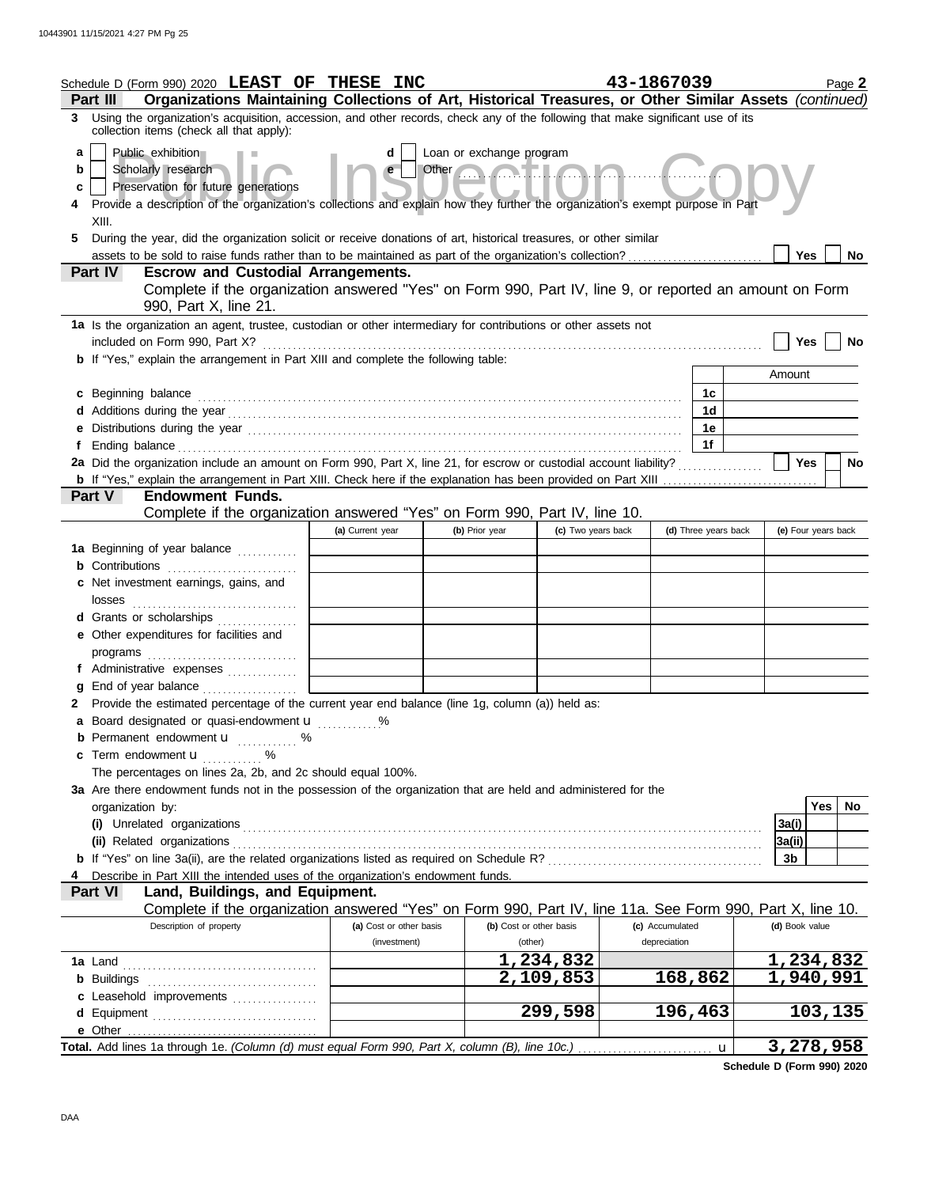|                   | Schedule D (Form 990) 2020 LEAST OF THESE INC                                                                                                                                                                                                                                                                                                                                                                                                                             |                         |                         |                    | 43-1867039      |                      |                     | Page 2 |  |  |  |
|-------------------|---------------------------------------------------------------------------------------------------------------------------------------------------------------------------------------------------------------------------------------------------------------------------------------------------------------------------------------------------------------------------------------------------------------------------------------------------------------------------|-------------------------|-------------------------|--------------------|-----------------|----------------------|---------------------|--------|--|--|--|
| 3                 | Organizations Maintaining Collections of Art, Historical Treasures, or Other Similar Assets (continued)<br>Part III<br>Using the organization's acquisition, accession, and other records, check any of the following that make significant use of its                                                                                                                                                                                                                    |                         |                         |                    |                 |                      |                     |        |  |  |  |
| a<br>b<br>c<br>5. | collection items (check all that apply):<br>Public exhibition<br>Loan or exchange program<br>d<br>Other <b>Communication</b><br>Scholarly research<br>$\mathbf{e}$<br>Preservation for future generations<br>Provide a description of the organization's collections and explain how they further the organization's exempt purpose in Part<br>XIII.<br>During the year, did the organization solicit or receive donations of art, historical treasures, or other similar |                         |                         |                    |                 |                      |                     |        |  |  |  |
|                   | assets to be sold to raise funds rather than to be maintained as part of the organization's collection?<br>Yes<br>No.                                                                                                                                                                                                                                                                                                                                                     |                         |                         |                    |                 |                      |                     |        |  |  |  |
|                   | Part IV<br><b>Escrow and Custodial Arrangements.</b><br>Complete if the organization answered "Yes" on Form 990, Part IV, line 9, or reported an amount on Form<br>990, Part X, line 21.                                                                                                                                                                                                                                                                                  |                         |                         |                    |                 |                      |                     |        |  |  |  |
|                   | 1a Is the organization an agent, trustee, custodian or other intermediary for contributions or other assets not                                                                                                                                                                                                                                                                                                                                                           |                         |                         |                    |                 |                      |                     |        |  |  |  |
|                   | included on Form 990, Part X?<br><b>b</b> If "Yes," explain the arrangement in Part XIII and complete the following table:                                                                                                                                                                                                                                                                                                                                                |                         |                         |                    |                 |                      | Yes                 | No     |  |  |  |
|                   |                                                                                                                                                                                                                                                                                                                                                                                                                                                                           |                         |                         |                    |                 |                      | Amount              |        |  |  |  |
|                   | c Beginning balance                                                                                                                                                                                                                                                                                                                                                                                                                                                       |                         |                         |                    |                 | 1c                   |                     |        |  |  |  |
|                   |                                                                                                                                                                                                                                                                                                                                                                                                                                                                           |                         |                         |                    |                 | 1 <sub>d</sub>       |                     |        |  |  |  |
|                   | e Distributions during the year manufactured contains and the year manufactured with the set of the set of the                                                                                                                                                                                                                                                                                                                                                            |                         |                         |                    |                 | 1е                   |                     |        |  |  |  |
| f                 |                                                                                                                                                                                                                                                                                                                                                                                                                                                                           |                         |                         |                    |                 | 1f                   |                     |        |  |  |  |
|                   | 2a Did the organization include an amount on Form 990, Part X, line 21, for escrow or custodial account liability?                                                                                                                                                                                                                                                                                                                                                        |                         |                         |                    |                 |                      | <b>Yes</b>          | No     |  |  |  |
|                   | <b>Endowment Funds.</b><br>Part V                                                                                                                                                                                                                                                                                                                                                                                                                                         |                         |                         |                    |                 |                      |                     |        |  |  |  |
|                   | Complete if the organization answered "Yes" on Form 990, Part IV, line 10.                                                                                                                                                                                                                                                                                                                                                                                                |                         |                         |                    |                 |                      |                     |        |  |  |  |
|                   |                                                                                                                                                                                                                                                                                                                                                                                                                                                                           | (a) Current year        | (b) Prior year          | (c) Two years back |                 | (d) Three years back | (e) Four years back |        |  |  |  |
|                   | 1a Beginning of year balance                                                                                                                                                                                                                                                                                                                                                                                                                                              |                         |                         |                    |                 |                      |                     |        |  |  |  |
|                   |                                                                                                                                                                                                                                                                                                                                                                                                                                                                           |                         |                         |                    |                 |                      |                     |        |  |  |  |
|                   | c Net investment earnings, gains, and<br>losses                                                                                                                                                                                                                                                                                                                                                                                                                           |                         |                         |                    |                 |                      |                     |        |  |  |  |
|                   | d Grants or scholarships                                                                                                                                                                                                                                                                                                                                                                                                                                                  |                         |                         |                    |                 |                      |                     |        |  |  |  |
|                   | e Other expenditures for facilities and                                                                                                                                                                                                                                                                                                                                                                                                                                   |                         |                         |                    |                 |                      |                     |        |  |  |  |
|                   | programs                                                                                                                                                                                                                                                                                                                                                                                                                                                                  |                         |                         |                    |                 |                      |                     |        |  |  |  |
|                   | f Administrative expenses                                                                                                                                                                                                                                                                                                                                                                                                                                                 |                         |                         |                    |                 |                      |                     |        |  |  |  |
| g                 | End of year balance                                                                                                                                                                                                                                                                                                                                                                                                                                                       |                         |                         |                    |                 |                      |                     |        |  |  |  |
| 2                 | Provide the estimated percentage of the current year end balance (line 1g, column (a)) held as:<br>a Board designated or quasi-endowment u                                                                                                                                                                                                                                                                                                                                | $\%$                    |                         |                    |                 |                      |                     |        |  |  |  |
|                   | <b>b</b> Permanent endowment $\mathbf{u}$ %                                                                                                                                                                                                                                                                                                                                                                                                                               |                         |                         |                    |                 |                      |                     |        |  |  |  |
|                   | c Term endowment u<br>.                                                                                                                                                                                                                                                                                                                                                                                                                                                   |                         |                         |                    |                 |                      |                     |        |  |  |  |
|                   | The percentages on lines 2a, 2b, and 2c should equal 100%.                                                                                                                                                                                                                                                                                                                                                                                                                |                         |                         |                    |                 |                      |                     |        |  |  |  |
|                   | 3a Are there endowment funds not in the possession of the organization that are held and administered for the                                                                                                                                                                                                                                                                                                                                                             |                         |                         |                    |                 |                      |                     |        |  |  |  |
|                   | organization by:                                                                                                                                                                                                                                                                                                                                                                                                                                                          |                         |                         |                    |                 |                      | <b>Yes</b>          | No     |  |  |  |
|                   |                                                                                                                                                                                                                                                                                                                                                                                                                                                                           |                         |                         |                    |                 |                      | 3a(i)               |        |  |  |  |
|                   | (ii) Related organizations                                                                                                                                                                                                                                                                                                                                                                                                                                                |                         |                         |                    |                 |                      | 3a(ii)<br>3b        |        |  |  |  |
|                   | Describe in Part XIII the intended uses of the organization's endowment funds.                                                                                                                                                                                                                                                                                                                                                                                            |                         |                         |                    |                 |                      |                     |        |  |  |  |
|                   | Land, Buildings, and Equipment.<br><b>Part VI</b>                                                                                                                                                                                                                                                                                                                                                                                                                         |                         |                         |                    |                 |                      |                     |        |  |  |  |
|                   | Complete if the organization answered "Yes" on Form 990, Part IV, line 11a. See Form 990, Part X, line 10.                                                                                                                                                                                                                                                                                                                                                                |                         |                         |                    |                 |                      |                     |        |  |  |  |
|                   | Description of property                                                                                                                                                                                                                                                                                                                                                                                                                                                   | (a) Cost or other basis | (b) Cost or other basis |                    | (c) Accumulated |                      | (d) Book value      |        |  |  |  |
|                   |                                                                                                                                                                                                                                                                                                                                                                                                                                                                           | (investment)            | (other)                 |                    | depreciation    |                      |                     |        |  |  |  |
|                   |                                                                                                                                                                                                                                                                                                                                                                                                                                                                           |                         |                         | 1,234,832          |                 |                      | 1,234,832           |        |  |  |  |
|                   |                                                                                                                                                                                                                                                                                                                                                                                                                                                                           |                         |                         | 2,109,853          |                 | 168,862              | 1,940,991           |        |  |  |  |
|                   | c Leasehold improvements<br>d Equipment                                                                                                                                                                                                                                                                                                                                                                                                                                   |                         |                         | 299,598            |                 | 196,463              | <u>103,135</u>      |        |  |  |  |
|                   | e Other<br>Total. Add lines 1a through 1e. (Column (d) must equal Form 990, Part X, column (B), line 10c.)                                                                                                                                                                                                                                                                                                                                                                |                         |                         |                    |                 | $\mathbf u$          | 3,278,958           |        |  |  |  |

**Schedule D (Form 990) 2020**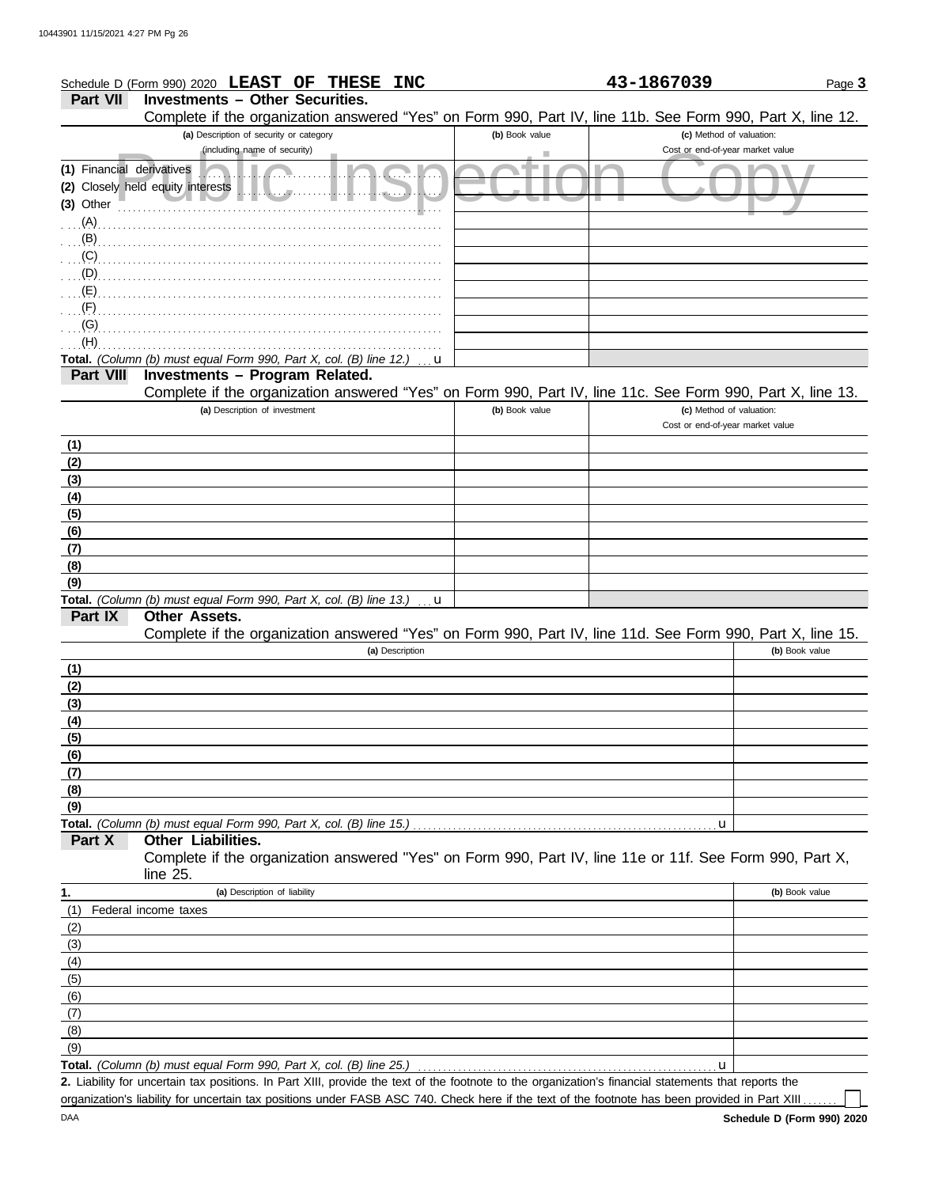|                           | Schedule D (Form 990) 2020 LEAST OF THESE INC                                                                                                        |                | 43-1867039                       | Page 3         |
|---------------------------|------------------------------------------------------------------------------------------------------------------------------------------------------|----------------|----------------------------------|----------------|
| <b>Part VII</b>           | <b>Investments - Other Securities.</b>                                                                                                               |                |                                  |                |
|                           | Complete if the organization answered "Yes" on Form 990, Part IV, line 11b. See Form 990, Part X, line 12.                                           |                |                                  |                |
|                           | (a) Description of security or category                                                                                                              | (b) Book value | (c) Method of valuation:         |                |
|                           | (including name of security)                                                                                                                         |                | Cost or end-of-year market value |                |
| (1) Financial derivatives |                                                                                                                                                      |                |                                  |                |
|                           | (2) Closely held equity interests<br>.                                                                                                               |                |                                  |                |
| $(3)$ Other               |                                                                                                                                                      |                |                                  |                |
| $\ldots$ (A).             |                                                                                                                                                      |                |                                  |                |
| $\overline{AB}$           |                                                                                                                                                      |                |                                  |                |
|                           |                                                                                                                                                      |                |                                  |                |
|                           |                                                                                                                                                      |                |                                  |                |
|                           |                                                                                                                                                      |                |                                  |                |
| (F)                       |                                                                                                                                                      |                |                                  |                |
| (G)                       |                                                                                                                                                      |                |                                  |                |
| (H)                       |                                                                                                                                                      |                |                                  |                |
|                           | Total. (Column (b) must equal Form 990, Part X, col. (B) line 12.)<br>u                                                                              |                |                                  |                |
| <b>Part VIII</b>          | Investments - Program Related.                                                                                                                       |                |                                  |                |
|                           | Complete if the organization answered "Yes" on Form 990, Part IV, line 11c. See Form 990, Part X, line 13.                                           |                |                                  |                |
|                           | (a) Description of investment                                                                                                                        | (b) Book value | (c) Method of valuation:         |                |
|                           |                                                                                                                                                      |                | Cost or end-of-year market value |                |
| (1)                       |                                                                                                                                                      |                |                                  |                |
| (2)                       |                                                                                                                                                      |                |                                  |                |
| (3)                       |                                                                                                                                                      |                |                                  |                |
| (4)                       |                                                                                                                                                      |                |                                  |                |
| (5)                       |                                                                                                                                                      |                |                                  |                |
| (6)                       |                                                                                                                                                      |                |                                  |                |
| (7)                       |                                                                                                                                                      |                |                                  |                |
| (8)                       |                                                                                                                                                      |                |                                  |                |
| (9)                       |                                                                                                                                                      |                |                                  |                |
| Part IX                   | Total. (Column (b) must equal Form 990, Part X, col. (B) line 13.)<br>u<br><b>Other Assets.</b>                                                      |                |                                  |                |
|                           |                                                                                                                                                      |                |                                  |                |
|                           | Complete if the organization answered "Yes" on Form 990, Part IV, line 11d. See Form 990, Part X, line 15.<br>(a) Description                        |                |                                  | (b) Book value |
|                           |                                                                                                                                                      |                |                                  |                |
| (1)<br>(2)                |                                                                                                                                                      |                |                                  |                |
| (3)                       |                                                                                                                                                      |                |                                  |                |
| (4)                       |                                                                                                                                                      |                |                                  |                |
| (5)                       |                                                                                                                                                      |                |                                  |                |
| (6)                       |                                                                                                                                                      |                |                                  |                |
| <u>(7)</u>                |                                                                                                                                                      |                |                                  |                |
| (8)                       |                                                                                                                                                      |                |                                  |                |
| (9)                       |                                                                                                                                                      |                |                                  |                |
|                           | Total. (Column (b) must equal Form 990, Part X, col. (B) line 15.)                                                                                   |                | u                                |                |
| Part X                    | Other Liabilities.                                                                                                                                   |                |                                  |                |
|                           | Complete if the organization answered "Yes" on Form 990, Part IV, line 11e or 11f. See Form 990, Part X,                                             |                |                                  |                |
|                           | line 25.                                                                                                                                             |                |                                  |                |
| 1.                        | (a) Description of liability                                                                                                                         |                |                                  | (b) Book value |
| (1)                       | Federal income taxes                                                                                                                                 |                |                                  |                |
| (2)                       |                                                                                                                                                      |                |                                  |                |
| (3)                       |                                                                                                                                                      |                |                                  |                |
| (4)                       |                                                                                                                                                      |                |                                  |                |
| (5)                       |                                                                                                                                                      |                |                                  |                |
| (6)                       |                                                                                                                                                      |                |                                  |                |
| (7)                       |                                                                                                                                                      |                |                                  |                |
| (8)                       |                                                                                                                                                      |                |                                  |                |
| (9)                       |                                                                                                                                                      |                |                                  |                |
|                           | Total. (Column (b) must equal Form 990, Part X, col. (B) line 25.)                                                                                   |                | u                                |                |
|                           | 2. Liability for uncertain tax positions. In Part XIII, provide the text of the footnote to the organization's financial statements that reports the |                |                                  |                |

organization's liability for uncertain tax positions under FASB ASC 740. Check here if the text of the footnote has been provided in Part XIII . . . . . .

 $\mathop{\Box}$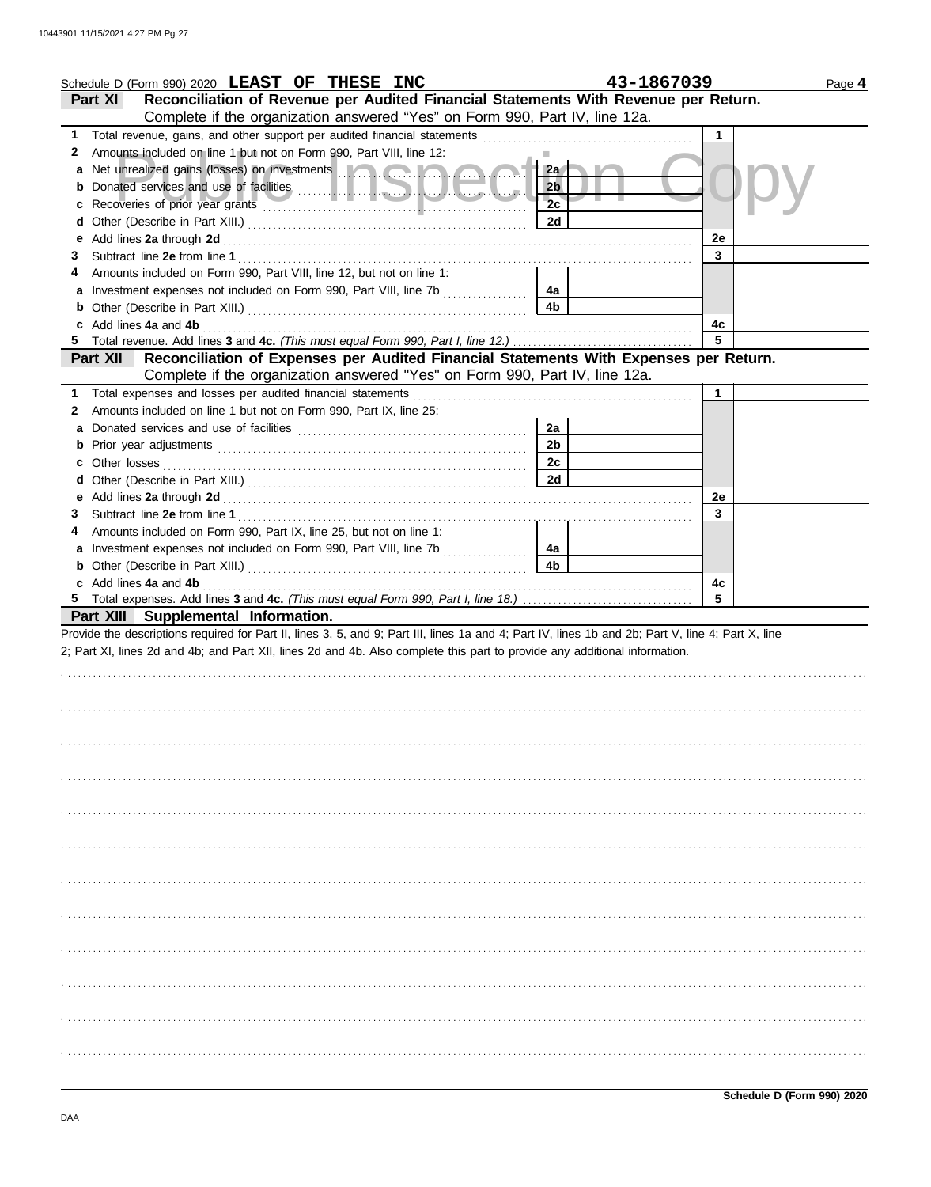| Schedule D (Form 990) 2020 LEAST OF THESE INC                                                                                                                                                                                 | 43-1867039           | Page 4  |
|-------------------------------------------------------------------------------------------------------------------------------------------------------------------------------------------------------------------------------|----------------------|---------|
| Reconciliation of Revenue per Audited Financial Statements With Revenue per Return.<br>Part XI                                                                                                                                |                      |         |
| Complete if the organization answered "Yes" on Form 990, Part IV, line 12a.                                                                                                                                                   |                      |         |
|                                                                                                                                                                                                                               |                      | 1       |
| Amounts included on line 1 but not on Form 990, Part VIII, line 12:<br>2                                                                                                                                                      |                      |         |
| a Net unrealized gains (losses) on investments <b>and a state of the state of the state of the state of the state</b>                                                                                                         | 2a                   |         |
| b                                                                                                                                                                                                                             | 2 <sub>b</sub>       |         |
| c                                                                                                                                                                                                                             | 2c                   |         |
| d                                                                                                                                                                                                                             | 2d                   |         |
| е                                                                                                                                                                                                                             |                      | 2e      |
| 3                                                                                                                                                                                                                             |                      | 3       |
| Amounts included on Form 990, Part VIII, line 12, but not on line 1:<br>4                                                                                                                                                     |                      |         |
|                                                                                                                                                                                                                               | 4a                   |         |
| b                                                                                                                                                                                                                             | 4b                   |         |
| c Add lines 4a and 4b (a) and the contract of the set of the set of the set of the set of the set of the set of the set of the set of the set of the set of the set of the set of the set of the set of the set of the set of |                      | 4c      |
| 5.                                                                                                                                                                                                                            |                      | 5       |
| Reconciliation of Expenses per Audited Financial Statements With Expenses per Return.<br><b>Part XII</b>                                                                                                                      |                      |         |
| Complete if the organization answered "Yes" on Form 990, Part IV, line 12a.                                                                                                                                                   |                      |         |
| 1 Total expenses and losses per audited financial statements [11] [11] Total expenses and losses and losses per audited financial statements [11] Total expenses and losses                                                   |                      | 1       |
| Amounts included on line 1 but not on Form 990, Part IX, line 25:<br>2                                                                                                                                                        |                      |         |
| a                                                                                                                                                                                                                             | 2a                   |         |
|                                                                                                                                                                                                                               | 2 <sub>b</sub>       |         |
|                                                                                                                                                                                                                               | 2c                   |         |
| d                                                                                                                                                                                                                             | 2d                   |         |
|                                                                                                                                                                                                                               |                      |         |
| 3                                                                                                                                                                                                                             |                      | 2e<br>3 |
| Amounts included on Form 990, Part IX, line 25, but not on line 1:                                                                                                                                                            |                      |         |
| 4                                                                                                                                                                                                                             |                      |         |
| a Investment expenses not included on Form 990, Part VIII, line 7b                                                                                                                                                            | 4a<br>4 <sub>b</sub> |         |
|                                                                                                                                                                                                                               |                      |         |
| c Add lines 4a and 4b                                                                                                                                                                                                         |                      | 4c<br>5 |
|                                                                                                                                                                                                                               |                      |         |
| Part XIII Supplemental Information.                                                                                                                                                                                           |                      |         |
| Provide the descriptions required for Part II, lines 3, 5, and 9; Part III, lines 1a and 4; Part IV, lines 1b and 2b; Part V, line 4; Part X, line                                                                            |                      |         |
| 2; Part XI, lines 2d and 4b; and Part XII, lines 2d and 4b. Also complete this part to provide any additional information.                                                                                                    |                      |         |
|                                                                                                                                                                                                                               |                      |         |
|                                                                                                                                                                                                                               |                      |         |
|                                                                                                                                                                                                                               |                      |         |
|                                                                                                                                                                                                                               |                      |         |
|                                                                                                                                                                                                                               |                      |         |
|                                                                                                                                                                                                                               |                      |         |
|                                                                                                                                                                                                                               |                      |         |
|                                                                                                                                                                                                                               |                      |         |
|                                                                                                                                                                                                                               |                      |         |
|                                                                                                                                                                                                                               |                      |         |
|                                                                                                                                                                                                                               |                      |         |
|                                                                                                                                                                                                                               |                      |         |
|                                                                                                                                                                                                                               |                      |         |
|                                                                                                                                                                                                                               |                      |         |
|                                                                                                                                                                                                                               |                      |         |
|                                                                                                                                                                                                                               |                      |         |
|                                                                                                                                                                                                                               |                      |         |
|                                                                                                                                                                                                                               |                      |         |
|                                                                                                                                                                                                                               |                      |         |
|                                                                                                                                                                                                                               |                      |         |
|                                                                                                                                                                                                                               |                      |         |
|                                                                                                                                                                                                                               |                      |         |
|                                                                                                                                                                                                                               |                      |         |
|                                                                                                                                                                                                                               |                      |         |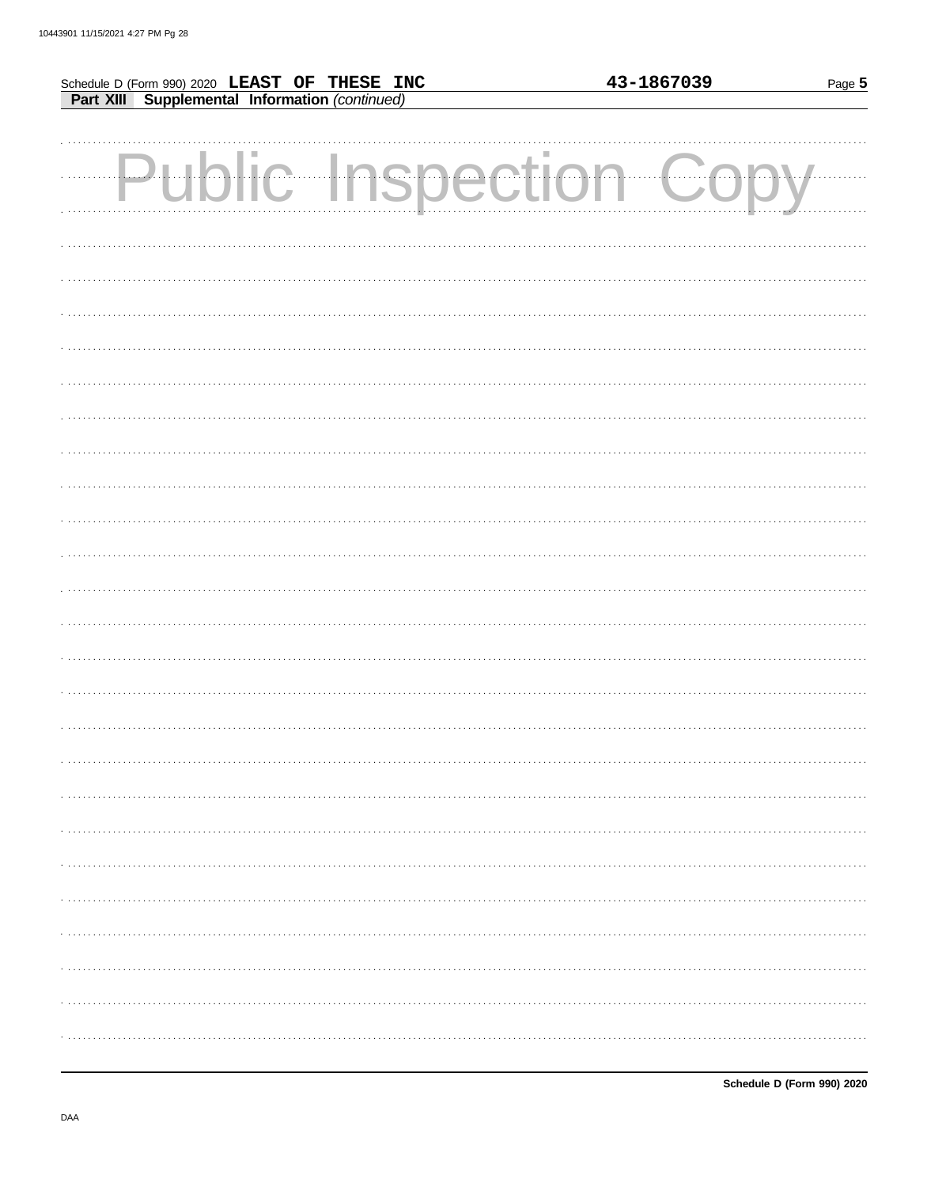| Schedule D (Form 990) 2020 LEAST OF THESE INC<br>Part XIII Supplemental Information (continued) | 43-1867039 | Page 5 |
|-------------------------------------------------------------------------------------------------|------------|--------|
|                                                                                                 |            |        |
|                                                                                                 |            |        |
| Public Inspection Co                                                                            |            |        |
|                                                                                                 |            |        |
|                                                                                                 |            |        |
|                                                                                                 |            |        |
|                                                                                                 |            |        |
|                                                                                                 |            |        |
|                                                                                                 |            |        |
|                                                                                                 |            |        |
|                                                                                                 |            |        |
|                                                                                                 |            |        |
|                                                                                                 |            |        |
|                                                                                                 |            |        |
|                                                                                                 |            |        |
|                                                                                                 |            |        |
|                                                                                                 |            |        |
|                                                                                                 |            |        |
|                                                                                                 |            |        |
|                                                                                                 |            |        |
|                                                                                                 |            |        |
|                                                                                                 |            |        |
|                                                                                                 |            |        |
|                                                                                                 |            |        |
|                                                                                                 |            |        |
|                                                                                                 |            |        |
|                                                                                                 |            |        |
|                                                                                                 |            |        |
|                                                                                                 |            |        |
|                                                                                                 |            |        |
|                                                                                                 |            |        |
|                                                                                                 |            |        |
|                                                                                                 |            |        |
|                                                                                                 |            |        |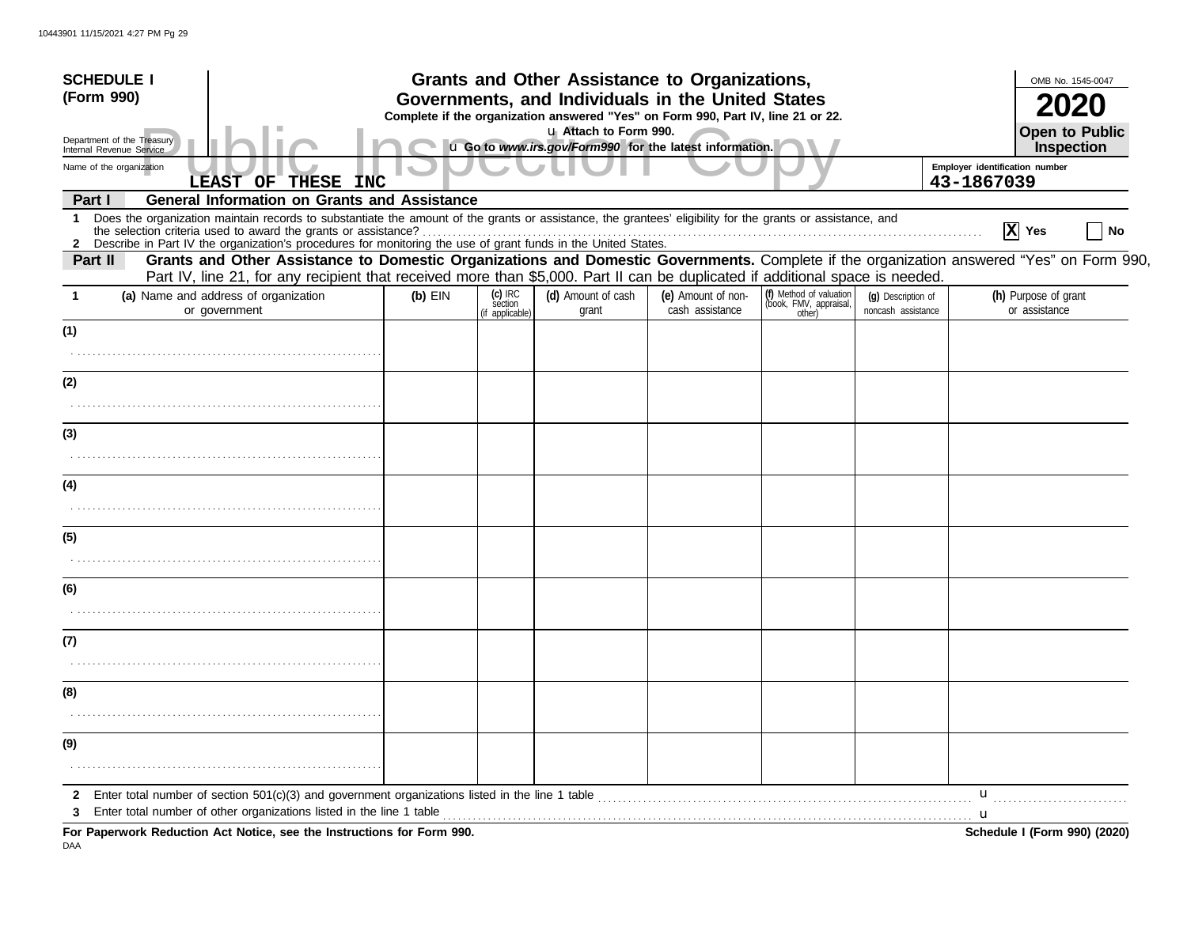| <b>SCHEDULE I</b>                                      |                                                                                                                                                                                                                                                                                                                                               |           |                                       | Grants and Other Assistance to Organizations,<br>Governments, and Individuals in the United States |                                       |                                                             |                                          |                                              | OMB No. 1545-0047                     |
|--------------------------------------------------------|-----------------------------------------------------------------------------------------------------------------------------------------------------------------------------------------------------------------------------------------------------------------------------------------------------------------------------------------------|-----------|---------------------------------------|----------------------------------------------------------------------------------------------------|---------------------------------------|-------------------------------------------------------------|------------------------------------------|----------------------------------------------|---------------------------------------|
| (Form 990)                                             |                                                                                                                                                                                                                                                                                                                                               |           |                                       |                                                                                                    |                                       |                                                             |                                          |                                              |                                       |
| Department of the Treasury<br>Internal Revenue Service | Complete if the organization answered "Yes" on Form 990, Part IV, line 21 or 22.<br>u Attach to Form 990.<br>u Go to www.irs.gov/Form990 for the latest information.                                                                                                                                                                          |           |                                       |                                                                                                    |                                       |                                                             |                                          |                                              | <b>Open to Public</b><br>Inspection   |
| Name of the organization                               | LEAST OF THESE INC                                                                                                                                                                                                                                                                                                                            |           |                                       |                                                                                                    |                                       |                                                             |                                          | Employer identification number<br>43-1867039 |                                       |
| Part I                                                 | <b>General Information on Grants and Assistance</b>                                                                                                                                                                                                                                                                                           |           |                                       |                                                                                                    |                                       |                                                             |                                          |                                              |                                       |
| 1<br>$\mathbf{2}$                                      | Does the organization maintain records to substantiate the amount of the grants or assistance, the grantees' eligibility for the grants or assistance, and<br>the selection criteria used to award the grants or assistance?<br>Describe in Part IV the organization's procedures for monitoring the use of grant funds in the United States. |           |                                       |                                                                                                    |                                       |                                                             |                                          |                                              | $\overline{X}$ Yes<br>No              |
| Part II                                                | Grants and Other Assistance to Domestic Organizations and Domestic Governments. Complete if the organization answered "Yes" on Form 990,<br>Part IV, line 21, for any recipient that received more than \$5,000. Part II can be duplicated if additional space is needed.                                                                     |           |                                       |                                                                                                    |                                       |                                                             |                                          |                                              |                                       |
|                                                        | (a) Name and address of organization<br>or government                                                                                                                                                                                                                                                                                         | $(b)$ EIN | (c) IRC<br>section<br>(if applicable) | (d) Amount of cash<br>grant                                                                        | (e) Amount of non-<br>cash assistance | (f) Method of valuation<br>(book, FMV, appraisal,<br>other) | (g) Description of<br>noncash assistance |                                              | (h) Purpose of grant<br>or assistance |
| (1)                                                    |                                                                                                                                                                                                                                                                                                                                               |           |                                       |                                                                                                    |                                       |                                                             |                                          |                                              |                                       |
| (2)                                                    |                                                                                                                                                                                                                                                                                                                                               |           |                                       |                                                                                                    |                                       |                                                             |                                          |                                              |                                       |
| (3)                                                    |                                                                                                                                                                                                                                                                                                                                               |           |                                       |                                                                                                    |                                       |                                                             |                                          |                                              |                                       |
|                                                        |                                                                                                                                                                                                                                                                                                                                               |           |                                       |                                                                                                    |                                       |                                                             |                                          |                                              |                                       |
| (4)                                                    |                                                                                                                                                                                                                                                                                                                                               |           |                                       |                                                                                                    |                                       |                                                             |                                          |                                              |                                       |
| (5)                                                    |                                                                                                                                                                                                                                                                                                                                               |           |                                       |                                                                                                    |                                       |                                                             |                                          |                                              |                                       |
|                                                        |                                                                                                                                                                                                                                                                                                                                               |           |                                       |                                                                                                    |                                       |                                                             |                                          |                                              |                                       |
| (6)                                                    |                                                                                                                                                                                                                                                                                                                                               |           |                                       |                                                                                                    |                                       |                                                             |                                          |                                              |                                       |
| (7)                                                    |                                                                                                                                                                                                                                                                                                                                               |           |                                       |                                                                                                    |                                       |                                                             |                                          |                                              |                                       |
| (8)                                                    |                                                                                                                                                                                                                                                                                                                                               |           |                                       |                                                                                                    |                                       |                                                             |                                          |                                              |                                       |
| (9)                                                    |                                                                                                                                                                                                                                                                                                                                               |           |                                       |                                                                                                    |                                       |                                                             |                                          |                                              |                                       |
|                                                        |                                                                                                                                                                                                                                                                                                                                               |           |                                       |                                                                                                    |                                       |                                                             |                                          |                                              |                                       |
| 2                                                      | Enter total number of section 501(c)(3) and government organizations listed in the line 1 table<br>Enter total number of other organizations listed in the line 1 table                                                                                                                                                                       |           |                                       |                                                                                                    |                                       |                                                             |                                          | u                                            |                                       |
|                                                        | For Paperwork Reduction Act Notice, see the Instructions for Form 990.                                                                                                                                                                                                                                                                        |           |                                       |                                                                                                    |                                       |                                                             |                                          | . <b>u</b>                                   | <b>Schedule I (Form 990) (2020)</b>   |

DAA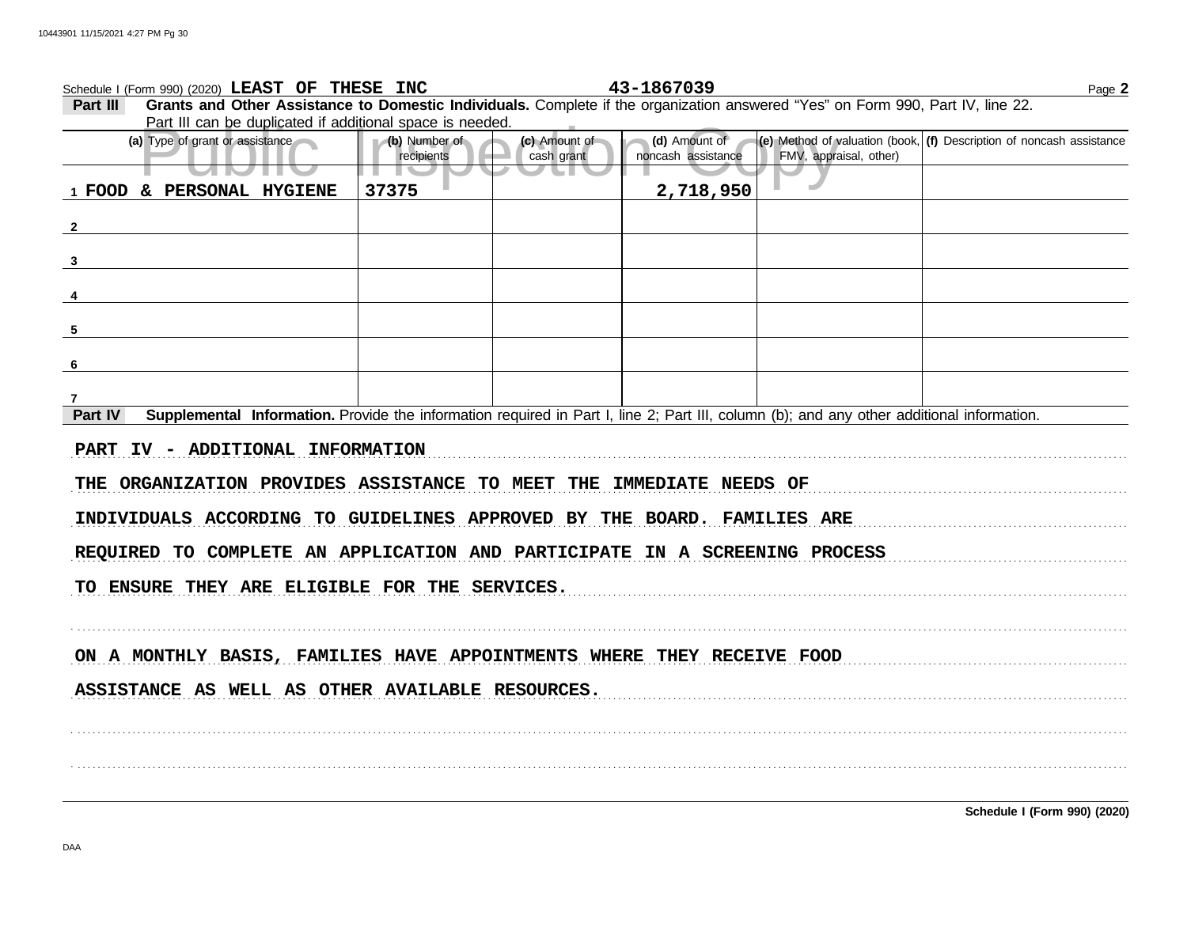| Schedule I (Form 990) (2020) LEAST OF THESE INC                                                                                                                                                                               |                             |                             | 43-1867039                          |                        | Page 2                                                                   |  |  |  |
|-------------------------------------------------------------------------------------------------------------------------------------------------------------------------------------------------------------------------------|-----------------------------|-----------------------------|-------------------------------------|------------------------|--------------------------------------------------------------------------|--|--|--|
| Grants and Other Assistance to Domestic Individuals. Complete if the organization answered "Yes" on Form 990, Part IV, line 22.<br>Part III                                                                                   |                             |                             |                                     |                        |                                                                          |  |  |  |
| Part III can be duplicated if additional space is needed.                                                                                                                                                                     |                             |                             |                                     |                        |                                                                          |  |  |  |
| (a) Type of grant or assistance                                                                                                                                                                                               | (b) Number of<br>recipients | (c) Amount of<br>cash grant | (d) Amount of<br>noncash assistance | FMV, appraisal, other) | $ e $ Method of valuation (book, $ f $ Description of noncash assistance |  |  |  |
| <b>UNITY</b>                                                                                                                                                                                                                  | a ka                        |                             |                                     |                        |                                                                          |  |  |  |
| 1 FOOD & PERSONAL HYGIENE                                                                                                                                                                                                     | 37375                       |                             | 2,718,950                           |                        |                                                                          |  |  |  |
|                                                                                                                                                                                                                               |                             |                             |                                     |                        |                                                                          |  |  |  |
|                                                                                                                                                                                                                               |                             |                             |                                     |                        |                                                                          |  |  |  |
|                                                                                                                                                                                                                               |                             |                             |                                     |                        |                                                                          |  |  |  |
|                                                                                                                                                                                                                               |                             |                             |                                     |                        |                                                                          |  |  |  |
|                                                                                                                                                                                                                               |                             |                             |                                     |                        |                                                                          |  |  |  |
|                                                                                                                                                                                                                               |                             |                             |                                     |                        |                                                                          |  |  |  |
| $5$ and $5$ and $5$ and $5$ and $5$ and $5$ and $5$ and $5$ and $5$ and $5$ and $5$ and $5$ and $5$ and $5$ and $5$ and $5$ and $5$ and $5$ and $5$ and $5$ and $5$ and $5$ and $5$ and $5$ and $5$ and $5$ and $5$ and $5$ a |                             |                             |                                     |                        |                                                                          |  |  |  |
|                                                                                                                                                                                                                               |                             |                             |                                     |                        |                                                                          |  |  |  |
| 6                                                                                                                                                                                                                             |                             |                             |                                     |                        |                                                                          |  |  |  |
|                                                                                                                                                                                                                               |                             |                             |                                     |                        |                                                                          |  |  |  |
| 7<br>Supplemental Information. Provide the information required in Part I, line 2; Part III, column (b); and any other additional information.<br>Part IV                                                                     |                             |                             |                                     |                        |                                                                          |  |  |  |
|                                                                                                                                                                                                                               |                             |                             |                                     |                        |                                                                          |  |  |  |
| PART IV - ADDITIONAL INFORMATION                                                                                                                                                                                              |                             |                             |                                     |                        |                                                                          |  |  |  |
|                                                                                                                                                                                                                               |                             |                             |                                     |                        |                                                                          |  |  |  |
| THE ORGANIZATION PROVIDES ASSISTANCE TO MEET THE IMMEDIATE NEEDS OF                                                                                                                                                           |                             |                             |                                     |                        |                                                                          |  |  |  |
|                                                                                                                                                                                                                               |                             |                             |                                     |                        |                                                                          |  |  |  |
| INDIVIDUALS ACCORDING TO GUIDELINES APPROVED BY THE BOARD. FAMILIES ARE                                                                                                                                                       |                             |                             |                                     |                        |                                                                          |  |  |  |
| REQUIRED TO COMPLETE AN APPLICATION AND PARTICIPATE IN A SCREENING PROCESS                                                                                                                                                    |                             |                             |                                     |                        |                                                                          |  |  |  |
|                                                                                                                                                                                                                               |                             |                             |                                     |                        |                                                                          |  |  |  |
| TO ENSURE THEY ARE ELIGIBLE FOR THE SERVICES.                                                                                                                                                                                 |                             |                             |                                     |                        |                                                                          |  |  |  |
|                                                                                                                                                                                                                               |                             |                             |                                     |                        |                                                                          |  |  |  |
|                                                                                                                                                                                                                               |                             |                             |                                     |                        |                                                                          |  |  |  |
|                                                                                                                                                                                                                               |                             |                             |                                     |                        |                                                                          |  |  |  |
| ON A MONTHLY BASIS, FAMILIES HAVE APPOINTMENTS WHERE THEY RECEIVE FOOD                                                                                                                                                        |                             |                             |                                     |                        |                                                                          |  |  |  |
|                                                                                                                                                                                                                               |                             |                             |                                     |                        |                                                                          |  |  |  |
| ASSISTANCE AS WELL AS OTHER AVAILABLE RESOURCES.                                                                                                                                                                              |                             |                             |                                     |                        |                                                                          |  |  |  |
|                                                                                                                                                                                                                               |                             |                             |                                     |                        |                                                                          |  |  |  |
|                                                                                                                                                                                                                               |                             |                             |                                     |                        |                                                                          |  |  |  |
|                                                                                                                                                                                                                               |                             |                             |                                     |                        |                                                                          |  |  |  |

. . . . . . . . . . . . . . . . . . . . . . . . . . . . . . . . . . . . . . . . . . . . . . . . . . . . . . . . . . . . . . . . . . . . . . . . . . . . . . . . . . . . . . . . . . . . . . . . . . . . . . . . . . . . . . . . . . . . . . . . . . . . . . . . . . . . . . . . . . . . . . . . . . . . . . . . . . . . . . . . . . . . . . . . . . . . . . . . . . . . . . . . . . . . . . . . . . . . . . . . . . . . . . . . . . .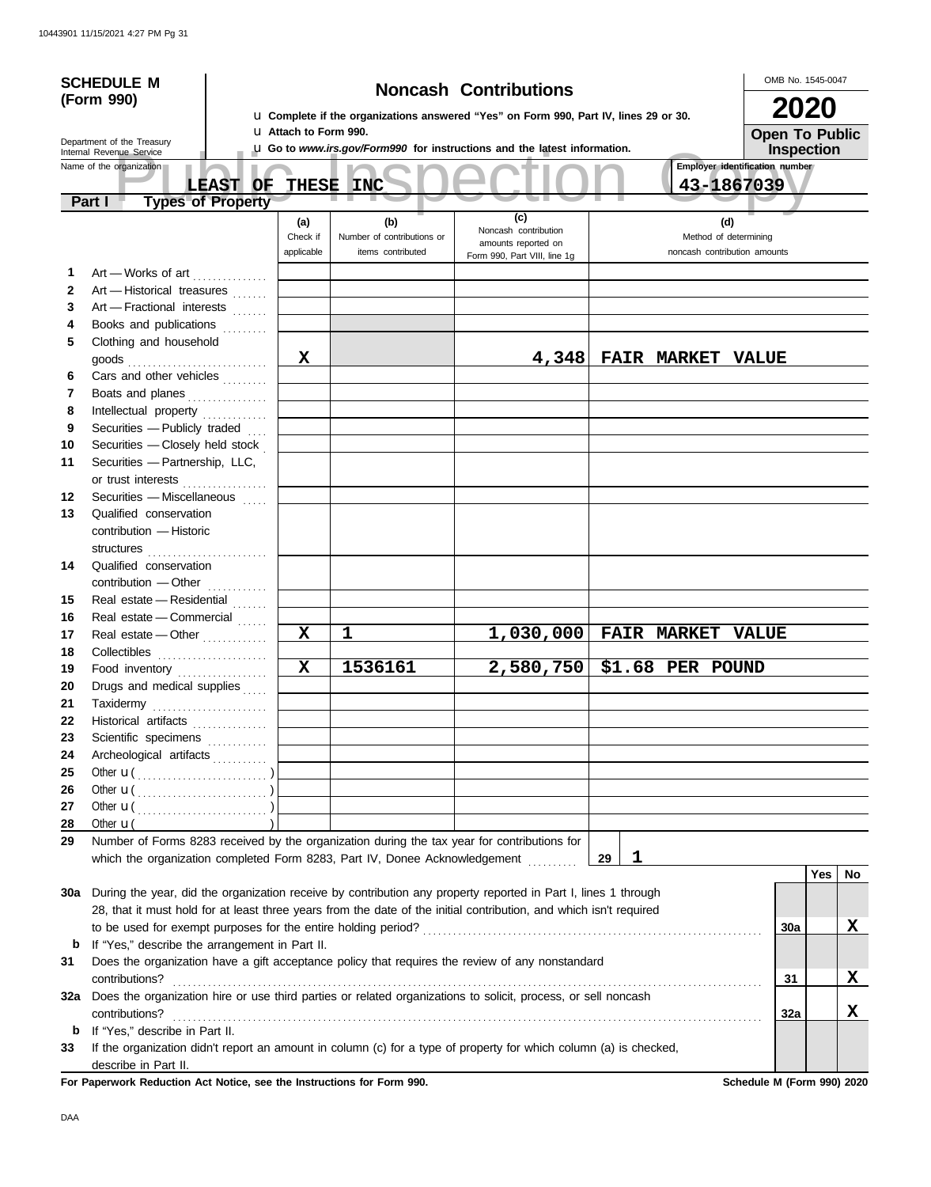|              | <b>SCHEDULE M</b>                                                                                                  |                              |                                                                                                                       |                                                                          |                                | OMB No. 1545-0047     |    |  |  |  |
|--------------|--------------------------------------------------------------------------------------------------------------------|------------------------------|-----------------------------------------------------------------------------------------------------------------------|--------------------------------------------------------------------------|--------------------------------|-----------------------|----|--|--|--|
|              | (Form 990)                                                                                                         |                              | <b>Noncash Contributions</b><br>La Complete if the organizations answered "Yes" on Form 990, Part IV, lines 29 or 30. |                                                                          |                                |                       |    |  |  |  |
|              |                                                                                                                    |                              |                                                                                                                       |                                                                          |                                |                       |    |  |  |  |
|              | Department of the Treasury                                                                                         | <b>u</b> Attach to Form 990. |                                                                                                                       |                                                                          |                                | <b>Open To Public</b> |    |  |  |  |
|              | Internal Revenue Service<br>Name of the organization                                                               |                              |                                                                                                                       | L Go to www.irs.gov/Form990 for instructions and the latest information. | Employer identification number | <b>Inspection</b>     |    |  |  |  |
|              | <b>LEAST OF</b>                                                                                                    | <b>THESE</b>                 | <b>INC</b>                                                                                                            |                                                                          | 43-1867039                     |                       |    |  |  |  |
|              | <b>Types of Property</b><br>Part I                                                                                 |                              |                                                                                                                       |                                                                          |                                |                       |    |  |  |  |
|              |                                                                                                                    | (a)                          | (b)                                                                                                                   | (c)                                                                      | (d)                            |                       |    |  |  |  |
|              |                                                                                                                    | Check if                     | Number of contributions or                                                                                            | Noncash contribution<br>amounts reported on                              | Method of determining          |                       |    |  |  |  |
|              |                                                                                                                    | applicable                   | items contributed                                                                                                     | Form 990, Part VIII, line 1g                                             | noncash contribution amounts   |                       |    |  |  |  |
| 1            | Art - Works of art                                                                                                 |                              |                                                                                                                       |                                                                          |                                |                       |    |  |  |  |
| $\mathbf{2}$ | Art - Historical treasures                                                                                         |                              |                                                                                                                       |                                                                          |                                |                       |    |  |  |  |
| 3            | Art - Fractional interests                                                                                         |                              |                                                                                                                       |                                                                          |                                |                       |    |  |  |  |
| 4            | Books and publications                                                                                             |                              |                                                                                                                       |                                                                          |                                |                       |    |  |  |  |
| 5            | Clothing and household                                                                                             |                              |                                                                                                                       |                                                                          |                                |                       |    |  |  |  |
|              |                                                                                                                    | X                            |                                                                                                                       |                                                                          | 4,348 FAIR MARKET VALUE        |                       |    |  |  |  |
| 6            | Cars and other vehicles                                                                                            |                              |                                                                                                                       |                                                                          |                                |                       |    |  |  |  |
| 7            | Boats and planes                                                                                                   |                              |                                                                                                                       |                                                                          |                                |                       |    |  |  |  |
| 8            | Intellectual property                                                                                              |                              |                                                                                                                       |                                                                          |                                |                       |    |  |  |  |
| 9            | Securities - Publicly traded                                                                                       |                              |                                                                                                                       |                                                                          |                                |                       |    |  |  |  |
| 10           | Securities - Closely held stock                                                                                    |                              |                                                                                                                       |                                                                          |                                |                       |    |  |  |  |
| 11           | Securities - Partnership, LLC,                                                                                     |                              |                                                                                                                       |                                                                          |                                |                       |    |  |  |  |
|              | or trust interests                                                                                                 |                              |                                                                                                                       |                                                                          |                                |                       |    |  |  |  |
| 12           | Securities - Miscellaneous                                                                                         |                              |                                                                                                                       |                                                                          |                                |                       |    |  |  |  |
| 13           | Qualified conservation                                                                                             |                              |                                                                                                                       |                                                                          |                                |                       |    |  |  |  |
|              | contribution - Historic                                                                                            |                              |                                                                                                                       |                                                                          |                                |                       |    |  |  |  |
|              | structures                                                                                                         |                              |                                                                                                                       |                                                                          |                                |                       |    |  |  |  |
| 14           | Qualified conservation                                                                                             |                              |                                                                                                                       |                                                                          |                                |                       |    |  |  |  |
|              | contribution - Other                                                                                               |                              |                                                                                                                       |                                                                          |                                |                       |    |  |  |  |
| 15           | Real estate - Residential                                                                                          |                              |                                                                                                                       |                                                                          |                                |                       |    |  |  |  |
| 16           | Real estate - Commercial                                                                                           |                              |                                                                                                                       |                                                                          |                                |                       |    |  |  |  |
| 17           | Real estate - Other                                                                                                | $\mathbf X$                  | 1                                                                                                                     |                                                                          | 1,030,000 FAIR MARKET VALUE    |                       |    |  |  |  |
| 18           |                                                                                                                    |                              |                                                                                                                       |                                                                          |                                |                       |    |  |  |  |
| 19           | Food inventory                                                                                                     | Χ                            | 1536161                                                                                                               | 2,580,750                                                                | \$1.68 PER POUND               |                       |    |  |  |  |
| 20           | Drugs and medical supplies                                                                                         |                              |                                                                                                                       |                                                                          |                                |                       |    |  |  |  |
| 21           | Taxidermy                                                                                                          |                              |                                                                                                                       |                                                                          |                                |                       |    |  |  |  |
| 22           | Historical artifacts                                                                                               |                              |                                                                                                                       |                                                                          |                                |                       |    |  |  |  |
| 23           | Scientific specimens                                                                                               |                              |                                                                                                                       |                                                                          |                                |                       |    |  |  |  |
| 24           | Archeological artifacts                                                                                            |                              |                                                                                                                       |                                                                          |                                |                       |    |  |  |  |
| 25           |                                                                                                                    |                              |                                                                                                                       |                                                                          |                                |                       |    |  |  |  |
| 26           |                                                                                                                    |                              |                                                                                                                       |                                                                          |                                |                       |    |  |  |  |
| 27           |                                                                                                                    |                              |                                                                                                                       |                                                                          |                                |                       |    |  |  |  |
| 28           | Other $\mathbf{u}$                                                                                                 |                              |                                                                                                                       |                                                                          |                                |                       |    |  |  |  |
| 29           | Number of Forms 8283 received by the organization during the tax year for contributions for                        |                              |                                                                                                                       |                                                                          |                                |                       |    |  |  |  |
|              | which the organization completed Form 8283, Part IV, Donee Acknowledgement                                         |                              |                                                                                                                       |                                                                          | 1<br>29                        |                       |    |  |  |  |
|              |                                                                                                                    |                              |                                                                                                                       |                                                                          |                                | <b>Yes</b>            | No |  |  |  |
| 30a          | During the year, did the organization receive by contribution any property reported in Part I, lines 1 through     |                              |                                                                                                                       |                                                                          |                                |                       |    |  |  |  |
|              | 28, that it must hold for at least three years from the date of the initial contribution, and which isn't required |                              |                                                                                                                       |                                                                          |                                |                       |    |  |  |  |
|              |                                                                                                                    |                              |                                                                                                                       |                                                                          |                                | 30a                   | X  |  |  |  |
| b            | If "Yes," describe the arrangement in Part II.                                                                     |                              |                                                                                                                       |                                                                          |                                |                       |    |  |  |  |
| 31           | Does the organization have a gift acceptance policy that requires the review of any nonstandard                    |                              |                                                                                                                       |                                                                          |                                |                       |    |  |  |  |
|              | contributions?                                                                                                     |                              |                                                                                                                       |                                                                          |                                | 31                    | X  |  |  |  |
| 32a          | Does the organization hire or use third parties or related organizations to solicit, process, or sell noncash      |                              |                                                                                                                       |                                                                          |                                |                       |    |  |  |  |
|              | contributions?                                                                                                     |                              |                                                                                                                       |                                                                          |                                | 32a                   | X  |  |  |  |
| b            | If "Yes," describe in Part II.                                                                                     |                              |                                                                                                                       |                                                                          |                                |                       |    |  |  |  |
| 33           | If the organization didn't report an amount in column (c) for a type of property for which column (a) is checked,  |                              |                                                                                                                       |                                                                          |                                |                       |    |  |  |  |
|              | describe in Part II.                                                                                               |                              |                                                                                                                       |                                                                          |                                |                       |    |  |  |  |

For Paperwork Reduction Act Notice, see the Instructions for Form 990. Schedule M (Form 990) 2020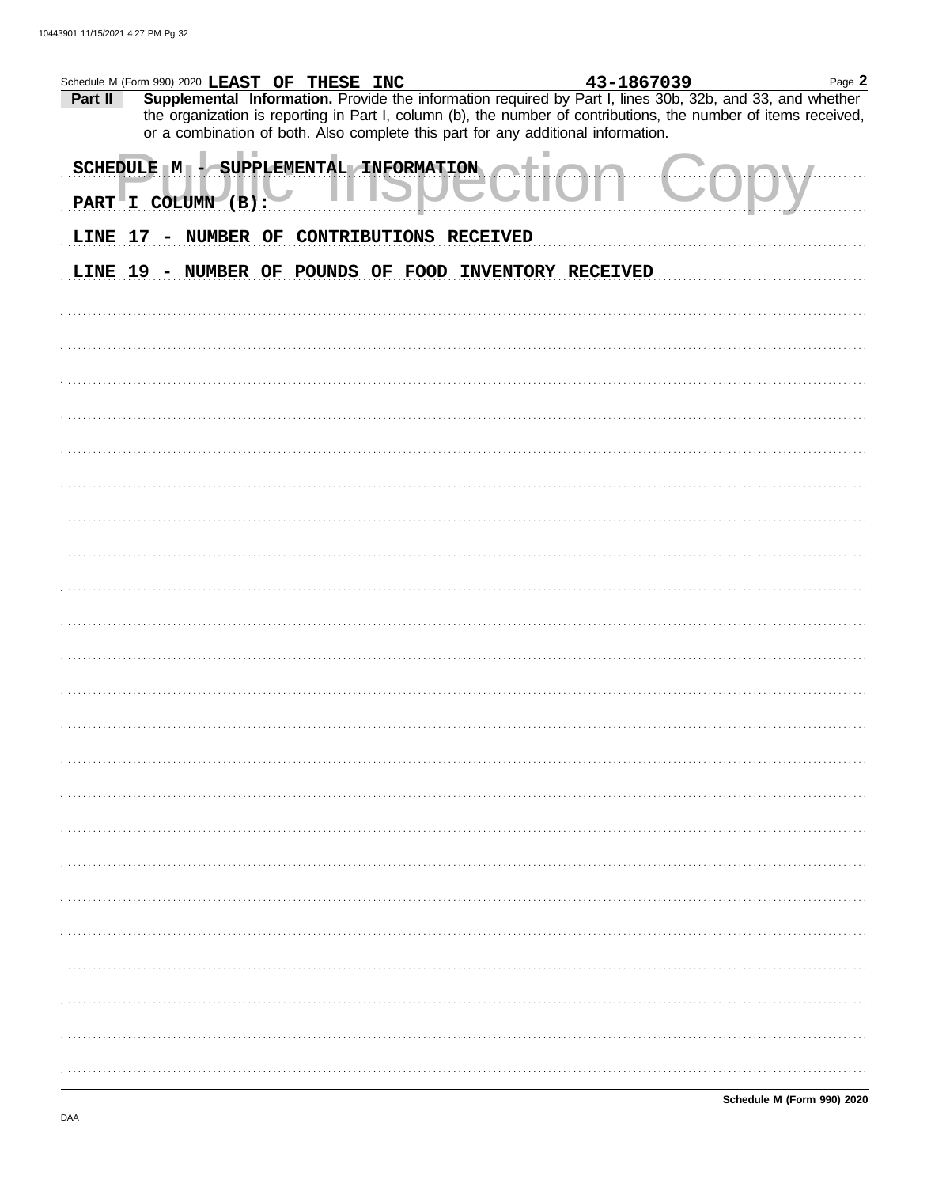|         |                                  | Schedule M (Form 990) 2020 LEAST OF THESE INC                                     |  | 43-1867039                                                                                                                                                                                                                   | Page 2 |
|---------|----------------------------------|-----------------------------------------------------------------------------------|--|------------------------------------------------------------------------------------------------------------------------------------------------------------------------------------------------------------------------------|--------|
| Part II |                                  |                                                                                   |  | Supplemental Information. Provide the information required by Part I, lines 30b, 32b, and 33, and whether<br>the organization is reporting in Part I, column (b), the number of contributions, the number of items received, |        |
|         |                                  | or a combination of both. Also complete this part for any additional information. |  |                                                                                                                                                                                                                              |        |
|         | SCHEDULE M<br>PART I COLUMN (B): | - SUPPLEMENTAL INFORMATION                                                        |  |                                                                                                                                                                                                                              |        |
|         |                                  | LINE 17 - NUMBER OF CONTRIBUTIONS RECEIVED                                        |  |                                                                                                                                                                                                                              |        |
|         |                                  |                                                                                   |  |                                                                                                                                                                                                                              |        |
|         |                                  | LINE 19 - NUMBER OF POUNDS OF FOOD INVENTORY RECEIVED                             |  |                                                                                                                                                                                                                              |        |
|         |                                  |                                                                                   |  |                                                                                                                                                                                                                              |        |
|         |                                  |                                                                                   |  |                                                                                                                                                                                                                              |        |
|         |                                  |                                                                                   |  |                                                                                                                                                                                                                              |        |
|         |                                  |                                                                                   |  |                                                                                                                                                                                                                              |        |
|         |                                  |                                                                                   |  |                                                                                                                                                                                                                              |        |
|         |                                  |                                                                                   |  |                                                                                                                                                                                                                              |        |
|         |                                  |                                                                                   |  |                                                                                                                                                                                                                              |        |
|         |                                  |                                                                                   |  |                                                                                                                                                                                                                              |        |
|         |                                  |                                                                                   |  |                                                                                                                                                                                                                              |        |
|         |                                  |                                                                                   |  |                                                                                                                                                                                                                              |        |
|         |                                  |                                                                                   |  |                                                                                                                                                                                                                              |        |
|         |                                  |                                                                                   |  |                                                                                                                                                                                                                              |        |
|         |                                  |                                                                                   |  |                                                                                                                                                                                                                              |        |
|         |                                  |                                                                                   |  |                                                                                                                                                                                                                              |        |
|         |                                  |                                                                                   |  |                                                                                                                                                                                                                              |        |
|         |                                  |                                                                                   |  |                                                                                                                                                                                                                              |        |
|         |                                  |                                                                                   |  |                                                                                                                                                                                                                              |        |
|         |                                  |                                                                                   |  |                                                                                                                                                                                                                              |        |
|         |                                  |                                                                                   |  |                                                                                                                                                                                                                              |        |
|         |                                  |                                                                                   |  |                                                                                                                                                                                                                              |        |
|         |                                  |                                                                                   |  |                                                                                                                                                                                                                              |        |
|         |                                  |                                                                                   |  |                                                                                                                                                                                                                              |        |
|         |                                  |                                                                                   |  |                                                                                                                                                                                                                              |        |
|         |                                  |                                                                                   |  |                                                                                                                                                                                                                              |        |
|         |                                  |                                                                                   |  |                                                                                                                                                                                                                              |        |
|         |                                  |                                                                                   |  |                                                                                                                                                                                                                              |        |
|         |                                  |                                                                                   |  |                                                                                                                                                                                                                              |        |
|         |                                  |                                                                                   |  |                                                                                                                                                                                                                              |        |
|         |                                  |                                                                                   |  |                                                                                                                                                                                                                              |        |
|         |                                  |                                                                                   |  |                                                                                                                                                                                                                              |        |
|         |                                  |                                                                                   |  |                                                                                                                                                                                                                              |        |
|         |                                  |                                                                                   |  |                                                                                                                                                                                                                              |        |
|         |                                  |                                                                                   |  |                                                                                                                                                                                                                              |        |